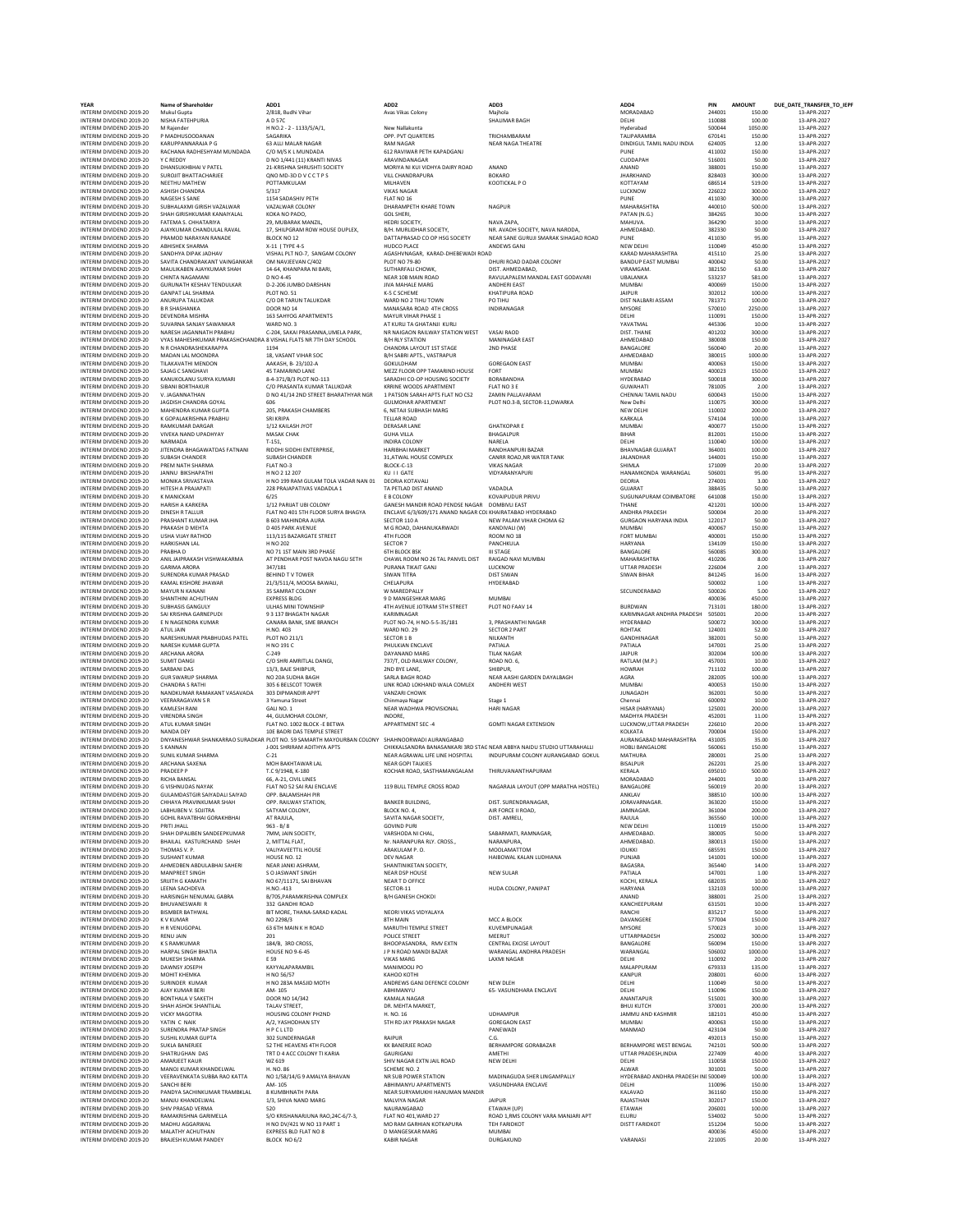|             | ADD3<br>Maihola<br><b>SHALIMAR BAGH</b>                                                            |
|-------------|----------------------------------------------------------------------------------------------------|
|             | TRICHAMBARAM                                                                                       |
|             | <b>NEAR NAGA THEATRE</b>                                                                           |
| j           | ANAND<br><b>BOKARO</b><br>KOOTICKAL P.O.                                                           |
|             | <b>NAGPUR</b>                                                                                      |
|             | NAVA ZAPA<br>NR. AVADH SOCIETY, NAVA NARODA<br>NEAR SANE GURUJI SMARAK SIHAGAD ROAD<br>ANDEWS GANJ |
| DI ROAD     | DHURI ROAD DADAR COLONY                                                                            |
|             | DIST. AHMEDABAD,<br>RAVULAPALEM MANDAL EAST GODAVARI<br><b>ANDHERI EAST</b><br>KHATIPURA ROAD      |
|             | PO TIHU<br>INDIRANAGAR                                                                             |
| :ST         | VASAI RAOD<br>MANINAGAR EAST<br>2ND PHASE                                                          |
| E           | <b>GOREGAON EAST</b><br>FORT                                                                       |
|             | BORABANDHA<br>FLAT NO 3 E                                                                          |
| Ż           | ZAMIN PALLAVARAM<br>PLOT NO.3-B, SECTOR-11, DWARKA                                                 |
|             |                                                                                                    |
|             | <b>GHATKOPARE</b><br>BHAGALPUR                                                                     |
|             | NARELA<br>RANDHANPURI BAZAR                                                                        |
|             | CANRR ROAD, NR WATER TANK<br><b>VIKAS NAGAR</b>                                                    |
|             | VIDYARANYAPURI                                                                                     |
| GAR         | VADADLA<br>KOVAIPUDUR PIRIVU<br><b>DOMBIVLI EAST</b>                                               |
|             | AR COI KHAIRATABAD HYDERABAD<br>NEW PALAM VIHAR CHOMA 62                                           |
|             | KANDIVALI (W)<br>ROOM NO 18                                                                        |
|             | PANCHKULA<br><b>III STAGE</b>                                                                      |
| IST         | RAIGAD NAVI MUMBAI<br>LUCKNOW                                                                      |
|             | <b>DIST SIWAN</b><br><b>HYDERABAD</b>                                                              |
|             | <b>MUMBAI</b><br>PLOT NO FAAV 14                                                                   |
|             | 3, PRASHANTHI NAGAR<br><b>SECTOR 2 PART</b>                                                        |
|             | NILKANTH<br>PATIALA                                                                                |
|             | <b>TILAK NAGAR</b><br>ROAD NO. 6,                                                                  |
|             | SHIBPUR,<br>NEAR AASHI GARDEN DAYALBAGH                                                            |
| X           | ANDHERI WEST                                                                                       |
|             | Stage 1<br><b>HARI NAGAR</b>                                                                       |
|             | <b>GOMTI NAGAR EXTENSION</b>                                                                       |
| ï           | <b>STAC NEAR ABBYA NAIDU STUDIO UTTARAHALLI</b><br>INDUPURAM COLONY AURANGABAD GOKUL               |
| 1           | THIRUVANANTHAPURAM                                                                                 |
|             | NAGARAJA LAYOUT (OPP MARATHA HOSTEL)                                                               |
|             | DIST<br>SURE<br>NDRAI<br><b>AGAR</b><br>AIR FORCE II ROAD,<br>DIST. AMRELI,<br>SARARMATI, RAMNAGAR |
|             | NARANPURA,<br>MOOLAMATTOM                                                                          |
|             | HAIBOWAL KALAN LUDHIANA                                                                            |
|             | <b>NEW SULAR</b>                                                                                   |
|             | HUDA COLONY, PANIPAT                                                                               |
|             | MCC A BLOCK<br>KUVEMPUNAGAR<br>MEERUT<br>CENTRAL EXCISE LAYOUT                                     |
|             | WARANGAL ANDHRA PRADESH<br><b>LAXMI NAGAR</b>                                                      |
|             | NEW DLEH<br>65- VASUNDHARA ENCLAVE                                                                 |
|             | <b>UDHAMPUR</b><br><b>GOREGAON EAST</b>                                                            |
|             | PANEWADI<br>C.G.                                                                                   |
|             | BERHAMPORE GORABAZAR<br>AMETHI<br>NEW DELHI                                                        |
| <b>NDIR</b> | MADINAGUDA SHER LINGAMPALLY<br>VASUNDHARA ENCLAVE                                                  |
|             | <b>JAIPUR</b><br>ETAWAH (UP)                                                                       |
|             | ROAD 1, RMS COLONY VARA MANJARI APT<br><b>TEH FARIDKOT</b>                                         |
|             | MUMBAI                                                                                             |

| YEAR                                                 | <b>Name of Shareholder</b>                                                                | ADD1                                                                                                                        | ADD <sub>2</sub>                                                          | ADD3                                                                   | ADD4                                           | PIN              | AMOUNT            | DUE_DATE_TRANSFER_TO_IEP   |
|------------------------------------------------------|-------------------------------------------------------------------------------------------|-----------------------------------------------------------------------------------------------------------------------------|---------------------------------------------------------------------------|------------------------------------------------------------------------|------------------------------------------------|------------------|-------------------|----------------------------|
| INTERIM DIVIDEND 2019-20<br>INTERIM DIVIDEND 2019-20 | Mukul Gupta<br>NISHA FATEHPURIA                                                           | 2/818, Budhi Vihar<br>A D 57C                                                                                               | Avas Vikas Colony                                                         | Majhola<br>SHALIMAR BAGH                                               | MORADABAD<br>DELHI                             | 244001<br>110088 | 150.00<br>100.00  | 13-APR-2027<br>13-APR-2027 |
| INTERIM DIVIDEND 2019-20<br>INTERIM DIVIDEND 2019-20 | M Raiender<br>P MADHUSOODANAN                                                             | H NO.2 - 2 - 1133/5/A/1,<br>SAGARIKA                                                                                        | New Nallakunta<br>OPP. PVT QUARTERS                                       | TRICHAMBARAM                                                           | Hyderabad<br>TALIPARAMBA                       | 500044<br>670141 | 1050.00<br>150.00 | 13-APR-2027<br>13-APR-2027 |
| INTERIM DIVIDEND 2019-20                             | KARUPPANNARAJA P G                                                                        | 63 ALLI MALAR NAGAR                                                                                                         | <b>RAM NAGAR</b>                                                          | NEAR NAGA THEATRE                                                      | DINDIGUL TAMIL NADU INDIA                      | 624005           | 12.00             | 13-APR-2027                |
| INTERIM DIVIDEND 2019-20<br>INTERIM DIVIDEND 2019-20 | RACHANA RADHESHYAM MUNDADA<br>Y C REDDY                                                   | C/O M/S K L MUNDADA<br>D NO 1/441 (11) KRANTI NIVAS                                                                         | 612 RAVIWAR PETH KAPADGANI<br>ARAVINDANAGAR                               |                                                                        | PUNE<br>CUDDAPAH                               | 411002<br>516001 | 150.00<br>50.00   | 13-APR-2027<br>13-APR-2027 |
| INTERIM DIVIDEND 2019-20                             | DHANSUKHBHAI V PATEL<br>SUROUT RHATTACHARIEF                                              | 21-KRISHNA SHRUSHTI SOCIETY<br>ONO MD-3D D V CCTPS                                                                          | MORIYA NI KUI VIDHYA DAIRY ROAD                                           | ANAND                                                                  | ANAND                                          | 388001<br>828403 | 150.00            | 13-APR-2027<br>13-APR-2027 |
| INTERIM DIVIDEND 2019-20<br>INTERIM DIVIDEND 2019-20 | NEETHU MATHEW                                                                             | POTTAMKULAM                                                                                                                 | VILL CHANDRAPURA<br>MILHAVEN                                              | <b>BOKARO</b><br>KOOTICKAL P O                                         | <b>JHARKHAND</b><br>KOTTAYAM                   | 686514           | 300.00<br>519.00  | 13-APR-2027                |
| INTERIM DIVIDEND 2019-20<br>INTERIM DIVIDEND 2019-20 | ASHISH CHANDRA<br>NAGESH S SANE                                                           | 5/317<br>1154 SADASHIV PETH                                                                                                 | <b>VIKAS NAGAR</b><br>FLAT NO 16                                          |                                                                        | LUCKNOW<br>PUNE                                | 226022<br>411030 | 300.00<br>300.00  | 13-APR-2027<br>13-APR-2027 |
| INTERIM DIVIDEND 2019-20                             | SUBHALAXMI GIRISH VAZALWAR                                                                | VAZALWAR COLONY                                                                                                             | DHARAMPETH KHARE TOWN                                                     | NAGPUR                                                                 | MAHARASHTRA                                    | 440010           | 500.00            | 13-APR-2027                |
| INTERIM DIVIDEND 2019-20<br>INTERIM DIVIDEND 2019-20 | SHAH GIRISHKUMAR KANAIYALAL<br>FATEMA S. CHHATARIYA                                       | KOKA NO PADO.<br>29, MUBARAK MANZIL,                                                                                        | <b>GOL SHERI.</b><br>HEDRI SOCIETY.                                       | NAVA ZAPA.                                                             | PATAN (N.G.)<br>MAHUVA.                        | 384265<br>364290 | 30.00<br>10.00    | 13-APR-2027<br>13-APR-2027 |
| INTERIM DIVIDEND 2019-20                             | AJAYKUMAR CHANDULAL RAVAL                                                                 | 17, SHILPGRAM ROW HOUSE DUPLEX,                                                                                             | B/H. MURLIDHAR SOCIETY,                                                   | NR. AVADH SOCIETY, NAVA NARODA                                         | AHMEDABAD                                      | 382330           | 50.00             | 13-APR-2027                |
| INTERIM DIVIDEND 2019-20<br>INTERIM DIVIDEND 2019-20 | PRAMOD NARAYAN RANADE<br><b>ABHISHEK SHARMA</b>                                           | BLOCK NO 12<br>X-11 ( TYPE 4-S                                                                                              | DATTAPRASAD CO OP HSG SOCIETY<br>HUDCO PLACE                              | NEAR SANE GURUJI SMARAK SIHAGAD ROAD<br>ANDEWS GANJ                    | PUNE<br>NEW DELHI                              | 411030<br>110049 | 95.00<br>450.00   | 13-APR-2027<br>13-APR-2027 |
| INTERIM DIVIDEND 2019-20<br>INTERIM DIVIDEND 2019-20 | SANDHYA DIPAK JADHAV<br>SAVITA CHANDRAKANT VAINGANKAR                                     | VISHAL PLT NO-7, SANGAM COLONY<br>OM NAVJEEVAN C/402                                                                        | AGASHVNAGAR, KARAD-DHEBEWADI ROAD<br>PLOT NO 79-80                        | DHURI ROAD DADAR COLONY                                                | KARAD MAHARASHTRA<br><b>BANDUP EAST MUMBA</b>  | 415110<br>400042 | 25.00<br>50.00    | 13-APR-2027<br>13-APR-2027 |
| INTERIM DIVIDEND 2019-20                             | MAULIKABEN AJAYKUMAR SHAH                                                                 | 14-64, KHANPARA NI BARI.                                                                                                    | SUTHARFALI CHOWK                                                          | DIST. AHMEDABAD,                                                       | VIRAMGAM                                       | 382150           | 63.00             | 13-APR-2027                |
| INTERIM DIVIDEND 2019-20<br>INTERIM DIVIDEND 2019-20 | CHINTA NAGAMANI<br>GURUNATH KESHAV TENDULKAR                                              | D NO 4-45<br>D-2-206 JUMBO DARSHAN                                                                                          | NEAR 10B MAIN ROAD<br><b>JIVA MAHALE MARG</b>                             | RAVULAPALEM MANDAL EAST GODAVARI<br><b>ANDHERI EAST</b>                | UBALANKA<br><b>MUMBAI</b>                      | 533237<br>400069 | 581.00<br>150.00  | 13-APR-2027<br>13-APR-2027 |
| INTERIM DIVIDEND 2019-20                             | <b>GANPAT LAL SHARMA</b>                                                                  | PLOT NO. 51                                                                                                                 | K-5 C SCHEME                                                              | KHATIPURA ROAD                                                         | <b>JAIPUR</b>                                  | 302012           | 100.00            | 13-APR-2027                |
| INTERIM DIVIDEND 2019-20<br>INTERIM DIVIDEND 2019-20 | ANURUPA TALUKDAR<br><b>B R SHASHANKA</b>                                                  | C/O DR TARUN TALUKDAR<br><b>DOOR NO 14</b>                                                                                  | WARD NO 2 TIHU TOWN<br>MANASARA ROAD 4TH CROSS                            | PO TIHU<br>INDIRANAGAR                                                 | DIST NALBARI ASSAM<br>MYSORE                   | 781371<br>570010 | 100.00<br>2250.00 | 13-APR-2027<br>13-APR-2027 |
| INTERIM DIVIDEND 2019-20<br>INTERIM DIVIDEND 2019-20 | DEVENDRA MISHRA                                                                           | 163 SAHYOG APARTMENTS                                                                                                       | MAYUR VIHAR PHASE 1<br>AT KURLI TA GHATANJI KURL                          |                                                                        | DELHI                                          | 110091<br>445306 | 150.00            | 13-APR-2027<br>13-APR-2027 |
| INTERIM DIVIDEND 2019-20                             | SUVARNA SANJAY SAWANKAR<br>NARESH JAGANNATH PRABHU                                        | WARD NO. 3<br>C-204, SAKAI PRASANNA,UMELA PARK,                                                                             | NR NAIGAON RAILWAY STATION WEST                                           | VASAI RAOD                                                             | YAVATMAL<br>DIST. THANE                        | 401202           | 10.00<br>300.00   | 13-APR-2027                |
| INTERIM DIVIDEND 2019-20<br>INTERIM DIVIDEND 2019-20 | VYAS MAHESHKUMAR PRAKASHCHANDRA 8 VISHAL FLATS NR 7TH DAY SCHOOL<br>N R CHANDRASHEKARAPPA | 1194                                                                                                                        | <b>B/H RLY STATION</b><br>CHANDRA LAYOUT 1ST STAGE                        | MANINAGAR EAST<br><b>2ND PHASE</b>                                     | AHMEDABAD<br>BANGALORE                         | 380008<br>560040 | 150.00<br>20.00   | 13-APR-2027<br>13-APR-2027 |
| INTERIM DIVIDEND 2019-20                             | MADAN LAL MOONDRA                                                                         | 18, VASANT VIHAR SOC                                                                                                        | B/H SABRI APTS., VASTRAPUR                                                |                                                                        | AHMEDABAD                                      | 380015           | 1000.00           | 13-APR-2027                |
| INTERIM DIVIDEND 2019-20<br>INTERIM DIVIDEND 2019-20 | TILAKAVATHI MENDON<br>SAJAG C SANGHAVI                                                    | AAKASH, B-23/102-A<br><b>45 TAMARIND LANE</b>                                                                               | GOKULDHAM<br>MEZZ FLOOR OPP TAMARIND HOUSE                                | <b>GOREGAON EAST</b><br><b>FORT</b>                                    | MUMBAI<br><b>MUMBAI</b>                        | 400063<br>400023 | 150.00<br>150.00  | 13-APR-2027<br>13-APR-2027 |
| INTERIM DIVIDEND 2019-20                             | KANUKOLANU SURYA KUMARI                                                                   | 8-4-371/B/3 PLOT NO-113                                                                                                     | SARADHI CO-OP HOUSING SOCIETY                                             | BORABANDHA                                                             | HYDERABAD                                      | 500018           | 300.00            | 13-APR-2027                |
| INTERIM DIVIDEND 2019-20<br>INTERIM DIVIDEND 2019-20 | SIBANI BORTHAKUR<br>V. JAGANNATHAN                                                        | C/O PRASANTA KUMAR TALUKDAR<br>D NO 41/14 2ND STREET BHARATHYAR NGR                                                         | KRRINE WOODS APARTMENT<br>1 PATSON SARAH APTS FLAT NO CS2                 | FLAT NO 3 E<br>ZAMIN PALLAVARAM                                        | <b>GUWAHATI</b><br>CHENNAI TAMIL NADU          | 781005<br>600043 | 2.00<br>150.00    | 13-APR-2027<br>13-APR-2027 |
| INTERIM DIVIDEND 2019-20                             | JAGDISH CHANDRA GOYAL                                                                     |                                                                                                                             | <b>GULMOHAR APARTMENT</b>                                                 | PLOT NO.3-B, SECTOR-11, DWARKA                                         | New Delhi                                      | 110075           | 300.00            | 13-APR-2027                |
| INTERIM DIVIDEND 2019-20<br>INTERIM DIVIDEND 2019-20 | MAHENDRA KUMAR GUPTA<br>K GOPALAKRISHNA PRABHU                                            | 205, PRAKASH CHAMBERS<br>SRI KRIPA                                                                                          | 6. NETAJI SUBHASH MARG<br><b>TELLAR ROAD</b>                              |                                                                        | NEW DELHI<br>KARKALA                           | 110002<br>574104 | 200.00<br>100.00  | 13-APR-2027<br>13-APR-2027 |
| INTERIM DIVIDEND 2019-20<br>INTERIM DIVIDEND 2019-20 | <b>RAMKUMAR DARGAR</b><br>VIVEKA NAND UPADHYAY                                            | 1/12 KAILASH JYOT<br><b>MASAK CHAK</b>                                                                                      | <b>DERASAR LANE</b>                                                       | <b>GHATKOPARE</b><br>BHAGALPUR                                         | MUMBAI                                         | 400077<br>812001 | 150.00            | 13-APR-2027<br>13-APR-2027 |
| INTERIM DIVIDEND 2019-20                             | NARMADA                                                                                   | $T-151$                                                                                                                     | <b>GUHA VILLA</b><br>INDIRA COLONY                                        | NARELA                                                                 | <b>BIHAR</b><br>DELHI                          | 110040           | 150.00<br>100.00  | 13-APR-2027                |
| INTERIM DIVIDEND 2019-20<br>INTERIM DIVIDEND 2019-20 | JITENDRA BHAGAWATDAS FATNANI<br>SUBASH CHANDER                                            | RIDDHI SIDDHI ENTERPRISE,<br><b>SUBASH CHANDER</b>                                                                          | HARIBHAI MARKET<br>31.ATWAL HOUSE COMPLEX                                 | RANDHANPURI BAZAR<br>CANRR ROAD.NR WATER TANK                          | <b>BHAVNAGAR GUJARAT</b><br>JALANDHAR          | 364001<br>144001 | 100.00<br>150.00  | 13-APR-2027<br>13-APR-2027 |
| INTERIM DIVIDEND 2019-20                             | PREM NATH SHARMA                                                                          | FLAT NO-3                                                                                                                   | BLOCK-C-13                                                                | <b>VIKAS NAGAF</b>                                                     | SHIMLA                                         | 171009           | 20.00             | 13-APR-2027                |
| INTERIM DIVIDEND 2019-20<br>INTERIM DIVIDEND 2019-20 | JANNU BIKSHAPATHI<br>MONIKA SRIVASTAVA                                                    | H NO 2 12 207<br>H NO 199 RAM GULAM TOLA VADAR NAN 01                                                                       | KU II GATE<br>DEORIA KOTAVALI                                             | VIDYARANYAPURI                                                         | HANAMKONDA WARANGAL<br>DEORIA                  | 506001<br>274001 | 95.00<br>3.00     | 13-APR-2027<br>13-APR-2027 |
| INTERIM DIVIDEND 2019-20                             | HITESH A PRAJAPATI                                                                        | 228 PRAJAPATIVAS VADADLA 1                                                                                                  | TA PETLAD DIST ANAND                                                      | VADADLA                                                                | GUJARAT                                        | 388435           | 50.00             | 13-APR-2027                |
| INTERIM DIVIDEND 2019-20<br>INTERIM DIVIDEND 2019-20 | <b>K MANICKAM</b><br><b>HARISH A KARKERA</b>                                              | 6/25<br>1/12 PARUAT UBI COLONY                                                                                              | E B COLONY<br>GANESH MANDIR ROAD PENDSE NAGAR DOMBIVLI EAST               | KOVAIPUDUR PIRIVU                                                      | SUGUNAPURAM COIMBATORE<br>THANE                | 641008<br>421201 | 150.00<br>100.00  | 13-APR-2027<br>13-APR-2027 |
| INTERIM DIVIDEND 2019-20<br>INTERIM DIVIDEND 2019-20 | <b>DINESH R TALLUR</b>                                                                    | FLAT NO 401 STH FLOOR SURYA BHAGYA                                                                                          | ENCLAVE 6/3/609/171 ANAND NAGAR COI KHAIRATABAD HYDERABAD<br>SECTOR 110 A |                                                                        | ANDHRA PRADESH<br><b>GURGAON HARYANA INDIA</b> | 500004<br>122017 | 20.00             | 13-APR-2027                |
| INTERIM DIVIDEND 2019-20                             | PRASHANT KUMAR JHA<br>PRAKASH D MEHTA                                                     | B 603 MAHINDRA AURA<br>D 405 PARK AVENUE                                                                                    | M G ROAD, DAHANUKARWADI                                                   | NEW PALAM VIHAR CHOMA 62<br>KANDIVALI (W)                              | MUMBAI                                         | 400067           | 50.00<br>150.00   | 13-APR-2027<br>13-APR-2027 |
| INTERIM DIVIDEND 2019-20<br>INTERIM DIVIDEND 2019-20 | USHA VIJAY RATHOD<br><b>HARKISHAN LAL</b>                                                 | 113/115 BAZARGATE STREET<br>H NO 202                                                                                        | 4TH FLOOR<br><b>SECTOR 7</b>                                              | ROOM NO 18<br>PANCHKULA                                                | FORT MUMBAI<br><b>HARYANA</b>                  | 400001<br>134109 | 150.00<br>150.00  | 13-APR-2027<br>13-APR-2027 |
| INTERIM DIVIDEND 2019-20                             | PRABHA D                                                                                  | NO 71 1ST MAIN 3RD PHASE                                                                                                    | <b>6TH BLOCK BSK</b>                                                      | <b>III STAGE</b>                                                       | BANGALORE                                      | 560085           | 300.00            | 13-APR-2027                |
| INTERIM DIVIDEND 2019-20<br>INTERIM DIVIDEND 2019-20 | ANIL JAIPRAKASH VISHWAKARMA<br><b>GARIMA ARORA</b>                                        | AT PENDHAR POST NAVDA NAGU SETH<br>347/181                                                                                  | CHAWL ROOM NO 26 TAL PANVEL DIST<br>PURANA TIKAIT GANJ                    | RAIGAD NAVI MUMBAI<br>LUCKNOW                                          | MAHARASHTRA<br><b>UTTAR PRADESH</b>            | 410206<br>226004 | 8.00<br>2.00      | 13-APR-2027<br>13-APR-2027 |
| INTERIM DIVIDEND 2019-20                             | SURENDRA KUMAR PRASAD                                                                     | <b>BEHIND TV TOWER</b>                                                                                                      | SIWAN TITRA                                                               | <b>DIST SIWAN</b>                                                      | <b>SIWAN BIHAR</b>                             | 841245           | 16.00             | 13-APR-2027                |
| INTERIM DIVIDEND 2019-20<br>INTERIM DIVIDEND 2019-20 | KAMAL KISHORE JHAWAR<br>MAYUR N KANANI                                                    | 21/3/511/4, MOOSA BAWALI,<br>35 SAMRAT COLONY                                                                               | CHELAPURA<br>W MAREDPALLY                                                 | HYDERABAD                                                              | SECUNDERABAD                                   | 500002<br>500026 | 1.00<br>5.00      | 13-APR-2027<br>13-APR-2027 |
| INTERIM DIVIDEND 2019-20                             | SHANTHINI ACHUTHAN                                                                        | <b>EXPRESS BLDG</b>                                                                                                         | 9 D MANGESHKAR MARG                                                       | MUMBAI                                                                 |                                                | 400036           | 450.00            | 13-APR-2027                |
| INTERIM DIVIDEND 2019-20<br>INTERIM DIVIDEND 2019-20 | <b>SUBHASIS GANGULY</b><br>SAI KRISHNA GARNEPUDI                                          | <b>ULHAS MINI TOWNSHIP</b><br>93137 BHAGATH NAGAR                                                                           | 4TH AVENUE JOTRAM STH STREET<br>KARIMNAGAR                                | PLOT NO FAAV 14                                                        | <b>BURDWAN</b><br>KARIMNAGAR ANDHRA PRADESH    | 713101<br>505001 | 180.00<br>20.00   | 13-APR-2027<br>13-APR-2027 |
| INTERIM DIVIDEND 2019-20<br>INTERIM DIVIDEND 2019-20 | E N NAGENDRA KUMAR<br>ATUL JAIN                                                           | CANARA BANK, SME BRANCH<br>H.NO. 403                                                                                        | PLOT NO-74, H NO-5-5-35/181<br>WARD NO. 29                                | 3, PRASHANTHI NAGAR<br><b>SECTOR 2 PART</b>                            | HYDERABAD<br><b>ROHTAK</b>                     | 500072<br>124001 | 300.00<br>52.00   | 13-APR-2027<br>13-APR-2027 |
| INTERIM DIVIDEND 2019-20                             | NARESHKUMAR PRABHUDAS PATEL                                                               | PLOT NO 211/1                                                                                                               | <b>SECTOR 1 B</b>                                                         | NILKANTH                                                               | GANDHINAGAR                                    | 382001           | 50.00             | 13-APR-2027                |
| INTERIM DIVIDEND 2019-20<br>INTERIM DIVIDEND 2019-20 | NARESH KUMAR GUPTA<br><b>ARCHANA ARORA</b>                                                | H NO 191 C<br>$C - 249$                                                                                                     | PHULKIAN ENCLAVE<br>DAYANAND MARG                                         | PATIALA<br><b>TILAK NAGAR</b>                                          | PATIALA<br>JAIPUR                              | 147001<br>302004 | 25.00<br>100.00   | 13-APR-2027<br>13-APR-2027 |
| INTERIM DIVIDEND 2019-20                             | <b>SUMIT DANGI</b>                                                                        | C/O SHRI AMRITLAL DANGI,                                                                                                    | 737/T, OLD RAILWAY COLONY,                                                | ROAD NO. 6,                                                            | RATLAM (M.P.)                                  | 457001           | 10.00             | 13-APR-2027                |
| INTERIM DIVIDEND 2019-20<br>INTERIM DIVIDEND 2019-20 | SARBANI DAS<br><b>GUR SWARUP SHARMA</b>                                                   | 13/3, BAJE SHIBPUR,<br>NO 20A SUDHA BAGH                                                                                    | 2ND BYE LANE,<br>SARLA BAGH ROAD                                          | SHIBPUR.<br>NEAR AASHI GARDEN DAYALBAGH                                | <b>HOWRAH</b><br>AGRA                          | 711102<br>282005 | 100.00<br>100.00  | 13-APR-2027<br>13-APR-2027 |
| INTERIM DIVIDEND 2019-20<br>INTERIM DIVIDEND 2019-20 | CHANDRA S RATHI                                                                           | 305 6 BELSCOT TOWER<br>303 DIPMANDIR APPT                                                                                   | LINK ROAD LOKHAND WALA COMLEX                                             | ANDHERI WEST                                                           | MUMBAI                                         | 400053           | 150.00            | 13-APR-2027<br>13-APR-2027 |
| INTERIM DIVIDEND 2019-20                             | NANDKUMAR RAMAKANT VASAVADA<br><b>VEERARAGAVAN S R</b>                                    | 3 Yamuna Street                                                                                                             | VANZARI CHOWK<br>Chinmaya Nagar                                           | Stage 1                                                                | <b>JUNAGADH</b><br>Chennai                     | 362001<br>600092 | 50.00<br>10.00    | 13-APR-2027                |
| INTERIM DIVIDEND 2019-20<br>INTERIM DIVIDEND 2019-20 | KAMLESH RANI<br><b>VIRENDRA SINGH</b>                                                     | GALI NO. 1<br>44. GULMOHAR COLONY.                                                                                          | NEAR WADHWA PROVISIONAL<br><b>INDORE</b>                                  | <b>HARI NAGAR</b>                                                      | HISAR (HARYANA)<br><b>MADHYA PRADESH</b>       | 125001<br>452001 | 200.00<br>11.00   | 13-APR-2027<br>13-APR-2027 |
| INTERIM DIVIDEND 2019-20                             | ATUL KUMAR SINGH                                                                          | FLAT NO. 1002 BLOCK -E BETWA                                                                                                | <b>APPARTMENT SEC-4</b>                                                   | <b>GOMTI NAGAR EXTENSION</b>                                           | LUCKNOW.UTTAR PRADESH                          | 226010           | 20.00             | 13-APR-2027                |
| INTERIM DIVIDEND 2019-20<br>INTERIM DIVIDEND 2019-20 | NANDA DEY                                                                                 | 10E BADRI DAS TEMPLE STREET<br>DNYANESHWAR SHANKARRAO SURADKAR PLOT NO. 59 SAMARTH MAYOURBAN COLONY SHAHNOORWADI AURANGABAD |                                                                           |                                                                        | KOLKATA<br>AURANGABAD MAHARASHTRA              | 700004<br>431005 | 150.00<br>35.00   | 13-APR-2027<br>13-APR-2027 |
| INTERIM DIVIDEND 2019-20                             | <b>S KANNAN</b>                                                                           | J-001 SHRIRAM ADITHYA APTS                                                                                                  |                                                                           | CHIKKALSANDRA BANASANKARI 3RD STAC NEAR ABBYA NAIDU STUDIO UTTARAHALLI | HOBLI BANGALORE                                | 560061           | 150.00            | 13-APR-2027                |
| INTERIM DIVIDEND 2019-20<br>INTERIM DIVIDEND 2019-20 | SUNIL KUMAR SHARMA<br>ARCHANA SAXENA                                                      | $C-21$<br>MOH RAKHTAWAR LAL                                                                                                 | NEAR AGRAWAL LIFE LINE HOSPITAL<br><b>NEAR GOPI TALKIES</b>               | INDUPURAM COLONY AURANGABAD GOKUL                                      | MATHURA<br><b>BISALPUR</b>                     | 280001<br>262201 | 25.00<br>25.00    | 13-APR-2027<br>13-APR-2027 |
| INTERIM DIVIDEND 2019-20                             | PRADEEP P                                                                                 | T.C 9/1948, K-180                                                                                                           | KOCHAR ROAD, SASTHAMANGALAM                                               | THIRUVANANTHAPURAM                                                     | KERALA                                         | 695010           | 500.00            | 13-APR-2027                |
| INTERIM DIVIDEND 2019-20<br>INTERIM DIVIDEND 2019-20 | <b>RICHA BANSAL</b><br><b>G VISHNUDAS NAYAK</b>                                           | 66, A-21, CIVIL LINES<br>FLAT NO 52 SAI RAJ ENCLAVE                                                                         | 119 BULL TEMPLE CROSS ROAD                                                | NAGARAJA LAYOUT (OPP MARATHA HOSTEL)                                   | MORADABAD<br>BANGALORE                         | 244001<br>560019 | 10.00<br>20.00    | 13-APR-2027<br>13-APR-2027 |
|                                                      |                                                                                           |                                                                                                                             | <b>BANKER BUILDING</b>                                                    |                                                                        |                                                |                  |                   |                            |
| INTERIM DIVIDEND 2019-20<br>INTERIM DIVIDEND 2019-20 | CHHAYA PRAVINKUMAR SHAH<br>LABHUBEN V. SOJITRA                                            | OPP. RAILWAY STATION,<br>SATYAM COLONY,                                                                                     | BLOCK NO. 4,                                                              | DIST. SURENDRANAGAR<br>AIR FORCE II ROAD,                              | JORAVARNAGAR<br>JAMNAGAR.                      | 363020<br>361004 | 150.00<br>200.00  | 13-APR-2027<br>13-APR-2027 |
| INTERIM DIVIDEND 2019-20<br>INTERIM DIVIDEND 2019-20 | GOHIL RAVATBHAI GORAKHBHAI<br>PRITI JHALL                                                 | AT RAJULA.<br>$963 - B/8$                                                                                                   | SAVITA NAGAR SOCIETY,<br><b>GOVIND PURI</b>                               | DIST. AMRELI,                                                          | RAJULA<br>NFW DFI HI                           | 365560<br>110019 | 100.00<br>150.00  | 13-APR-2027<br>13-APR-2027 |
| INTERIM DIVIDEND 2019-20                             | SHAH DIPALIBEN SANDEEPKUMAR                                                               | 7MM, JAIN SOCIETY,                                                                                                          | VARSHODA NI CHAL,                                                         | SABARMATI, RAMNAGAR,                                                   | AHMEDABAD.                                     | 380005           | 50.00             | 13-APR-2027                |
| INTERIM DIVIDEND 2019-20<br>INTERIM DIVIDEND 2019-20 | BHAILAL KASTURCHAND SHAH<br>THOMAS V. P.                                                  | 2, MITTAL FLAT,<br>VALIYAVEETTII HOUSE                                                                                      | Nr. NARANPURA RLY. CROSS.,<br>ARAKULAM P.O.                               | NARANPURA,<br><b>MOOLAMATTOM</b>                                       | AHMEDABAD.<br><b>IDUKKI</b>                    | 380013<br>685591 | 150.00<br>150.00  | 13-APR-2027<br>13-APR-2027 |
| INTERIM DIVIDEND 2019-20                             | <b>SUSHANT KUMAR</b>                                                                      | HOUSE NO. 12                                                                                                                | <b>DEV NAGAR</b>                                                          | HAIBOWAL KALAN LUDHIANA                                                | PUNJAB                                         | 141001           | 100.00            | 13-APR-2027                |
| INTERIM DIVIDEND 2019-20<br>INTERIM DIVIDEND 2019-20 | AHMEDBEN ABDULABHAI SAHERI<br>MANPREET SINGH                                              | NEAR JANKI ASHRAM,<br>S O JASWANT SINGH                                                                                     | SHANTINIKETAN SOCIETY,<br>NEAR DSP HOUSE                                  | NEW SULAR                                                              | <b>BAGASRA</b><br>PATIALA                      | 365440<br>147001 | 14.00<br>1.00     | 13-APR-2027<br>13-APR-2027 |
| INTERIM DIVIDEND 2019-20<br>INTERIM DIVIDEND 2019-20 | SRIJITH G KAMATH<br>LEENA SACHDEVA                                                        | NO 67/11171, SAI BHAVAN<br>H.NO.-413                                                                                        | NEAR T D OFFICE<br>SECTOR-11                                              | HUDA COLONY, PANIPAT                                                   | KOCHI, KERALA<br><b>HARYANA</b>                | 682035<br>132103 | 10.00<br>100.00   | 13-APR-2027<br>13-APR-2027 |
| INTERIM DIVIDEND 2019-20                             | HARISINGH NENUMAL GABRA                                                                   | B/705, PARAMKRISHNA COMPLEX                                                                                                 | <b>B/H GANESH CHOKDI</b>                                                  |                                                                        | ANAND                                          | 388001           | 25.00             | 13-APR-2027                |
| INTERIM DIVIDEND 2019-20<br>INTERIM DIVIDEND 2019-20 | BHUVANESWARI R<br><b>BISMBER BATHWAL</b>                                                  | 332 GANDHI ROAD<br>BIT MORE, THANA-SARAD KADAL                                                                              | NEORI VIKAS VIDYALAYA                                                     |                                                                        | KANCHEEPURAM<br><b>RANCHI</b>                  | 631501<br>835217 | 10.00<br>50.00    | 13-APR-2027<br>13-APR-2027 |
| INTERIM DIVIDEND 2019-20                             | <b>KV KUMAR</b>                                                                           | NO 2298/3                                                                                                                   | <b>8TH MAIN</b>                                                           | MCC A BLOCK                                                            | DAVANGERE                                      | 577004           | 150.00            | 13-APR-2027                |
| INTERIM DIVIDEND 2019-20<br>INTERIM DIVIDEND 2019-20 | H R VENUGOPAL<br><b>RENU JAIN</b>                                                         | 63 6TH MAIN K H ROAD<br>201                                                                                                 | MARUTHI TEMPLE STREET<br>POLICE STREET                                    | KUVEMPUNAGAR<br>MEERUT                                                 | MYSORE<br><b>UTTARPRADESH</b>                  | 570023<br>250002 | 10.00<br>300.00   | 13-APR-2027<br>13-APR-2027 |
| INTERIM DIVIDEND 2019-20                             | <b>K S RAMKUMAR</b>                                                                       | 184/B, 3RD CROSS,                                                                                                           | BHOOPASANDRA, RMV EXTN                                                    | CENTRAL EXCISE LAYOUT                                                  | BANGALORE                                      | 560094           | 150.00            | 13-APR-2027                |
| INTERIM DIVIDEND 2019-20<br>INTERIM DIVIDEND 2019-20 | HARPAL SINGH BHATIA<br>MUKESH SHARMA                                                      | <b>HOUSE NO 9-6-45</b><br>E 59                                                                                              | J P N ROAD MANDI BAZAR<br><b>VIKAS MARG</b>                               | WARANGAL ANDHRA PRADESH<br><b>LAXMI NAGAR</b>                          | WARANGAL<br>DELHI                              | 506002<br>110092 | 1000.00<br>20.00  | 13-APR-2027<br>13-APR-2027 |
| INTERIM DIVIDEND 2019-20                             | DAWNSY JOSEPH                                                                             | KAYYALAPARAMBIL                                                                                                             | MANIMOOLI PO                                                              |                                                                        | MALAPPURAM                                     | 679333           | 135.00            | 13-APR-2027                |
| INTERIM DIVIDEND 2019-20<br>INTERIM DIVIDEND 2019-20 | MOHIT KHEMKA<br>SURINDER KUMAR                                                            | H NO 56/57<br>H NO 283A MASJID MOTH                                                                                         | КАНОО КОТНІ<br>ANDREWS GANJ DEFENCE COLONY                                | NEW DLEH                                                               | KANPUR<br>DELHI                                | 208001<br>110049 | 60.00<br>50.00    | 13-APR-2027<br>13-APR-2027 |
| INTERIM DIVIDEND 2019-20<br>INTERIM DIVIDEND 2019-20 | AJAY KUMAR BERI<br><b>BONTHALA V SAKETH</b>                                               | AM-105<br>DOOR NO 14/342                                                                                                    | ABHIMANYU<br>KAMALA NAGAR                                                 | 65- VASUNDHARA ENCLAVE                                                 | DELHI<br>ANANTAPUR                             | 110096<br>515001 | 150.00<br>300.00  | 13-APR-2027<br>13-APR-2027 |
| INTERIM DIVIDEND 2019-20                             | SHAH ASHOK SHANTILAL                                                                      | TALAV STREET,                                                                                                               | DR. MEHTA MARKET,                                                         |                                                                        | <b>BHUJ KUTCH</b>                              | 370001           | 200.00            | 13-APR-2027                |
| INTERIM DIVIDEND 2019-20<br>INTERIM DIVIDEND 2019-20 | <b>VICKY MAGOTRA</b><br>YATIN C NAIK                                                      | HOUSING COLONY PH2ND<br>A/2. YASHODHAN STY                                                                                  | H. NO. 16<br>5TH RD JAY PRAKASH NAGAR                                     | <b>UDHAMPUR</b><br><b>GOREGAON EAST</b>                                | JAMMU AND KASHMIR<br><b>MUMBAI</b>             | 182101<br>400063 | 450.00<br>150.00  | 13-APR-2027<br>13-APR-2027 |
| INTERIM DIVIDEND 2019-20                             | SURENDRA PRATAP SINGH                                                                     | HPCLLTD                                                                                                                     |                                                                           | PANEWADI                                                               | MANMAD                                         | 423104           | 50.00             | 13-APR-2027                |
| INTERIM DIVIDEND 2019-20<br>INTERIM DIVIDEND 2019-20 | SUSHIL KUMAR GUPTA<br>SUKLA BANERJEE                                                      | 302 SUNDERNAGAR<br>52 THE HEAVENS 4TH FLOOR                                                                                 | RAIPUR<br><b>KK BANERJEE ROAD</b>                                         | C.G.<br>BERHAMPORE GORABAZAR                                           | BERHAMPORE WEST BENGAL                         | 492013<br>742101 | 150.00<br>500.00  | 13-APR-2027<br>13-APR-2027 |
| INTERIM DIVIDEND 2019-20                             | SHATRUGHAN DAS                                                                            | TRT D 4 ACC COLONY TI KARIA                                                                                                 | GAURIGANI                                                                 | AMETHI                                                                 | UTTAR PRADESH, INDIA                           | 227409           | 40.00             | 13-APR-2027                |
| INTERIM DIVIDEND 2019-20<br>INTERIM DIVIDEND 2019-20 | AMARJEET KAUR<br>MANOJ KUMAR KHANDELWAL                                                   | WZ 619<br>H. NO. 86                                                                                                         | SHIV NAGAR EXTN JAIL ROAD<br>SCHEME NO. 2                                 | NEW DELHI                                                              | DELHI<br>ALWAR                                 | 110058<br>301001 | 150.00<br>50.00   | 13-APR-2027<br>13-APR-2027 |
| INTERIM DIVIDEND 2019-20<br>INTERIM DIVIDEND 2019-20 | VEERAVENKATA SUBBA RAO KATTA<br>SANCHI BERI                                               | NO 1/58/14/G 9 AMALYA BHAVAN<br>AM-105                                                                                      | NR SUB POWER STATION<br>ABHIMANYU APARTMENTS                              | MADINAGUDA SHER LINGAMPALLY<br>VASUNDHARA ENCLAVE                      | HYDERABAD ANDHRA PRADESH INI 500049<br>DELHI   | 110096           | 100.00<br>150.00  | 13-APR-2027<br>13-APR-2027 |
| INTERIM DIVIDEND 2019-20                             | PANDYA SACHINKUMAR TRAMBKLAL                                                              | 8 KUMBHNATH PARA                                                                                                            | NEAR SURYAMUKHI HANUMAN MANDIR                                            |                                                                        | KALAVAD                                        | 361160           | 150.00            | 13-APR-2027                |
| INTERIM DIVIDEND 2019-20<br>INTERIM DIVIDEND 2019-20 | MANJU KHANDELWAL<br>SHIV PRASAD VERMA                                                     | 1/3, SHIVA NAND MARG<br>520                                                                                                 | MALVIYA NAGAR<br>NAURANGABAD                                              | <b>JAIPUR</b><br>ETAWAH (UP)                                           | RAJASTHAN<br>ETAWAH                            | 302017<br>206001 | 150.00<br>100.00  | 13-APR-2027<br>13-APR-2027 |
| INTERIM DIVIDEND 2019-20                             | RAMAKRISHNA GARIMELLA                                                                     | S/O KRISHANARJUNA RAO,24C-6/7-3,                                                                                            | FLAT NO 401, WARD 27                                                      | ROAD 1,RMS COLONY VARA MANJARI APT                                     | ELURU                                          | 534002           | 50.00             | 13-APR-2027                |
| INTERIM DIVIDEND 2019-20<br>INTERIM DIVIDEND 2019-20 | MADHU AGGARWAL<br>MALATHY ACHUTHAN                                                        | H NO DV/421 W NO 13 PART 1<br>EXPRESS BLD FLAT NO 8                                                                         | MO RAM GARHIAN KOTKAPURA<br>D MANGESKAR MARG                              | TEH FARIDKOT<br><b>MUMBAI</b>                                          | <b>DISTT FARIDKOT</b>                          | 151204<br>400036 | 50.00<br>450.00   | 13-APR-2027<br>13-APR-2027 |
|                                                      |                                                                                           |                                                                                                                             |                                                                           |                                                                        |                                                |                  |                   |                            |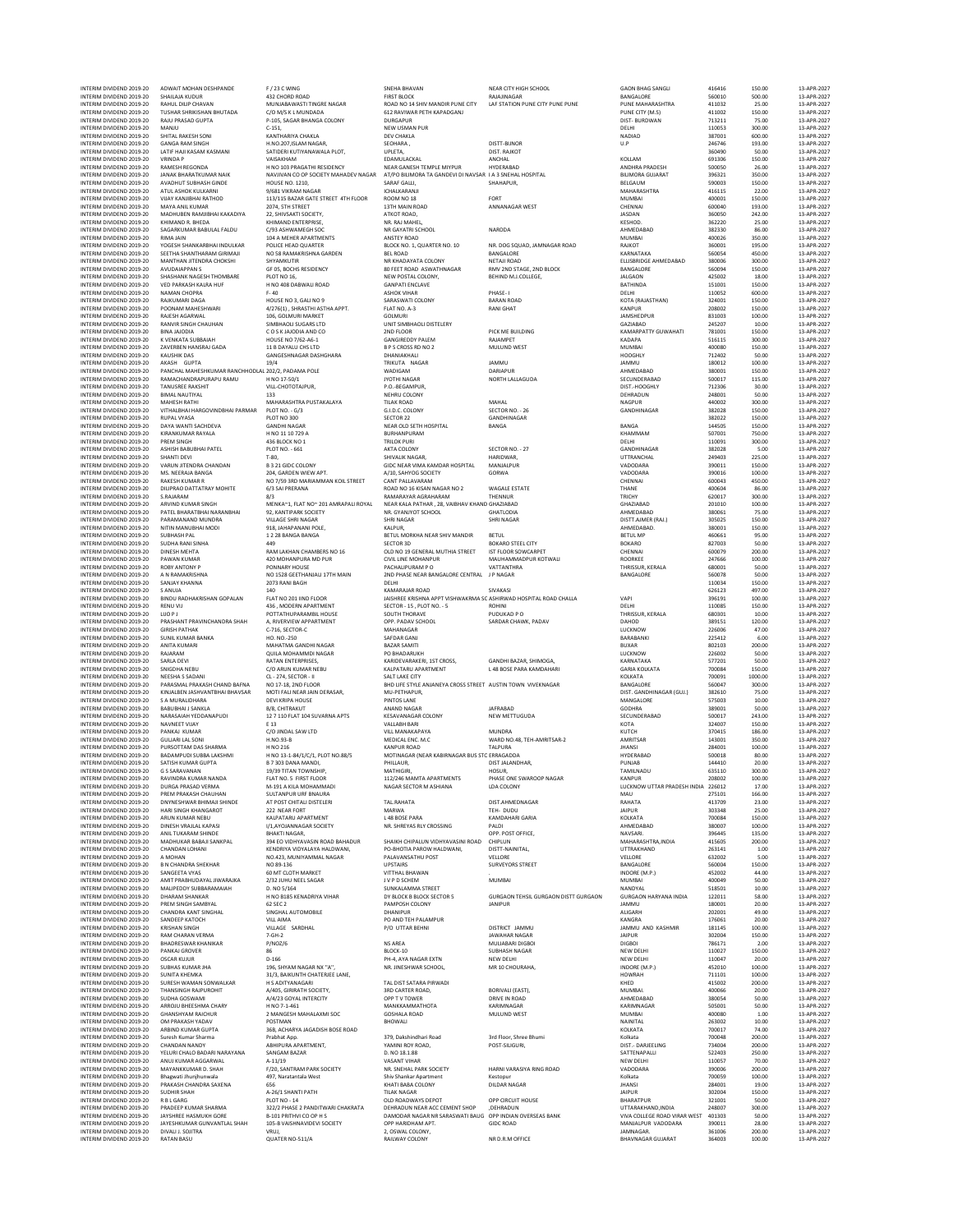| INTERIM DIVIDEND 2019-20<br>INTERIM DIVIDEND 2019-20 | ADWAIT MOHAN DESHPANDE<br>SHAILAIA KUDUR                  | F / 23 C WING<br>432 CHORD ROAD                                     | SNEHA BHAVAN<br><b>FIRST BLOCK</b>                                                     | NEAR CITY HIGH SCHOOL<br>RAJAJINAGAR                          | <b>GAON BHAG SANGLI</b><br>BANGALORE      | 416416<br>560010 | 150.00<br>500.00  | 13-APR-2027<br>13-APR-2027 |
|------------------------------------------------------|-----------------------------------------------------------|---------------------------------------------------------------------|----------------------------------------------------------------------------------------|---------------------------------------------------------------|-------------------------------------------|------------------|-------------------|----------------------------|
| INTERIM DIVIDEND 2019-20                             | RAHUL DILIP CHAVAN                                        | MUNJABAWASTI TINGRE NAGAR                                           | ROAD NO 14 SHIV MANDIR PUNE CITY                                                       | LAF STATION PUNE CITY PUNE PUNE                               | PUNE MAHARASHTRA                          | 411032           | 25.00             | 13-APR-2027                |
| INTERIM DIVIDEND 2019-20<br>INTERIM DIVIDEND 2019-20 | TUSHAR SHRIKISHAN BHUTADA<br>RAJU PRASAD GUPTA            | C/O M/S K L MUNDADA<br>P-105, SAGAR BHANGA COLONY                   | 612 RAVIWAR PETH KAPADGANJ<br>DURGAPUR                                                 |                                                               | PUNE CITY (M.S)<br>DIST- BURDWAN          | 411002<br>713211 | 150.00<br>75.00   | 13-APR-2027<br>13-APR-2027 |
| INTERIM DIVIDEND 2019-20                             | MANJU                                                     | $C-151$ .                                                           | NEW USMAN PUR                                                                          |                                                               | DELHI                                     | 110053           | 300.00            | 13-APR-2027                |
| INTERIM DIVIDEND 2019-20                             | SHITAL RAKESH SONI                                        | KANTHARIYA CHAKLA                                                   | <b>DEV CHAKLA</b>                                                                      |                                                               | NADIAD                                    | 387001           | 600.00            | 13-APR-2027                |
| INTERIM DIVIDEND 2019-20<br>INTERIM DIVIDEND 2019-20 | <b>GANGA RAM SINGH</b><br>LATIF HAJI KASAM KASMANI        | H.NO.207, ISLAM NAGAR<br>SATIDERI KUTIYANAWALA PLOT,                | SEOHARA<br>UPLETA.                                                                     | <b>DISTT-BIJNOR</b><br>DIST, RAJKOT                           | U.P                                       | 246746<br>360490 | 193.00<br>50.00   | 13-APR-2027<br>13-APR-2027 |
| INTERIM DIVIDEND 2019-20                             | <b>VRINDA P</b>                                           | VAISAKHAM                                                           | EDAMULACKAL                                                                            | ANCHAL                                                        | KOLLAM                                    | 691306           | 150.00            | 13-APR-2027                |
| INTERIM DIVIDEND 2019-20<br>INTERIM DIVIDEND 2019-20 | RAMESH REGONDA<br><b>JANAK RHARATKUMAR NAJK</b>           | H NO 103 PRAGATHI RESIDENCY<br>NAVJIVAN CO OP SOCIETY MAHADEV NAGAR | NEAR GANESH TEMPLE MIYPUR<br>AT/PO BILIMORA TA GANDEVI DI NAVSAR I A 3 SNEHAL HOSPITAL | HYDERABAD                                                     | ANDHRA PRADESH<br><b>BILIMORA GUJARAT</b> | 500050<br>396321 | 26.00<br>350.00   | 13-APR-2027<br>13-APR-2027 |
| INTERIM DIVIDEND 2019-20                             | AVADHUT SUBHASH GINDE                                     | <b>HOUSE NO. 1210,</b>                                              | SARAF GALLI,                                                                           | SHAHAPUR,                                                     | BELGAUM                                   | 590003           | 150.00            | 13-APR-2027                |
| INTERIM DIVIDEND 2019-20<br>INTERIM DIVIDEND 2019-20 | ATUL ASHOK KULKARNI<br><b>VIJAY KANJIBHAI RATHOD</b>      | 9/681 VIKRAM NAGAR<br>113/115 BAZAR GATE STREET 4TH FLOOR           | ICHALKARANJI<br>ROOM NO 18                                                             | FORT                                                          | MAHARASHTRA<br><b>MUMBAI</b>              | 416115<br>400001 | 22.00<br>150.00   | 13-APR-2027<br>13-APR-2027 |
| INTERIM DIVIDEND 2019-20                             | MAYA ANIL KUMAR                                           | 2074, STH STREET                                                    | 13TH MAIN ROAD                                                                         | ANNANAGAR WEST                                                | CHENNAI                                   | 600040           | 193.00            | 13-APR-2027                |
| INTERIM DIVIDEND 2019-20                             | MADHUBEN RAMJIBHAI KAKADIYA                               | 22, SHIVSAKTI SOCIETY,                                              | ATKOT ROAD,                                                                            |                                                               | JASDAN                                    | 360050           | 242.00            | 13-APR-2027                |
| INTERIM DIVIDEND 2019-20<br>INTERIM DIVIDEND 2019-20 | KHIMAND R. BHEDA<br>SAGARKUMAR BABULAL FALDU              | KHIMAND ENTERPRISE,<br>C/93 ASHWAMEGH SOC                           | NR. RAJ MAHEL<br>NR GAYATRI SCHOOL                                                     | NARODA                                                        | KESHOD.<br>AHMEDABAD                      | 362220<br>382330 | 25.00<br>86.00    | 13-APR-2027<br>13-APR-2027 |
| INTERIM DIVIDEND 2019-20                             | RIMA JAIN                                                 | 104 A MEHER APARTMENTS                                              | ANSTEY ROAD                                                                            |                                                               | MUMBAI                                    | 400026           | 350.00            | 13-APR-2027                |
| INTERIM DIVIDEND 2019-20<br>INTERIM DIVIDEND 2019-20 | YOGESH SHANKARBHAI INDULKAR<br>SEETHA SHANTHARAM GIRIMAJI | POLICE HEAD QUARTER<br>NO 58 RAMAKRISHNA GARDEN                     | BLOCK NO. 1, QUARTER NO. 10<br><b>BEL ROAD</b>                                         | NR. DOG SQUAD, JAMNAGAR ROAD<br>BANGALORE                     | <b>RAJKOT</b><br>KARNATAKA                | 360001<br>560054 | 195.00<br>450.00  | 13-APR-2027<br>13-APR-2027 |
| INTERIM DIVIDEND 2019-20                             | MANTHAN JITENDRA CHOKSHI                                  | SHYAMKUTIR                                                          | NR KHADAYATA COLONY                                                                    | <b>NETAJI ROAD</b>                                            | ELLISBRIDGE AHMEDABAD                     | 380006           | 300.00            | 13-APR-2027                |
| INTERIM DIVIDEND 2019-20<br>INTERIM DIVIDEND 2019-20 | <b>AVUDAIAPPANS</b><br>SHASHANK NAGESH THOMBARE           | GF 05, BOCHS RESIDENCY                                              | 80 FEET ROAD ASWATHNAGAR                                                               | RMV 2ND STAGE, 2ND BLOCK                                      | BANGALORE                                 | 560094<br>425002 | 150.00            | 13-APR-2027<br>13-APR-2027 |
| INTERIM DIVIDEND 2019-20                             | <b>VED PARKASH KALRA HUF</b>                              | PLOT NO 16,<br>H NO 408 DABWALI ROAD                                | NEW POSTAL COLONY,<br><b>GANPATI ENCLAVE</b>                                           | BEHIND M.J.COLLEGE,                                           | <b>JALGAON</b><br><b>BATHINDA</b>         | 151001           | 18.00<br>150.00   | 13-APR-2027                |
| INTERIM DIVIDEND 2019-20                             | NAMAN CHOPRA                                              | $F - 40$                                                            | <b>ASHOK VIHAR</b>                                                                     | PHASE-1                                                       | DELHI                                     | 110052           | 600.00            | 13-APR-2027                |
| INTERIM DIVIDEND 2019-20<br>INTERIM DIVIDEND 2019-20 | RAJKUMARI DAGA<br>POONAM MAHESHWARI                       | HOUSE NO 3, GALI NO 9<br>4/276(1), SHRASTHI ASTHA APPT.             | SARASWATI COLONY<br>FLAT NO. A-3                                                       | <b>BARAN ROAD</b><br><b>RANI GHAT</b>                         | KOTA (RAJASTHAN)<br><b>KANPUR</b>         | 324001<br>208002 | 150.00<br>150.00  | 13-APR-2027<br>13-APR-2027 |
| INTERIM DIVIDEND 2019-20                             | RAJESH AGARWAL                                            | 106, GOLMURI MARKET                                                 | <b>GOLMURI</b>                                                                         |                                                               | JAMSHEDPUR                                | 831003           | 100.00            | 13-APR-2027                |
| INTERIM DIVIDEND 2019-20<br>INTERIM DIVIDEND 2019-20 | RANVIR SINGH CHAUHAN<br><b>BINA JAJODIA</b>               | SIMBHAOLI SUGARS LTD<br>COSKJAJODIA AND CO                          | UNIT SIMBHAOLI DISTELERY<br>2ND FLOOR                                                  | PICK ME BUILDING                                              | GAZIABAD<br>KAMARPATTY GUWAHATI           | 245207<br>781001 | 10.00<br>150.00   | 13-APR-2027<br>13-APR-2027 |
| INTERIM DIVIDEND 2019-20                             | K VENKATA SUBBAIAH                                        | HOUSE NO 7/62-A6-1                                                  | <b>GANGIREDDY PALEM</b>                                                                | <b>RAJAMPET</b>                                               | KADAPA                                    | 516115           | 300.00            | 13-APR-2027                |
| INTERIM DIVIDEND 2019-20                             | ZAVERBEN HANSRAJ GADA                                     | 11 B DAYALU CHS LTD<br>GANGESHNAGAR DASHGHARA                       | <b>B P S CROSS RD NO 2</b>                                                             | MULUND WEST                                                   | <b>MUMBAI</b>                             | 400080<br>712402 | 150.00<br>50.00   | 13-APR-2027<br>13-APR-2027 |
| INTERIM DIVIDEND 2019-20<br>INTERIM DIVIDEND 2019-20 | KAUSHIK DAS<br>AKASH GUPTA                                | 19/4                                                                | DHANIAKHALI<br>TRIKUTA NAGAR                                                           | JAMMU                                                         | HOOGHLY<br>JAMMU                          | 180012           | 100.00            | 13-APR-2027                |
| INTERIM DIVIDEND 2019-20                             | PANCHAL MAHESHKUMAR RANCHHODLAL 202/2, PADAMA POLE        |                                                                     | WADIGAM                                                                                | <b>DARIAPUR</b>                                               | AHMEDABAD                                 | 380001           | 150.00            | 13-APR-2027                |
| INTERIM DIVIDEND 2019-20<br>INTERIM DIVIDEND 2019-20 | RAMACHANDRAPURAPU RAMU<br><b>TANUSREE RAKSHIT</b>         | H NO 17-50/1<br>VILL-CHOTOTAJPUR,                                   | JYOTHI NAGAR<br>P.O.-BEGAMPUR,                                                         | NORTH LALLAGUDA                                               | SECUNDERABAD<br>DIST.-HOOGHLY             | 500017<br>712306 | 115.00<br>30.00   | 13-APR-2027<br>13-APR-2027 |
| INTERIM DIVIDEND 2019-20                             | <b>BIMAI NAUTIYAL</b>                                     | 133                                                                 | NEHRU COLONY                                                                           |                                                               | DEHRADUN                                  | 248001           | 50.00             | 13-APR-2027                |
| INTERIM DIVIDEND 2019-20<br>INTERIM DIVIDEND 2019-20 | MAHESH RATHI<br>VITHALBHAI HARGOVINDBHAI PARMAR           | MAHARASHTRA PUSTAKALAYA<br>PLOT NO. - G/3                           | <b>TILAK ROAD</b><br>G.I.D.C. COLONY                                                   | MAHAL<br>SECTOR NO. - 26                                      | NAGPUR<br>GANDHINAGAR                     | 440002<br>382028 | 300.00<br>150.00  | 13-APR-2027<br>13-APR-2027 |
| INTERIM DIVIDEND 2019-20                             | <b>RUPAL VYASA</b>                                        | PLOT NO 300                                                         | SECTOR 22                                                                              | GANDHINAGAR                                                   |                                           | 382022           | 150.00            | 13-APR-2027                |
| INTERIM DIVIDEND 2019-20<br>INTERIM DIVIDEND 2019-20 | DAYA WANTI SACHDEVA<br>KIRANKUMAR RAYALA                  | <b>GANDHI NAGAR</b><br>H NO 11 10 729 A                             | NEAR OLD SETH HOSPITAL<br><b>BURHANPURAM</b>                                           | BANGA                                                         | BANGA<br>KHAMMAM                          | 144505<br>507001 | 150.00<br>750.00  | 13-APR-2027<br>13-APR-2027 |
| INTERIM DIVIDEND 2019-20                             | PREM SINGH                                                | 436 BLOCK NO 1                                                      | <b>TRILOK PURI</b>                                                                     |                                                               | DELHI                                     | 110091           | 300.00            | 13-APR-2027                |
| INTERIM DIVIDEND 2019-20                             | ASHISH BABUBHAI PATEL                                     | PLOT NO. - 661                                                      | AKTA COLONY                                                                            | SECTOR NO. - 27                                               | GANDHINAGAR                               | 382028           | 5.00              | 13-APR-2027                |
| INTERIM DIVIDEND 2019-20<br>INTERIM DIVIDEND 2019-20 | SHANTI DEVI<br>VARUN JITENDRA CHANDAN                     | $T-80.$<br>B 3 21 GIDC COLONY                                       | SHIVALIK NAGAR.<br>GIDC NEAR VIMA KAMDAR HOSPITAL                                      | <b>HARIDWAR</b><br>MANJALPUR                                  | UTTRANCHAL<br>VADODARA                    | 249403<br>390011 | 225.00<br>150.00  | 13-APR-2027<br>13-APR-2027 |
| INTERIM DIVIDEND 2019-20                             | MS. NEERAJA BANGA                                         | 204, GARDEN WIEW APT.                                               | A/10, SAHYOG SOCIETY                                                                   | GORWA                                                         | VADODARA                                  | 390016           | 100.00            | 13-APR-2027                |
| INTERIM DIVIDEND 2019-20<br>INTERIM DIVIDEND 2019-20 | <b>RAKESH KUMAR R</b><br>DILIPRAO DATTATRAY MOHITE        | NO 7/59 3RD MARIAMMAN KOIL STREET<br>6/3 SAI PRERANA                | <b>CANT PALLAVARAM</b><br>ROAD NO 16 KISAN NAGAR NO 2                                  | WAGALE ESTATE                                                 | CHENNAI<br>THANE                          | 600043<br>400604 | 450.00<br>86.00   | 13-APR-2027<br>13-APR-2027 |
| INTERIM DIVIDEND 2019-20                             | S.RAJARAM                                                 | 8/3                                                                 | RAMARAYAR AGRAHARAM                                                                    | THENNUR                                                       | TRICHY                                    | 620017           | 300.00            | 13-APR-2027                |
| INTERIM DIVIDEND 2019-20                             | ARVIND KUMAR SINGH                                        | MENKA~1. FLAT NO~ 201 AMRAPALI ROYAL                                | NEAR KALA PATHAR . 28 VAIRHAV KHAND GHAZIARAD                                          |                                                               | GHAZIABAD                                 | 201010           | 100.00            | 13-APR-2027                |
| INTERIM DIVIDEND 2019-20<br>INTERIM DIVIDEND 2019-20 | PATEL BHARATBHAI NARANBHAI<br>PARAMANAND MUNDRA           | 92, KANTIPARK SOCIETY<br>VILLAGE SHRI NAGAR                         | NR. GYANJYOT SCHOOL<br><b>SHRI NAGAR</b>                                               | <b>GHATLODIA</b><br>SHRI NAGAR                                | AHMEDABAD<br>DISTT.AJMER (RAJ.)           | 380061<br>305025 | 75.00<br>150.00   | 13-APR-2027<br>13-APR-2027 |
| INTERIM DIVIDEND 2019-20                             | NITIN MANUBHAI MODI                                       | 918. JAHAPANANI POLE.                                               | <b>KALPUR.</b>                                                                         |                                                               | AHMEDABAD.                                | 380001           | 150.00            | 13-APR-2027                |
| INTERIM DIVIDEND 2019-20<br>INTERIM DIVIDEND 2019-20 | <b>SUBHASH PAI</b><br>SUDHA RANI SINHA                    | 1228 BANGA BANGA<br>449                                             | BETUL MORKHA NEAR SHIV MANDIR<br>SECTOR 3D                                             | <b>BETUL</b><br><b>BOKARO STEEL CITY</b>                      | <b>BETULMP</b><br><b>BOKARO</b>           | 460661<br>827003 | 95.00<br>50.00    | 13-APR-2027<br>13-APR-2027 |
| INTERIM DIVIDEND 2019-20                             | DINESH MEHTA                                              | RAM LAKHAN CHAMBERS NO 16                                           | OLD NO 19 GENERAL MUTHIA STREET                                                        | IST FLOOR SOWCARPET                                           | CHENNAI                                   | 600079           | 200.00            | 13-APR-2027                |
| INTERIM DIVIDEND 2019-20<br>INTERIM DIVIDEND 2019-20 | PAWAN KUMAR                                               | 420 MOHANPURA MD PUR<br>PONNARY HOUSE                               | CIVIL LINE MOHANPUR<br>PACHALIPURAM PO                                                 | MAUHAMMADPUR KOTWALI<br>VATTANTHRA                            | ROORKEE<br>THRISSUR, KERALA               | 247666<br>680001 | 100.00<br>50.00   | 13-APR-2027<br>13-APR-2027 |
| INTERIM DIVIDEND 2019-20                             | <b>ROBY ANTONY P</b><br>A N RAMAKRISHNA                   | NO 1528 GEETHANJALI 17TH MAIN                                       | 2ND PHASE NEAR BANGALORE CENTRAL                                                       | J P NAGAR                                                     | BANGALORE                                 | 560078           | 50.00             | 13-APR-2027                |
| INTERIM DIVIDEND 2019-20                             | SANJAY KHANNA                                             | 2073 RANI BAGH                                                      | DELHI                                                                                  |                                                               |                                           | 110034           | 150.00            | 13-APR-2027                |
| INTERIM DIVIDEND 2019-20<br>INTERIM DIVIDEND 2019-20 | <b>SANUJA</b><br>BINDU RADHAKRISHAN GOPALAN               | 140<br>FLAT NO 201 IIND FLOOR                                       | KAMARAJAR ROAD<br>JAISHREE KRISHNA APPT VISHWAKRMA SC ASHIRWAD HOSPITAL ROAD CHALLA    | <b>SIVAKASI</b>                                               | VAPI                                      | 626123<br>396191 | 497.00<br>100.00  | 13-APR-2027<br>13-APR-2027 |
| INTERIM DIVIDEND 2019-20                             | <b>RENU VU</b>                                            | 436, MODERN APARTMENT                                               | SECTOR - 15, PLOT NO. - 5                                                              | <b>ROHINI</b>                                                 | DELHI                                     | 110085           | 150.00            | 13-APR-2027                |
| INTERIM DIVIDEND 2019-20<br>INTERIM DIVIDEND 2019-20 | LIJO P J<br>PRASHANT PRAVINCHANDRA SHAH                   | POTTATHUPARAMBIL HOUSE<br>A, RIVERVIEW APPARTMENT                   | SOUTH THORAVE<br>OPP. PADAV SCHOOL                                                     | PUDUKAD PO<br>SARDAR CHAWK, PADAV                             | THRISSUR, KERALA<br>DAHOD                 | 680301<br>389151 | 10.00<br>120.00   | 13-APR-2027<br>13-APR-2027 |
| INTERIM DIVIDEND 2019-20                             | <b>GIRISH PATHAK</b>                                      | C-716, SECTOR-C                                                     | MAHANAGAR                                                                              |                                                               | LUCKNOW                                   | 226006           | 47.00             | 13-APR-2027                |
| INTERIM DIVIDEND 2019-20<br>INTERIM DIVIDEND 2019-20 | <b>SUNIL KUMAR BANKA</b><br>ANITA KUMARI                  | HO. NO.-250<br>MAHATMA GANDHI NAGAR                                 | SAFDAR GANJ<br><b>BAZAR SAMITI</b>                                                     |                                                               | BARABANKI<br><b>BUXAR</b>                 | 225412<br>802103 | 6.00<br>200.00    | 13-APR-2027<br>13-APR-2027 |
| INTERIM DIVIDEND 2019-20                             | RAJARAM                                                   | <b>QUILA MOHAMMDI NAGAR</b>                                         | PO BHADARUKH                                                                           |                                                               | LUCKNOW                                   | 226002           | 50.00             | 13-APR-2027                |
| INTERIM DIVIDEND 2019-20                             | <b>SARLA DEVI</b>                                         | RATAN ENTERPRISES,                                                  | KARIDEVARAKERI, 1ST CROSS,                                                             | GANDHI BAZAR, SHIMOGA                                         | KARNATAKA                                 | 577201           | 50.00             | 13-APR-2027                |
| INTERIM DIVIDEND 2019-20<br>INTERIM DIVIDEND 2019-20 | SNIGDHA NEBU<br><b>NEESHA S SADANI</b>                    | C/O ARUN KUMAR NEBU<br>CL-274. SECTOR- II                           | KALPATARU APARTMENT<br>SAIT LAKE CITY                                                  | L 48 BOSE PARA KAMDAHARI                                      | <b>GARIA KOLKATA</b><br><b>KOLKATA</b>    | 700084<br>700091 | 150.00<br>1000.00 | 13-APR-2027<br>13-APR-2027 |
| INTERIM DIVIDEND 2019-20                             | PARASMAL PRAKASH CHAND BAFNA                              | NO 17-18, 2ND FLOOR                                                 | BHD LIFE STYLE ANJANEYA CROSS STREET AUSTIN TOWN VIVEKNAGAR                            |                                                               | BANGALORE                                 | 560047           | 300.00            | 13-APR-2027                |
| INTERIM DIVIDEND 2019-20<br>INTERIM DIVIDEND 2019-20 | KINJALBEN JASHVANTBHAI BHAVSAR<br>S A MURALIDHARA         | MOTI FALI NEAR JAIN DERASAR.<br><b>DEVI KRIPA HOUSE</b>             | MU-PETHAPUR,<br><b>PINTOS LANE</b>                                                     |                                                               | DIST. GANDHINAGAR (GUJ.)<br>MANGALORE     | 382610<br>575003 | 75.00<br>10.00    | 13-APR-2027<br>13-APR-2027 |
| INTERIM DIVIDEND 2019-20                             | <b>BABUBHAI J SANKLA</b>                                  | B/8, CHITRAKUT                                                      | ANAND NAGAR                                                                            | <b>JAFRABAD</b>                                               | GODHRA                                    | 389001           | 50.00             | 13-APR-2027                |
| INTERIM DIVIDEND 2019-20<br>INTERIM DIVIDEND 2019-20 | NARASAIAH YEDDANAPUDI<br>NAVNEET VUAY                     | 12 7 110 FLAT 104 SUVARNA APTS<br>E 13                              | <b>KESAVANAGAR COLONY</b><br><b>VALLABH BARI</b>                                       | NEW METTUGUDA                                                 | SECUNDERABAD<br>KOTA                      | 500017<br>324007 | 243.00<br>150.00  | 13-APR-2027<br>13-APR-2027 |
| INTERIM DIVIDEND 2019-20                             | PANKAJ KUMAR                                              | C/O JINDAL SAW LTD                                                  | VILL MANAKAPAYA                                                                        | <b>MUNDRA</b>                                                 | KUTCH                                     | 370415           | 186.00            | 13-APR-2027                |
| INTERIM DIVIDEND 2019-20                             | <b>GULJARI LAL SONI</b>                                   | H.NO.93-B                                                           | MEDICAL ENC. M.C.<br><b>KANPUR ROAD</b>                                                | WARD NO.48. TEH-AMRITSAR-2                                    | AMRITSAR                                  | 143001           | 350.00            | 13-APR-2027<br>13-APR-2027 |
| INTERIM DIVIDEND 2019-20<br>INTERIM DIVIDEND 2019-20 | PURSOTTAM DAS SHARMA<br><b>BADAMPUDI SUBBA LAKSHMI</b>    | H NO 216<br>H NO 13-1-84/1/C/1, PLOT NO.88/5                        | MOTINAGAR (NEAR KABIRNAGAR BUS STC ERRAGADDA                                           | <b>TALPURA</b>                                                | <b>JHANSI</b><br><b>HYDERABAD</b>         | 284001<br>500018 | 100.00<br>80.00   | 13-APR-2027                |
| INTERIM DIVIDEND 2019-20                             | SATISH KUMAR GUPTA                                        | B 7 303 DANA MANDL                                                  | PHILLAUR.                                                                              | DIST JALANDHAR.                                               | PUNJAB                                    | 144410           | 20.00             | 13-APR-2027                |
| INTERIM DIVIDEND 2019-20<br>INTERIM DIVIDEND 2019-20 | G S SARAVANAN<br>RAVINDRA KUMAR NANDA                     | 19/39 TITAN TOWNSHIP<br>FLAT NO. 5 FIRST FLOOR                      | MATHIGIRI<br>112/246 MAMTA APARTMENTS                                                  | <b>HOSUR</b><br>PHASE ONE SWAROOP NAGAR                       | TAMILNADU<br><b>KANPUR</b>                | 635110<br>208002 | 300.00<br>100.00  | 13-APR-2027<br>13-APR-2027 |
| INTERIM DIVIDEND 2019-20                             | DURGA PRASAD VERMA                                        | M-191 A KII A MOHAMMADI                                             | NAGAR SECTOR M ASHIANA                                                                 | LDA COLONY                                                    | LUCKNOW UTTAR PRADESH INDIA 226012        |                  | 17.00             | 13-APR-2027                |
| INTERIM DIVIDEND 2019-20<br>INTERIM DIVIDEND 2019-20 | PREM PRAKASH CHAUHAN<br>DNYNESHWAR BHIMAJI SHINDE         | SULTANPUR URF BNAURA<br>AT POST CHITALI DISTELERI                   | <b>TAL.RAHATA</b>                                                                      | DIST.AHMEDNAGAR                                               | MAU<br>RAHATA                             | 275101<br>413709 | 166.00<br>23.00   | 13-APR-2027<br>13-APR-2027 |
| INTERIM DIVIDEND 2019-20                             | HARI SINGH KHANGAROT                                      | 222 NEAR FORT                                                       | MARWA                                                                                  | TFH- DUDU                                                     | <b>JAIPUR</b>                             | 303348           | 25.00             | 13-APR-2027                |
| INTERIM DIVIDEND 2019-20<br>INTERIM DIVIDEND 2019-20 | ARUN KUMAR NEBU<br>DINESH VRAJLAL KAPASI                  | KALPATARU APARTMENT<br>I/1.AYOJANNAGAR SOCIETY                      | L 48 BOSE PARA<br>NR. SHREYAS RLY CROSSING                                             | KAMDAHARI GARIA<br>PALDI                                      | KOLKATA<br>AHMEDABAD                      | 700084<br>380007 | 150.00<br>100.00  | 13-APR-2027<br>13-APR-2027 |
| INTERIM DIVIDEND 2019-20                             | ANIL TUKARAM SHINDE                                       | <b>BHAKTI NAGAR,</b>                                                |                                                                                        | OPP. POST OFFICE,                                             | NAVSARI.                                  | 396445           | 135.00            | 13-APR-2027                |
| INTERIM DIVIDEND 2019-20<br>INTERIM DIVIDEND 2019-20 | MADHUKAR BABAJI SANKPAL                                   | 394 EO VIDHYAVASIN ROAD BAHADUR                                     | SHAIKH CHIPALUN VIDHYAVASINI ROAD                                                      | CHIPLUN                                                       | MAHARASHTRA, INDIA<br><b>UTTRAKHAND</b>   | 415605           | 200.00            | 13-APR-2027<br>13-APR-2027 |
| INTERIM DIVIDEND 2019-20                             | CHANDAN LOHANI<br>A MOHAN                                 | KENDRIYA VIDYALAYA HALDWANI.<br>NO.423, MUNIYAMMAL NAGAR            | PO-BHOTIA PAROW HALDWANI.<br>PALAVANSATHU POST                                         | DISTT-NAINITAL.<br>VELLORE                                    | VELLORE                                   | 263141<br>632002 | 1.00<br>5.00      | 13-APR-2027                |
| INTERIM DIVIDEND 2019-20                             | <b>B N CHANDRA SHEKHAR</b>                                | NO 89-136<br>60 MT CLOTH MARKET                                     | <b>UPSTAIRS</b>                                                                        | <b>SURVEYORS STREET</b>                                       | BANGALORE                                 | 560004           | 150.00            | 13-APR-2027                |
| INTERIM DIVIDEND 2019-20<br>INTERIM DIVIDEND 2019-20 | SANGEETA VYAS<br>AMIT PRABHUDAYAL JIWARAJKA               | 2/32 JUHU NEEL SAGAR                                                | <b>VITTHAL BHAWAN</b><br>J V P D SCHEM                                                 | MUMBAI                                                        | INDORE (M.P.)<br>MUMBAI                   | 452002<br>400049 | 44.00<br>50.00    | 13-APR-2027<br>13-APR-2027 |
| INTERIM DIVIDEND 2019-20                             | MALIPEDDY SUBBARAMAIAH                                    | D. NO 5/164                                                         | SUNKALAMMA STREET                                                                      |                                                               | NANDYAL                                   | 518501           | 10.00             | 13-APR-2027                |
| INTERIM DIVIDEND 2019-20<br>INTERIM DIVIDEND 2019-20 | <b>DHARAM SHANKAR</b><br>PREM SINGH SAMBYAL               | H NO B185 KENADRIYA VIHAR<br>62 SEC 2                               | DY BLOCK B BLOCK SECTOR 5<br>PAMPOSH COLONY                                            | <b>GURGAON TEHSIL GURGAON DISTT GURGAON</b><br><b>JANIPUR</b> | <b>GURGAON HARYANA INDIA</b><br>JAMMU     | 122011<br>180001 | 58.00<br>20.00    | 13-APR-2027<br>13-APR-2027 |
| INTERIM DIVIDEND 2019-20                             | CHANDRA KANT SINGHAL                                      | SINGHAL AUTOMOBILE                                                  | DHANIPUR                                                                               |                                                               | ALIGARH                                   | 202001           | 49.00             | 13-APR-2027                |
| INTERIM DIVIDEND 2019-20                             | SANDEEP KATOCH                                            | <b>VILL AIMA</b>                                                    | PO AND TEH PALAMPUR                                                                    | DISTRICT JAMMU                                                | <b>KANGRA</b>                             | 176061           | 20.00             | 13-APR-2027                |
| INTERIM DIVIDEND 2019-20<br>INTERIM DIVIDEND 2019-20 | <b>KRISHAN SINGH</b><br><b>RAM CHARAN VERMA</b>           | VILLAGE SARDHAL<br>$7 - GH - 2$                                     | P/O UTTAR BEHNI                                                                        | <b>JAWAHAR NAGAR</b>                                          | JAMMU AND KASHMIR<br><b>JAIPUR</b>        | 181145<br>302004 | 100.00<br>150.00  | 13-APR-2027<br>13-APR-2027 |
| INTERIM DIVIDEND 2019-20                             | <b>BHADRESWAR KHANIKAR</b>                                | P/NOZ/6                                                             | <b>NS AREA</b>                                                                         | MULIABARI DIGBOI                                              | <b>DIGBOI</b>                             | 786171           | 2.00              | 13-APR-2027                |
| INTERIM DIVIDEND 2019-20<br>INTERIM DIVIDEND 2019-20 | PANKAJ GROVER<br><b>OSCAR KUJUR</b>                       | 86<br>$D-166$                                                       | BLOCK-10<br>PH-4, AYA NAGAR EXTN                                                       | <b>SUBHASH NAGAR</b><br>NEW DELHI                             | NEW DELHI<br><b>NEW DELHI</b>             | 110027<br>110047 | 150.00<br>20.00   | 13-APR-2027<br>13-APR-2027 |
| INTERIM DIVIDEND 2019-20                             | SUBHAS KUMAR JHA                                          | 196, SHYAM NAGAR NX "A",                                            | NR. JINESHWAR SCHOOL.                                                                  | MR 10 CHOURAHA,                                               | INDORE (M.P.)                             | 452010           | 100.00            | 13-APR-2027                |
| INTERIM DIVIDEND 2019-20<br>INTERIM DIVIDEND 2019-20 | <b>SUNITA KHEMKA</b><br>SURESH WAMAN SONWALKAR            | 31/3, BAIKUNTH CHATERJEE LANE,<br><b>H S ADITYANAGARI</b>           | TAL DIST SATARA PIRWADI                                                                |                                                               | HOWRAH<br>KHED                            | 711101<br>415002 | 100.00<br>200.00  | 13-APR-2027<br>13-APR-2027 |
| INTERIM DIVIDEND 2019-20                             | THANSINGH RAJPUROHIT                                      | A/405, GIRIRATH SOCIETY,                                            | 3RD CARTER ROAD,                                                                       | BORIVALI (EAST),                                              | MUMBAI.                                   | 400066           | 20.00             | 13-APR-2027                |
| INTERIM DIVIDEND 2019-20<br>INTERIM DIVIDEND 2019-20 | SUDHA GOSWAMI<br>ARROJU BHEESHMA CHARY                    | A/4/23 GOYAL INTERCITY<br>H NO 7-1-461                              | OPP T V TOWER<br>MANKKAMMATHOTA                                                        | DRIVE IN ROAD<br>KARIMNAGAR                                   | AHMEDABAD<br>KARIMNAGAR                   | 380054<br>505001 | 50.00<br>50.00    | 13-APR-2027<br>13-APR-2027 |
| INTERIM DIVIDEND 2019-20                             | <b>GHANSHYAM RAICHUR</b>                                  | 2 MANGESH MAHALAXMI SOC                                             | <b>GOSHALA ROAD</b>                                                                    | MULUND WEST                                                   | MUMBAI                                    | 400080           | 1.00              | 13-APR-2027                |
| INTERIM DIVIDEND 2019-20                             | OM PRAKASH YADAV                                          | POSTMAN                                                             | <b>BHOWALI</b>                                                                         |                                                               | NAINITAL                                  | 263002           | 10.00             | 13-APR-2027                |
| INTERIM DIVIDEND 2019-20<br>INTERIM DIVIDEND 2019-20 | ARBIND KUMAR GUPTA<br>Suresh Kumar Sharma                 | 36B, ACHARYA JAGADISH BOSE ROAD<br>Prabhat App.                     | 379, Dakshindhari Road                                                                 | 3rd Floor, Shree Bhumi                                        | KOLKATA<br>Kolkata                        | 700017<br>700048 | 74.00<br>200.00   | 13-APR-2027<br>13-APR-2027 |
| INTERIM DIVIDEND 2019-20                             | <b>CHANDAN NANDY</b>                                      | ABHIPURA APARTMENT.                                                 | YAMINI ROY ROAD.                                                                       | POST-SILIGURI.                                                | DIST.- DARJEELING                         | 734004           | 200.00            | 13-APR-2027                |
| INTERIM DIVIDEND 2019-20<br>INTERIM DIVIDEND 2019-20 | YELURI CHALO BADARI NARAYANA<br>ANUJ KUMAR AGGARWAL       | SANGAM BAZAR<br>$A-11/19$                                           | D. NO 18.1.88<br>VASANT VIHAR                                                          |                                                               | SATTENAPALLI<br>NEW DELHI                 | 522403<br>110057 | 250.00<br>70.00   | 13-APR-2027<br>13-APR-2027 |
| INTERIM DIVIDEND 2019-20                             | MAYANKKUMAR D. SHAH                                       | F/20, SANTRAM PARK SOCIETY                                          | NR. SNEHAL PARK SOCIETY                                                                | HARNI VARASIYA RING ROAD                                      | VADODARA                                  | 390006           | 200.00            | 13-APR-2027                |
| INTERIM DIVIDEND 2019-20<br>INTERIM DIVIDEND 2019-20 | Bhagwati Jhunjhunwala<br>PRAKASH CHANDRA SAXENA           | 497, Naratantala West<br>656                                        | Shiv Shankar Apartment<br>KHATI BABA COLONY                                            | Kestopur<br><b>DILDAR NAGAR</b>                               | Kolkata<br><b>JHANSI</b>                  | 700059<br>284001 | 100.00<br>19.00   | 13-APR-2027<br>13-APR-2027 |
| INTERIM DIVIDEND 2019-20                             | <b>SUDHIR SHAH</b>                                        | A-26/1 SHANTI PATH                                                  | <b>TILAK NAGAR</b>                                                                     |                                                               | <b>JAIPUR</b>                             | 302004           | 150.00            | 13-APR-2027                |
| INTERIM DIVIDEND 2019-20<br>INTERIM DIVIDEND 2019-20 | <b>RBLGARG</b><br>PRADEEP KUMAR SHARMA                    | PLOT NO - 14<br>322/2 PHASE 2 PANDITWARI CHAKRATA                   | OLD ROADWAYS DEPOT<br>DEHRADUN NEAR ACC CEMENT SHOP                                    | OPP CIRCUIT HOUSE<br>,DEHRADUN                                | <b>BHARATPUR</b><br>UTTARAKHAND, INDIA    | 321001<br>248007 | 50.00<br>300.00   | 13-APR-2027<br>13-APR-2027 |
| INTERIM DIVIDEND 2019-20                             | JAYSHREE HASMUKH GORE                                     | B-101 PRITHVI CO OP H S                                             | DAMODAR NAGAR NR SARASWATI BAUG OPP INDIAN OVERSEAS BANK                               |                                                               | VIVA COLLEGE ROAD VIRAR WEST              | 401303           | 50.00             | 13-APR-2027                |
| INTERIM DIVIDEND 2019-20                             | JAYESHKUMAR GUNVANTLAL SHAH                               | 105-B VAISHNAVIDEVI SOCIETY                                         | OPP HARIDHAM APT.                                                                      | <b>GIDC ROAD</b>                                              | MANJALPUR VADODARA                        | 390011           | 28.00             | 13-APR-2027                |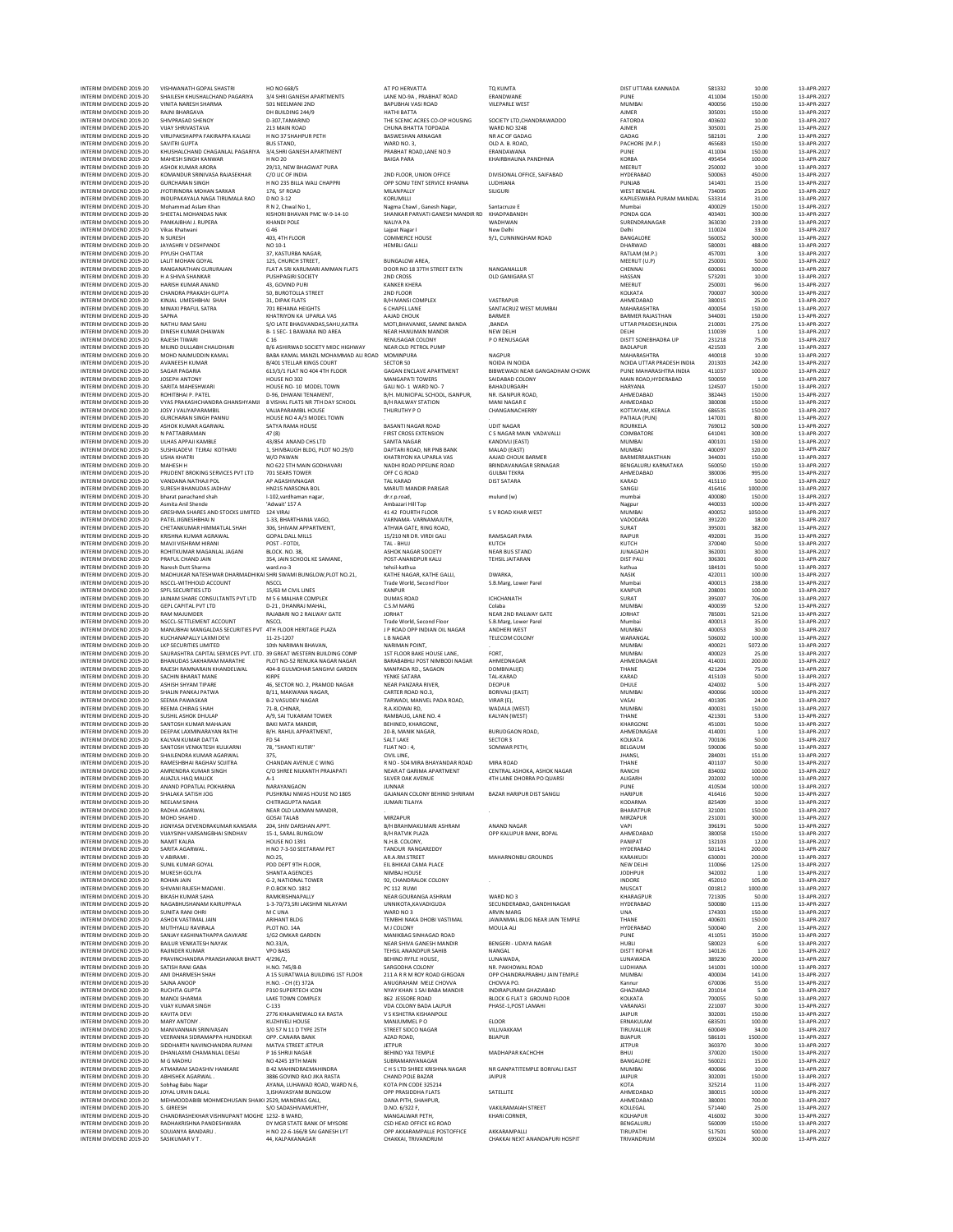| INTERIM DIVIDEND 2019-20<br>INTERIM DIVIDEND 2019-20 | VISHWANATH GOPAL SHASTRI<br>SHAILESH KHUSHALCHAND PAGARIYA                                     | HO NO 668/5<br>3/4 SHRI GANESH APARTMENTS                                          | AT PO HERVATTA<br>LANE NO-9A, PRABHAT ROAD                 | TQ KUMTA<br><b>FRANDWANE</b>                            | DIST UTTARA KANNADA<br>PUNE                   | 581332<br>411004 | 10.00<br>150.00  | 13-APR-2027<br>13-APR-2027 |
|------------------------------------------------------|------------------------------------------------------------------------------------------------|------------------------------------------------------------------------------------|------------------------------------------------------------|---------------------------------------------------------|-----------------------------------------------|------------------|------------------|----------------------------|
| INTERIM DIVIDEND 2019-20                             | VINITA NARESH SHARMA                                                                           | 501 NEELMANI 2ND                                                                   | BAPUBHAI VASI ROAD                                         | <b>VILEPARLE WEST</b>                                   | MUMBAI                                        | 400056           | 150.00           | 13-APR-2027                |
| INTERIM DIVIDEND 2019-20<br>INTERIM DIVIDEND 2019-20 | RAJNI BHARGAVA<br>SHIVPRASAD SHENOY                                                            | DH BUILDING 244/9<br>D-307.TAMARIND                                                | HATHI BATTA<br>THE SCENIC ACRES CO-OP HOUSING              | SOCIETY LTD.CHANDRAWADDO                                | <b>AJMER</b><br><b>FATORDA</b>                | 305001<br>403602 | 150.00<br>10.00  | 13-APR-2027<br>13-APR-2027 |
| INTERIM DIVIDEND 2019-20                             | <b>VIJAY SHRIVASTAVA</b>                                                                       | 213 MAIN ROAD                                                                      | CHUNA BHATTA TOPDADA                                       | <b>WARD NO 3248</b>                                     | <b>AJMER</b>                                  | 305001           | 25.00            | 13-APR-2027                |
| INTERIM DIVIDEND 2019-20<br>INTERIM DIVIDEND 2019-20 | VIRUPAKSHAPPA FAKIRAPPA KALAGI<br>SAVITRI GUPTA                                                | H NO 37 SHAHPUR PETH<br><b>BUS STAND</b>                                           | <b>BASWESHAN ARNAGAR</b><br>WARD NO. 3,                    | NR AC OF GADAG<br>OLD A. B. ROAD,                       | GADAG<br>PACHORE (M.P.)                       | 582101<br>465683 | 2.00<br>150.00   | 13-APR-2027<br>13-APR-2027 |
| INTERIM DIVIDEND 2019-20                             | KHUSHALCHAND CHAGANLAL PAGARIYA                                                                | 3/4, SHRI GANESH APARTMENT                                                         | PRABHAT ROAD, LANE NO.9                                    | ERANDAWANA                                              | PUNE                                          | 411004           | 150.00           | 13-APR-2027                |
| INTERIM DIVIDEND 2019-20<br>INTERIM DIVIDEND 2019-20 | MAHESH SINGH KANWAR<br>ASHOK KUMAR ARORA                                                       | H NO 20<br>29/13, NEW BHAGWAT PURA                                                 | <b>BAIGA PARA</b>                                          | KHAIRBHAUNA PANDHNIA                                    | <b>KORBA</b><br>MEERUT                        | 495454<br>250002 | 100.00<br>10.00  | 13-APR-2027<br>13-APR-2027 |
| INTERIM DIVIDEND 2019-20<br>INTERIM DIVIDEND 2019-20 | KOMANDUR SRINIVASA RAJASEKHAR<br><b>GURCHARAN SINGH</b>                                        | C/O LIC OF INDIA<br>H NO 235 BILLA WALLCHAPPRI                                     | 2ND FLOOR, UNION OFFICE<br>OPP SONU TENT SERVICE KHANNA    | DIVISIONAL OFFICE, SAIFABAD<br>LUDHIANA                 | HYDERABAD<br>PUNJAB                           | 500063<br>141401 | 450.00<br>15.00  | 13-APR-2027<br>13-APR-2027 |
| INTERIM DIVIDEND 2019-20                             | JYOTIRINDRA MOHAN SARKAR                                                                       | 176, SF ROAD                                                                       | MILANPALLY                                                 | SILIGURI                                                | <b>WEST BENGAL</b>                            | 734005           | 25.00            | 13-APR-2027                |
| INTERIM DIVIDEND 2019-20<br>INTERIM DIVIDEND 2019-20 | INDUPAKAYALA NAGA TIRUMALA RAO<br>Mohammad Aslam Khan                                          | D NO 3-12<br>R N 2, Chwal No 1,                                                    | KORUMILLI<br>Nagma Chawl, Ganesh Nagar,                    | Santacruze E                                            | KAPILESWARA PURAM MANDAL<br>Mumba             | 533314<br>400029 | 31.00<br>150.00  | 13-APR-2027<br>13-APR-2027 |
| INTERIM DIVIDEND 2019-20                             | SHEETAL MOHANDAS NAIK                                                                          | KISHORI BHAVAN PMC W-9-14-10                                                       | SHANKAR PARVATI GANESH MANDIR RD                           | KHADPABANDH                                             | PONDA GOA                                     | 403401           | 300.00           | 13-APR-2027                |
| INTERIM DIVIDEND 2019-20<br>INTERIM DIVIDEND 2019-20 | PANKAJBHAI J. RUPERA<br>Vikas Khatwan                                                          | <b>KHANDI POLE</b><br>G 46                                                         | <b>NALIYA PA</b><br>Lajpat Nagar I                         | WADHWAN<br>New Delhi                                    | SURENDRANAGAR<br>Delhi                        | 363030<br>110024 | 219.00<br>33.00  | 13-APR-2027<br>13-APR-2027 |
| INTERIM DIVIDEND 2019-20<br>INTERIM DIVIDEND 2019-20 | N SURESH                                                                                       | 403, 4TH FLOOR                                                                     | COMMERCE HOUSE                                             | 9/1, CUNNINGHAM ROAD                                    | BANGALORE                                     | 560052<br>580001 | 300.00           | 13-APR-2027<br>13-APR-2027 |
| INTERIM DIVIDEND 2019-20                             | JAYASHRI V DESHPANDE<br>PIYUSH CHATTAR                                                         | NO 10-1<br>37, KASTURBA NAGAR,                                                     | <b>HEMBLI GALLI</b>                                        |                                                         | DHARWAD<br>RATLAM (M.P.)                      | 457001           | 488.00<br>3.00   | 13-APR-2027                |
| INTERIM DIVIDEND 2019-20<br>INTERIM DIVIDEND 2019-20 | LALIT MOHAN GOYAL<br>RANGANATHAN GURURAJAN                                                     | 125, CHURCH STREET,<br>FLAT A SRI KARUMARI AMMAN FLATS                             | <b>BUNGALOW AREA,</b><br>DOOR NO 18 37TH STREET EXTN       | NANGANALLUR                                             | MEERUT (U.P)<br>CHENNAI                       | 250001<br>600061 | 50.00<br>300.00  | 13-APR-2027<br>13-APR-2027 |
| INTERIM DIVIDEND 2019-20                             | H A SHIVA SHANKAR                                                                              | PUSHPAGIRI SOCIETY                                                                 | 2ND CROSS                                                  | OLD GANIGARA ST                                         | HASSAN                                        | 573201           | 10.00            | 13-APR-2027                |
| INTERIM DIVIDEND 2019-20<br>INTERIM DIVIDEND 2019-20 | <b>HARISH KUMAR ANANC</b><br>CHANDRA PRAKASH GUPTA                                             | 43, GOVIND PURI<br>50, BUROTOLLA STREET                                            | <b>KANKER KHERA</b><br>2ND FLOOR                           |                                                         | MEERUT<br>KOLKATA                             | 250001<br>700007 | 96.00<br>300.00  | 13-APR-2027<br>13-APR-2027 |
| INTERIM DIVIDEND 2019-20                             | KINJAL UMESHBHAI SHAH                                                                          | 31, DIPAK FLATS                                                                    | <b>B/H MANSI COMPLEX</b>                                   | VASTRAPUR                                               | AHMEDABAD                                     | 380015           | 25.00            | 13-APR-2027                |
| INTERIM DIVIDEND 2019-20<br>INTERIM DIVIDEND 2019-20 | MINAXI PRAFUL SATRA<br>SAPNA                                                                   | 701 REHANA HEIGHTS<br>KHATRIYON KA UPARLA VAS                                      | <b>6 CHAPEL LANE</b><br>AAJAD CHOUK                        | SANTACRUZ WEST MUMBAI<br><b>BARMER</b>                  | MAHARASHTRA<br><b>BARMER RAJASTHAN</b>        | 400054<br>344001 | 150.00<br>150.00 | 13-APR-2027<br>13-APR-2027 |
| INTERIM DIVIDEND 2019-20<br>INTERIM DIVIDEND 2019-20 | NATHU RAM SAHU<br>DINESH KUMAR DHAWAN                                                          | S/O LATE BHAGVANDAS, SAHU, KATRA<br>B-1 SEC-1 BAWANA IND AREA                      | MOTI, BHAVANKE, SAMNE BANDA<br>NEAR HANUMAN MANDIR         | ,BANDA<br>NEW DELHI                                     | UTTAR PRADESH, INDIA<br>DELHI                 | 210001<br>110039 | 275.00<br>1.00   | 13-APR-2027<br>13-APR-2027 |
| INTERIM DIVIDEND 2019-20                             | RAJESH TIWARI                                                                                  | C <sub>16</sub>                                                                    | RENUSAGAR COLONY                                           | P O RENUSAGAR                                           | DISTT SONEBHADRA UP                           | 231218           | 75.00            | 13-APR-2027                |
| INTERIM DIVIDEND 2019-20<br>INTERIM DIVIDEND 2019-20 | MILIND DULLABH CHAUDHAR<br>MOHD NAJMUDDIN KAMAL                                                | B/6 ASHIRWAD SOCIETY MIDC HIGHWAY<br>BABA KAMAL MANZIL MOHAMMAD ALI ROAD MOMINPURA | NEAR OLD PETROL PUMP                                       | NAGPUR                                                  | <b>BADLAPUR</b><br>MAHARASHTRA                | 421503<br>440018 | 2.00<br>10.00    | 13-APR-2027<br>13-APR-2027 |
| INTERIM DIVIDEND 2019-20                             | AVANEESH KUMAR                                                                                 | <b>B/401 STELLAR KINGS COURT</b>                                                   | <b>SECTOR 50</b>                                           | NOIDA IN NOIDA                                          | NOIDA UTTAR PRADESH INDIA                     | 201303           | 242.00           | 13-APR-2027                |
| INTERIM DIVIDEND 2019-20<br>INTERIM DIVIDEND 2019-20 | <b>SAGAR PAGARIA</b><br>JOSEPH ANTONY                                                          | 613/3/1 FLAT NO 404 4TH FLOOR<br>HOUSE NO 302                                      | GAGAN ENCLAVE APARTMENT<br>MANGAPATI TOWERS                | BIBWEWADI NEAR GANGADHAM CHOWK<br>SAIDABAD COLONY       | PUNE MAHARASHTRA INDIA<br>MAIN ROAD HYDERARAD | 411037<br>500059 | 100.00<br>1.00   | 13-APR-2027<br>13-APR-2027 |
| INTERIM DIVIDEND 2019-20                             | SARITA MAHESHWARI                                                                              | HOUSE NO- 10 MODEL TOWN                                                            | GALI NO-1 WARD NO-7<br>B/H. MUNICIPAL SCHOOL. ISANPUR.     | BAHADURGARH<br>NR. ISANPUR ROAD.                        | <b>HARYANA</b>                                | 124507           | 150.00           | 13-APR-2027                |
| INTERIM DIVIDEND 2019-20<br>INTERIM DIVIDEND 2019-20 | ROHITBHAI P. PATEL<br>VYAS PRAKASHCHANDRA GHANSHYAMJI                                          | D-96, DHWANI TENAMENT,<br>8 VISHAL FLATS NR 7TH DAY SCHOOL                         | <b>B/H RAILWAY STATION</b>                                 | MANI NAGAR E                                            | AHMEDABAD<br>AHMEDABAD                        | 382443<br>380008 | 150.00<br>150.00 | 13-APR-2027<br>13-APR-2027 |
| INTERIM DIVIDEND 2019-20<br>INTERIM DIVIDEND 2019-20 | JOSY J VALIYAPARAMBII<br><b>GURCHARAN SINGH PANNU</b>                                          | VALIAPARAMBIL HOUSE<br>HOUSE NO 4 A/3 MODEL TOWN                                   | THURUTHY PO                                                | CHANGANACHERRY                                          | KOTTAYAM, KERALA<br>PATIALA (PUN)             | 686535<br>147001 | 150.00<br>80.00  | 13-APR-2027<br>13-APR-2027 |
| INTERIM DIVIDEND 2019-20                             | ASHOK KUMAR AGARWAL                                                                            | SATYA RAMA HOUSE                                                                   | <b>BASANTI NAGAR ROAD</b>                                  | <b>UDIT NAGAR</b>                                       | ROURKELA                                      | 769012           | 500.00           | 13-APR-2027                |
| INTERIM DIVIDEND 2019-20<br>INTERIM DIVIDEND 2019-20 | N PATTABIRAMAN<br>ULHAS APPAJI KAMBLE                                                          | 47 (8)<br>43/854 ANAND CHS LTD                                                     | FIRST CROSS EXTENSION<br><b>SAMTA NAGAR</b>                | C S NAGAR MAIN VADAVALLI<br>KANDIVLI (EAST)             | COIMBATORE<br><b>MUMBAI</b>                   | 641041<br>400101 | 300.00<br>150.00 | 13-APR-2027<br>13-APR-2027 |
| INTERIM DIVIDEND 2019-20                             | SUSHILADEVI TEJRAJ KOTHARI                                                                     | 1, SHIVBAUGH BLDG, PLOT NO.29/D                                                    | DAFTARI ROAD, NR PNB BANK                                  | MALAD (EAST)                                            | MUMBAI                                        | 400097           | 320.00           | 13-APR-2027                |
| INTERIM DIVIDEND 2019-20<br>INTERIM DIVIDEND 2019-20 | <b>USHA KHATR</b><br><b>MAHESH H</b>                                                           | W/O PAWAN<br>NO 622 STH MAIN GODHAVARI                                             | KHATRIYON KA UPARLA VAS<br>NADHI ROAD PIPELINE ROAD        | AAJAD CHOUK BARMER<br><b>BRINDAVANAGAR SRINAGAR</b>     | BARMERRAJASTHAN<br><b>RENGALURU KARNATAKA</b> | 344001<br>560050 | 150.00<br>150.00 | 13-APR-2027<br>13-APR-2027 |
| INTERIM DIVIDEND 2019-20<br>INTERIM DIVIDEND 2019-20 | PRUDENT BROKING SERVICES PVT LTD<br>VANDANA NATHAJI POL                                        | 701 SEARS TOWER<br>AP AGASHIVNAGAR                                                 | OFF C G ROAD<br><b>TAL KARAD</b>                           | <b>GULBAI TEKRA</b><br><b>DIST SATARA</b>               | AHMEDABAD<br>KARAD                            | 380006<br>415110 | 995.00<br>50.00  | 13-APR-2027<br>13-APR-2027 |
| INTERIM DIVIDEND 2019-20                             | SURESH BHANUDAS JADHAV                                                                         | HN215 NARSONA BOL                                                                  | MARUTI MANDIR PARISAR                                      |                                                         | SANGLI                                        | 416416           | 1000.00          | 13-APR-2027                |
| INTERIM DIVIDEND 2019-20<br>INTERIM DIVIDEND 2019-20 | bharat panachand shah<br>Asmita Anil Shende                                                    | I-102, vardhaman nagar,<br>'Adwait' 157 A                                          | dr.r.p.road,<br>Ambazari Hill Top                          | mulund (w)                                              | mumba<br>Nagpur                               | 400080<br>440033 | 150.00<br>100.00 | 13-APR-2027<br>13-APR-2027 |
| INTERIM DIVIDEND 2019-20                             | GRESHMA SHARES AND STOCKS LIMITED 124 VIRAJ                                                    |                                                                                    | 41 42 FOURTH FLOOR                                         | S V ROAD KHAR WEST                                      | MUMBAI                                        | 400052           | 1050.00          | 13-APR-2027                |
| INTERIM DIVIDEND 2019-20<br>INTERIM DIVIDEND 2019-20 | PATEL JIGNESHBHAIN<br>CHETANKUMAR HIMMATLAL SHAH                                               | 1-33, BHARTHANIA VAGO<br>306. SHIVAM APPARTMENT.                                   | VARNAMA-VARNAMAJUTH,<br>ATHWA GATE, RING ROAD.             |                                                         | VADODARA<br>SURAT                             | 391220<br>395001 | 18.00<br>382.00  | 13-APR-2027<br>13-APR-2027 |
| INTERIM DIVIDEND 2019-20<br>INTERIM DIVIDEND 2019-20 | KRISHNA KUMAR AGRAWAL                                                                          | <b>GOPAL DALL MILLS</b><br>POST - FOTDI.                                           | 15/210 NR DR. VIRDI GALI                                   | RAMSAGAR PARA                                           | <b>RAIPUR</b>                                 | 492001<br>370040 | 35.00            | 13-APR-2027                |
| INTERIM DIVIDEND 2019-20                             | MAVJI VISHRAM HIRAN<br>ROHITKUMAR MAGANLAL JAGANI                                              | BLOCK, NO. 38.                                                                     | TAL - BHUJ<br><b>ASHOK NAGAR SOCIETY</b>                   | KUTCH<br><b>NEAR BUS STAND</b>                          | KUTCH<br><b>JUNAGADH</b>                      | 362001           | 50.00<br>30.00   | 13-APR-2027<br>13-APR-2027 |
| INTERIM DIVIDEND 2019-20<br>INTERIM DIVIDEND 2019-20 | PRAFUL CHAND JAIN<br>Naresh Dutt Sharma                                                        | 354, JAIN SCHOOL KE SAMANE,<br>ward.no-3                                           | POST-ANANDPUR KALU<br>tehsil-kathua                        | <b>TEHSIL JAITARAN</b>                                  | <b>DIST PALI</b><br>kathua                    | 306301<br>184101 | 60.00<br>50.00   | 13-APR-2027<br>13-APR-2027 |
| INTERIM DIVIDEND 2019-20                             | MADHUKAR NATESHWAR DHARMADHIKAI SHRI SWAMI BUNGLOW, PLOT NO.21,                                |                                                                                    | KATHE NAGAR, KATHE GALLI.                                  | DWARKA,                                                 | <b>NASIK</b>                                  | 422011           | 100.00           | 13-APR-2027                |
| INTERIM DIVIDEND 2019-20<br>INTERIM DIVIDEND 2019-20 | NSCCL-WITHHOLD ACCOUNT<br>SPFL SECURITIES LTD                                                  | NSCCL<br>15/63 M CIVIL LINES                                                       | Trade World, Second Floor<br><b>KANPUR</b>                 | S.B.Marg, Lower Parel                                   | Mumba<br>KANPUR                               | 400013<br>208001 | 238.00<br>100.00 | 13-APR-2027<br>13-APR-2027 |
| INTERIM DIVIDEND 2019-20                             | JAINAM SHARE CONSULTANTS PVT LTD                                                               | M 5 6 MALHAR COMPLEX                                                               | <b>DUMAS ROAD</b>                                          | ICHCHANATH                                              | SURAT                                         | 395007           | 706.00           | 13-APR-2027                |
| INTERIM DIVIDEND 2019-20<br>INTERIM DIVIDEND 2019-20 | GEPL CAPITAL PVT LTD<br><b>RAM MAJUMDER</b>                                                    | D-21, DHANRAJ MAHAL,<br>RAJABARI NO 2 RAILWAY GATE                                 | C.S.M MARG<br><b>JORHAT</b>                                | Colaba<br>NEAR 2ND RAILWAY GATE                         | MUMBAI<br><b>JORHAT</b>                       | 400039<br>785001 | 52.00<br>521.00  | 13-APR-2027<br>13-APR-2027 |
| INTERIM DIVIDEND 2019-20<br>INTERIM DIVIDEND 2019-20 | NSCCL-SETTLEMENT ACCOUNT<br>MANUBHAI MANGALDAS SECURITIES PVT 4TH FLOOR HERITAGE PLAZA         | <b>NSCCL</b>                                                                       | Trade World, Second Floor<br>J P ROAD OPP INDIAN OIL NAGAR | S.B.Marg, Lower Parel<br>ANDHERI WEST                   | Mumba<br>MUMBAI                               | 400013<br>400053 | 35.00<br>30.00   | 13-APR-2027<br>13-APR-2027 |
| INTERIM DIVIDEND 2019-20                             | KUCHANAPALLY LAXMI DEVI                                                                        | 11-23-1207                                                                         | <b>LB NAGAR</b>                                            | TELECOM COLONY                                          | WARANGAL                                      | 506002           | 100.00           | 13-APR-2027                |
| INTERIM DIVIDEND 2019-20<br>INTERIM DIVIDEND 2019-20 | LKP SECURITIES LIMITED<br>SAURASHTRA CAPITAL SERVICES PVT. LTD. 39 GREAT WESTERN BUILDING COMP | 10th NARIMAN RHAVAN.                                                               | NARIMAN POINT.<br>1ST FLOOR BAKE HOUSE LANE,               | FORT,                                                   | MUMBAI<br>MUMBAI                              | 400021<br>400023 | 5072.00<br>25.00 | 13-APR-2027<br>13-APR-2027 |
| INTERIM DIVIDEND 2019-20                             | BHANUDAS SAKHARAM MARATHE                                                                      | PLOT NO-52 RENUKA NAGAR NAGAR                                                      | BARABABHLI POST NIMBODI NAGAR                              | AHMEDNAGAR                                              | AHMEDNAGAR                                    | 414001           | 200.00           | 13-APR-2027                |
| INTERIM DIVIDEND 2019-20<br>INTERIM DIVIDEND 2019-20 | RAJESH RAMNARAIN KHANDELWAL<br>SACHIN BHARAT MANE                                              | 404-B GULMOHAR SANGHVI GARDEN<br>KIRPE                                             | MANPADA RD., SAGAON<br>YENKE SATARA                        | DOMBIVALI(E)<br>TAL-KARAD                               | THANE<br>KARAD                                | 421204<br>415103 | 75.00<br>50.00   | 13-APR-2027<br>13-APR-2027 |
| INTERIM DIVIDEND 2019-20<br>INTERIM DIVIDEND 2019-20 | <b>ASHISH SHYAM TIPARE</b><br>SHALIN PANKAJ PATWA                                              | 46, SECTOR NO. 2, PRAMOD NAGAR<br>B/11, MAKWANA NAGAR                              | NEAR PANZARA RIVER,<br>CARTER ROAD NO.3                    | <b>DEOPUR</b><br><b>BORIVALI (EAST)</b>                 | DHULE<br>MUMBAI                               | 424002<br>400066 | 5.00<br>100.00   | 13-APR-2027<br>13-APR-2027 |
| INTERIM DIVIDEND 2019-20                             | SEEMA PAWASKAR                                                                                 | <b>B-2 VASUDEV NAGAR</b>                                                           | TARWADI, MANVEL PADA ROAD,                                 | VIRAR (E),                                              | VASAI                                         | 401305           | 24.00            | 13-APR-2027                |
| INTERIM DIVIDEND 2019-20<br>INTERIM DIVIDEND 2019-20 | <b>REEMA CHIRAG SHAH</b><br><b>SUSHIL ASHOK DHULAP</b>                                         | 71-B, CHINAR<br>A/9, SAI TUKARAM TOWER                                             | R.A.KIDWAI RD,<br>RAMBAUG, LANE NO. 4                      | WADALA (WEST)<br>KALYAN (WEST)                          | MUMBAI<br>THANE                               | 400031<br>421301 | 150.00<br>53.00  | 13-APR-2027<br>13-APR-2027 |
| INTERIM DIVIDEND 2019-20                             | SANTOSH KUMAR MAHAJAN                                                                          | BAKI MATA MANDIR.                                                                  | BEHINED, KHARGONE,                                         |                                                         | KHARGONE                                      | 451001           | 50.00            | 13-APR-2027                |
| INTERIM DIVIDEND 2019-20<br>INTERIM DIVIDEND 2019-20 | DEEPAK LAXMINARAYAN RATHI<br>KALYAN KUMAR DATTA                                                | B/H. RAHUL APPARTMENT,<br><b>FD 54</b>                                             | 20-B, MANIK NAGAR,<br>SALT LAKE                            | <b>BURUDGAON ROAD,</b><br><b>SECTOR 3</b>               | AHMEDNAGAR<br>KOLKATA                         | 414001<br>700106 | 1.00<br>50.00    | 13-APR-2027<br>13-APR-2027 |
| INTERIM DIVIDEND 2019-20<br>INTERIM DIVIDEND 2019-20 | SANTOSH VENKATESH KULKARNI<br>SHAILENDRA KUMAR AGARWAL                                         | 78. "SHANTI KUTIR"<br>375.                                                         | FLIAT NO: 4<br>CIVIL LINE,                                 | SOMWAR PETH.                                            | BELGAUM<br><b>JHANSI</b>                      | 590006<br>284001 | 50.00<br>151.00  | 13-APR-2027<br>13-APR-2027 |
| INTERIM DIVIDEND 2019-20                             | RAMESHBHAI RAGHAV SOJITRA                                                                      | CHANDAN AVENUE C WING                                                              | R NO - 504 MIRA BHAYANDAR ROAD                             | MIRA ROAD                                               | THANE                                         | 401107           | 50.00            | 13-APR-2027                |
| INTERIM DIVIDEND 2019-20<br>INTERIM DIVIDEND 2019-20 | AMRENDRA KUMAR SINGI<br>AIJAZUL HAQ MALICK                                                     | C/O SHREE NII KANTH PRAIAPATI<br>$A-1$                                             | <b>NEAR AT GARIMA APARTMEN</b><br>SILVER OAK AVENUE        | CENTRAL ASHOKA, ASHOK NAGAR<br>4TH LANE DHORRA PO QUARS | RANCH<br>ALIGARH                              | 834002<br>202002 | 100.00<br>100.00 | 13-APR-2027<br>13-APR-2027 |
| INTERIM DIVIDEND 2019-20                             | ANAND POPATLAL POKHARNA                                                                        | NARAYANGAON                                                                        | <b>JUNNAR</b>                                              |                                                         | PUNE                                          | 410504           | 100.00           | 13-APR-2027                |
| INTERIM DIVIDEND 2019-20<br>INTERIM DIVIDEND 2019-20 | SHALAKA SATISH JOG<br>NEELAM SINHA                                                             | PUSHKRAJ NIWAS HOUSE NO 1805<br>CHITRAGUPTA NAGAR                                  | GAJANAN COLONY BEHIND SHRIRAM<br>JUMARI TILAIYA            | <b>BAZAR HARIPUR DIST SANGLI</b>                        | <b>HARIPUR</b><br>KODARMA                     | 416416<br>825409 | 50.00<br>10.00   | 13-APR-2027<br>13-APR-2027 |
| INTERIM DIVIDEND 2019-20<br>INTERIM DIVIDEND 2019-20 | <b>RADHA AGARWAL</b><br>MOHD SHAHID                                                            | NEAR OLD LAXMAN MANDIR,<br>GOSALTALAR                                              | MIRZAPUR                                                   |                                                         | <b><i>RHARATPUR</i></b><br>MIRZAPUR           | 321001<br>231001 | 150.00<br>300.00 | 13-APR-2027<br>13-APR-2027 |
| INTERIM DIVIDEND 2019-20                             | JIGNYASA DEVENDRAKUMAR KANSARA                                                                 | 204, SHIV DARSHAN APPT.                                                            | B/H BRAHMAKUMARI ASHRAM                                    | ANAND NAGAR                                             | VAPI                                          | 396191           | 50.00            | 13-APR-2027                |
| INTERIM DIVIDEND 2019-20<br>INTERIM DIVIDEND 2019-20 | VUAYSINH VARSANGBHAI SINDHAV<br>NAMIT KALRA                                                    | 15-1. SARAL BUNGLOW<br>HOUSE NO 1391                                               | <b>B/H RATVIK PLAZA</b><br>N.H.B. COLONY,                  | OPP KALUPUR BANK, BOPAL                                 | AHMEDABAD<br>PANIPAT                          | 380058<br>132103 | 150.00<br>12.00  | 13-APR-2027<br>13-APR-2027 |
| INTERIM DIVIDEND 2019-20                             | SARITA AGARWAL.                                                                                | H NO 7-3-50 SEETARAM PET                                                           | TANDUR RANGAREDDY                                          |                                                         | HYDERABAD                                     | 501141           | 200.00           | 13-APR-2027                |
| INTERIM DIVIDEND 2019-20<br>INTERIM DIVIDEND 2019-20 | V ABIRAMI.<br>SUNIL KUMAR GOYAL                                                                | NO:25.<br>PDD DEPT 9TH FLOOR.                                                      | AR.A.RM.STREET<br>EIL BHIKAJI CAMA PLACE                   | MAHARNONBU GROUNDS                                      | KARAIKUDI<br>NEW DELHI                        | 630001<br>110066 | 200.00<br>125.00 | 13-APR-2027<br>13-APR-2027 |
| INTERIM DIVIDEND 2019-20<br>INTERIM DIVIDEND 2019-20 | MUKESH GOLIYA<br>ROHAN JAIN                                                                    | SHANTA AGENCIES                                                                    | NIMBAJ HOUSE                                               |                                                         | <b>JODHPUR</b><br>INDORE                      | 342002           | 1.00<br>105.00   | 13-APR-2027<br>13-APR-2027 |
| INTERIM DIVIDEND 2019-20                             | SHIVANI RAJESH MADANI.                                                                         | G-2, NATIONAL TOWER<br>P.O.BOX NO. 1812                                            | 92, CHANDRALOK COLONY<br>PC 112 RUWI                       |                                                         | MUSCAT                                        | 452010<br>001812 | 1000.00          | 13-APR-2027                |
| INTERIM DIVIDEND 2019-20<br>INTERIM DIVIDEND 2019-20 | <b>BIKASH KUMAR SAHA</b><br>NAGABHUSHANAM KAIRUPPALA                                           | RAMKRISHNAPALLY<br>1-3-70/73, SRI LAKSHMI NILAYAM                                  | NEAR GOURANGA ASHRAM<br>UNNIKOTA, KAVADIGUDA               | WARD NO 3<br>SECUNDERABAD, GANDHINAGAR                  | KHARAGPUR<br>HYDERABAD                        | 721305<br>500080 | 50.00<br>115.00  | 13-APR-2027<br>13-APR-2027 |
| INTERIM DIVIDEND 2019-20                             | SUNITA RANI OHR                                                                                | M C UNA                                                                            | WARD NO 3                                                  | <b>ARVIN MARG</b>                                       | UNA                                           | 174303           | 150.00           | 13-APR-2027                |
| INTERIM DIVIDEND 2019-20<br>INTERIM DIVIDEND 2019-20 | ASHOK VASTIMAL JAIN<br>MUTHYALU RAVIRALA                                                       | ARIHANT BLDG<br>PLOT NO. 14A                                                       | TEMBHI NAKA DHOBI VASTIMAL<br>M J COLONY                   | JAWANMAL BLDG NEAR JAIN TEMPLE<br>MOULA ALI             | THANE<br>HYDERABAD                            | 400601<br>500040 | 150.00<br>2.00   | 13-APR-2027<br>13-APR-2027 |
| INTERIM DIVIDEND 2019-20<br>INTERIM DIVIDEND 2019-20 | SANJAY KASHINATHAPPA GAVKARE                                                                   | 1/G2 OMKAR GARDEN                                                                  | MANIKBAG SINHAGAD ROAD                                     |                                                         | PUNE                                          | 411051           | 350.00           | 13-APR-2027                |
| INTERIM DIVIDEND 2019-20                             | BAILUR VENKATESH NAYAK<br>RAJINDER KUMAR                                                       | NO.33/A<br><b>VPO BASS</b>                                                         | NEAR SHIVA GANESH MANDIR<br><b>TEHSIL ANANDPUR SAHIB</b>   | <b>BENGERI - UDAYA NAGAR</b><br>NANGAL                  | HUBLI<br><b>DISTT ROPAR</b>                   | 580023<br>140126 | 6.00<br>1.00     | 13-APR-2027<br>13-APR-2027 |
| INTERIM DIVIDEND 2019-20<br>INTERIM DIVIDEND 2019-20 | PRAVINCHANDRA PRANSHANKAR BHATT<br>SATISH RANI GABA                                            | 4/296/2,<br>H.NO. 745/8-B                                                          | <b>BEHIND RYFLE HOUSE.</b><br>SARGODHA COLONY              | LUNAWADA,<br>NR. PAKHOWAL ROAD                          | LUNAWADA<br>LUDHIANA                          | 389230<br>141001 | 200.00<br>100.00 | 13-APR-2027<br>13-APR-2027 |
| INTERIM DIVIDEND 2019-20                             | AMI DHARMESH SHAH                                                                              | A 15 SURATWALA BUILDING 1ST FLOOR                                                  | 211 A R R M ROY ROAD GIRGOAN                               | OPP CHANDRAPRABHU JAIN TEMPLE                           | MUMBAI                                        | 400004           | 141.00           | 13-APR-2027                |
| INTERIM DIVIDEND 2019-20<br>INTERIM DIVIDEND 2019-20 | SAJNA ANOOP<br><b>RUCHITA GUPTA</b>                                                            | H.NO. - CH (E) 372A<br>P310 SUPERTECH ICON                                         | ANUGRAHAM MELE CHOVVA<br>NYAY KHAN 1 SAI BABA MANDIR       | CHOVVA PO.<br>INDIRAPURAM GHAZIABAD                     | Kannur<br>GHAZIABAD                           | 670006<br>201014 | 55.00<br>5.00    | 13-APR-2027<br>13-APR-2027 |
| INTERIM DIVIDEND 2019-20<br>INTERIM DIVIDEND 2019-20 | MANOJ SHARMA<br><b>VIJAY KUMAR SINGH</b>                                                       | LAKE TOWN COMPLEX<br>$C-133$                                                       | 862 JESSORE ROAD<br>VDA COLONY BADA LALPUR                 | BLOCK G FLAT 3 GROUND FLOOR<br>PHASE-1, POST LAMAHI     | KOLKATA<br>VARANASI                           | 700055<br>221007 | 50.00<br>30.00   | 13-APR-2027<br>13-APR-2027 |
| INTERIM DIVIDEND 2019-20                             | KAVITA DEVI                                                                                    | 2776 KHAJANEWALO KA RASTA                                                          | V S KSHETRA KISHANPOLE                                     |                                                         | <b>JAIPUR</b>                                 | 302001           | 150.00           | 13-APR-2027                |
| INTERIM DIVIDEND 2019-20<br>INTERIM DIVIDEND 2019-20 | MARY ANTONY<br>MANIVANNAN SRINIVASAN                                                           | KUZHIVELI HOUSE<br>3/0 57 N 11 D TYPE 25TH                                         | MANJUMMEL PO<br><b>STREET SIDCO NAGAR</b>                  | ELOOR<br>VILLIVAKKAM                                    | ERNAKULAM<br>TIRUVALLUR                       | 683501<br>600049 | 100.00<br>34.00  | 13-APR-2027<br>13-APR-2027 |
| INTERIM DIVIDEND 2019-20                             | VEERANNA SIDRAMAPPA HUNDEKAR                                                                   | OPP. CANARA BANK                                                                   | AZAD ROAD,                                                 | <b>BUAPUR</b>                                           | <b>BIJAPUR</b>                                | 586101           | 1500.00          | 13-APR-2027                |
| INTERIM DIVIDEND 2019-20<br>INTERIM DIVIDEND 2019-20 | SIDDHARTH NAVINCHANDRA RUPANI<br>DHANLAXMI CHAMANLAL DESAI                                     | MATVA STREET JETPUR<br>P 16 SHRUI NAGAR                                            | <b>JETPUR</b><br>BEHIND YAX TEMPLE                         | MADHAPAR KACHCHH                                        | <b>JETPUR</b><br>BHUJ                         | 360370<br>370020 | 30.00<br>150.00  | 13-APR-2027<br>13-APR-2027 |
| INTERIM DIVIDEND 2019-20<br>INTERIM DIVIDEND 2019-20 | M G MADHU<br>ATMARAM SADASHIV HANKARE                                                          | NO 4245 19TH MAIN<br><b>B 42 MAHINDRAEMAHINDRA</b>                                 | SUBRAMANYANAGAR<br>C H S LTD SHREE KRISHNA NAGAR           | NR GANPATITEMPLE BORIVALI EAST                          | BANGALORE<br>MUMBAI                           | 560021<br>400066 | 15.00<br>10.00   | 13-APR-2027<br>13-APR-2027 |
| INTERIM DIVIDEND 2019-20                             | ABHISHEK AGARWAL                                                                               | 3886 GOVIND RAO JIKA RASTA                                                         | CHAND POLE BAZAR                                           | JAIPUR                                                  | <b>JAIPUR</b>                                 | 302001           | 150.00           | 13-APR-2027                |
| INTERIM DIVIDEND 2019-20<br>INTERIM DIVIDEND 2019-20 | Sobhag Babu Nagar<br>JOYAL URVIN DALAL                                                         | AYANA, LUHAWAD ROAD, WARD N.6,<br>3, ISHAVASYAM BUNGLOW                            | KOTA PIN CODE 325214<br>OPP PRASIDDHA FLATS                | SATELLITE                                               | KOTA<br>AHMEDABAD                             | 325214<br>380015 | 11.00<br>100.00  | 13-APR-2027<br>13-APR-2027 |
| INTERIM DIVIDEND 2019-20<br>INTERIM DIVIDEND 2019-20 | MEHMOODABIBI MOHMEDHUSAIN SHAIKI 2529, MANDRAS GALI,<br>S. GIREESH                             | S/O SADASHIVAMURTHY,                                                               | DANA PITH, SHAHPUR,<br>D.NO. 6/322 F,                      | VAKILRAMAIAH STREET                                     | AHMEDABAD<br>KOLLEGAL                         | 380001<br>571440 | 700.00<br>25.00  | 13-APR-2027<br>13-APR-2027 |
| INTERIM DIVIDEND 2019-20                             | CHANDRASHEKHAR VISHNUPANT MOGHE 1232- B WARD.                                                  |                                                                                    | MANGALWAR PETH.                                            | KHARI CORNER.                                           | <b>KOLHAPUR</b>                               | 416002           | 30.00            | 13-APR-2027                |
| INTERIM DIVIDEND 2019-20                             | RADHAKRISHNA PANDESHWARA                                                                       | DY MGR STATE BANK OF MYSORE                                                        | CSD HEAD OFFICE KG ROAD                                    |                                                         | BENGALURU                                     | 560009           | 150.00           | 13-APR-2027                |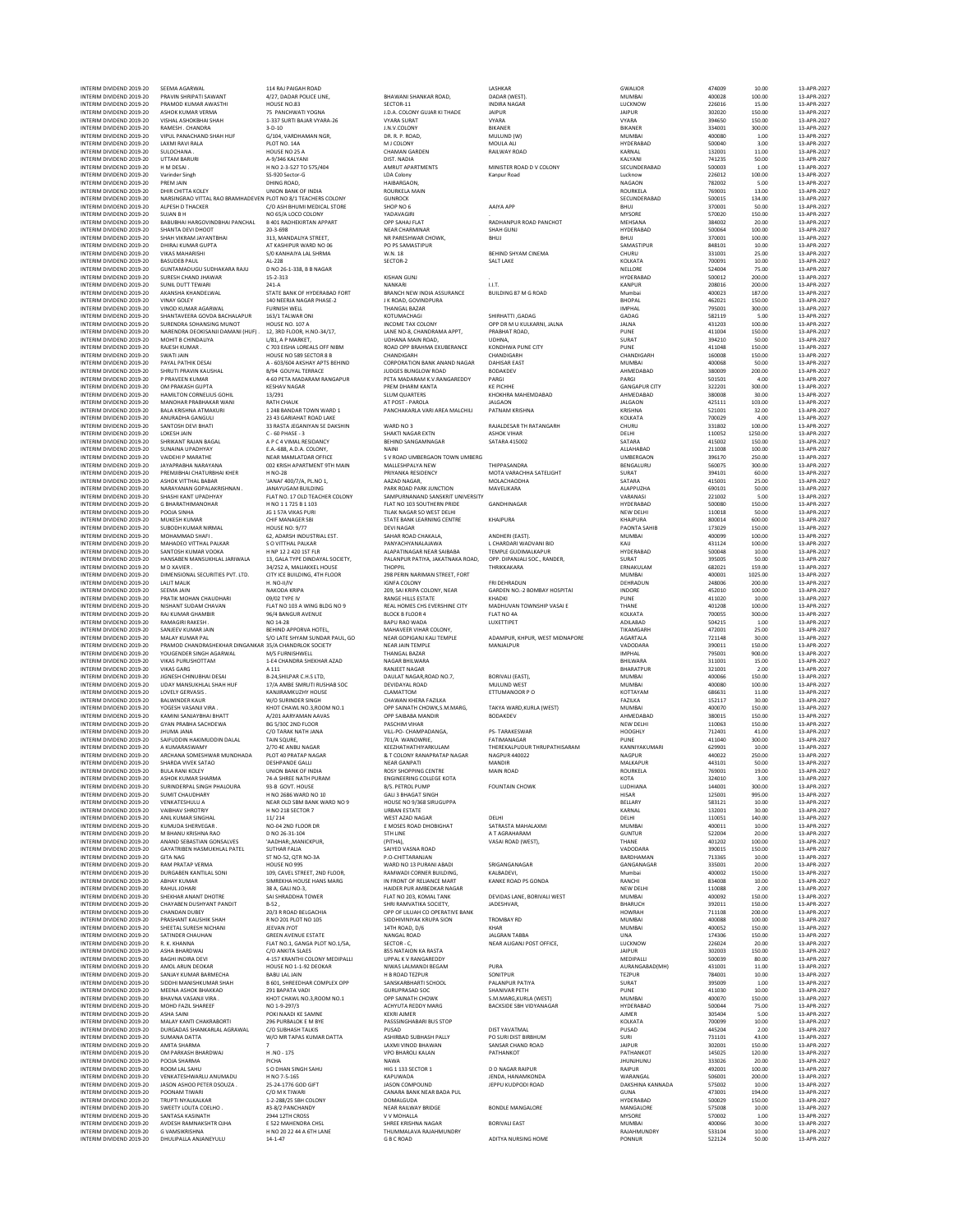INTERIM DIVIDEND 2019-20 SEEMA AGARWAL 114 RAJ PAIGAH ROAD LASHKAR GWALIOR 474009 10.00 13-APR-2027 INTERIM DIVIDEND 2019-20 PRAVIN SHRIPATI SAWANT 4/27, DADAR POLICE LINE, BHAWANI SHANKAR ROAD, DADAR (WEST). MUMBAI 400028 100.00 13-APR-2027 INTERIM DIVIDEND 2019-20 PRAMOD KUMAR AWASTHI HOUSE NO.83 SECTOR-11 INDIRA NAGAR LUCKNOW 226016 15.00 13-APR-2027 INTERIM DIVIDEND 2019-20 ASHOK KUMAR VERMA 75 PANCHWATI YOGNA J.D.A. COLONY GUJAR KI THADE JAIPUR JAIPUR 302020 150.00 13-APR-2027 INTERIM DIVIDEND 2019-20 VISHAL ASHOKBHAI SHAH 1-337 SURTI BAJAR VYARA-26 VYARA SURAT VYARA VYARA 394650 150.00 13-APR-2027 INTERM DIVIDEND 2019-20 YANGEN:CHANGE 19-5-10 AN UNIVOLONY BIKANER BRANCH BRANCH BRANCH 30000 100000 100000 13-APR-2022<br>INTERM DIVIDEND 2019-20 VAPULPANACHANG PLOT DO 14 DIVIDEND MONOR MOULALIN MUNING MONORANA SARPA-2022<br>I INTERIM DIVIDEND 2019-20 Varinder Singh SS-920 Sector-G LDA Colony Kanpur Road Lucknow 226012 100.00 13-APR-2027 INTERIM DIVIDEND 2019-20 PREM JAIN DHING ROAD, ANNEARGAON, HAIBARGAON, DHING ROAD, HAIBARGAON, NAGAON 782002 5.00 13-APR-2027 INTERIM DIVIDEND 2019-20 DHIR CHITTA KOLEY UNION BANK OF INDIA ROURKELA MAIN ROURKELA 769001 13.00 13-APR-2027 INTERM DIVIDEND ANSIMGRAD VITALRAO BRAMHADEVEN PLOT VIOLOGONY GUNROCK ON SECUNDERABAD SOODIS 134.00 SOODIS 19<br>INTERM DIVIDEND 2019-20 ALPESH DTHOCKER C/O-ASH BHUMI MEDICALSTORE SHOP NO 6 AAIYA APP SHUJ BHUJ BHUJ 2000 37-A NTERM DIVIDEND AND MANUS AND MANUS AND MANUS WARE WITHOUT A MANUS WAS SERVER WANT THE SAND AND SUN AND SUN AND<br>INTERM DIVIDEND 2019-20 BABUBHAI HARGOVINDBHAI PANP-2021 BABURAN APPART (DP SAHAI PANT RADHANPUR ROAD PANCHOT<br>I INTERIM DIVIDEND 2019-20 VIKAS MAHARISHI S/0 KANHAIYA LAL SHRMA W.N. 18 BEHIND SHYAM CINEMA CHURU 331001 25.00 13-APR-2027 INTERIM DIVIDEND 2019-20 BASUDEB PAUL AL-228 SECTOR-2 SALT LAKE KOLKATA 700091 10.00 13-APR-2027 INTERIM DIVIDEND 2019-20 GUNTAMADUGU SUDHAKARA RAJU D NO 26-1-338, B B NAGAR SALU D NO 2000-1-2000-1-2000-1-20<br>INTERIM DIVIDEND 2019-20 GUNTAMADUGU SUDHAKARA RAJU D NO 26-1-338, B B NAGAR NELLORE SALU D NO 26-1-380 13-APR-INTERIM DIVIDEND 2019-20 SURESH CHAND JHAWAR 15-2-313 KISHAN GUNJ . HYDERABAD 500012 200.00 13-APR-2027 INTERIM DIVIDEND 2019-20 SUNIL DUTT TEWARI 241-A NANKARI I.I.T. KANPUR 208016 200.00 13-APR-2027 INTERIM DIVIDEND 2019-20 SOUNDAT THE MAN ART ANNO 2019-20 AKANSHA KHANDELWAL STATE BANK OF HYDERABAD FORT BRANCH NEW INDIA ASSURANCE INCIDEND 87 M GROAD Mumbai 400023 187.00 13-APR-2027<br>INTERIM DIVIDEND 2019-20 VINAO KUMAR INTERM DIVISION 1992 - 2002 - 2003 - 2003 - 2003 - 2003 - 2003 - 2003 - 2003 - 2003 - 2003 - 2003 - 2003 - 200<br>INTERM DIVISION 2019-20 VINYO KUNARAGARWAL PURNISIN VELL - THANGALBAZIAR - THANGALBAZIAR - SHIRHATTI,GADAG - 20 INTERIM DIVIDEND 2019-20 MOHIT BCHINDALIYA INDIANA INTERIM DIVIDEND INCOLLECTION DIVIDEND INTERIM DIVIDEND AND<br>INTERIM DIVIDEND 2019-20 MOHIT BCHINDALIYA USA, A PARKET, UDHANA MAIN ROAD, UPHANA, MAIN ROAD, UDHANA INDIAN,<br>I INTERIM DIVIDEND 2019-20 RAJESH KUMAR . C 703 EISHA LOREALS OFF NIBM ROAD OPP BRAHMA EXUBERANCE KONDHWA PUNE CITY PUNE 411048 150.00 13-APR-2027 INTERM DIVISION DE HOUS NOSSECTOR DE CHANDIGARH (HANDIGAN CHANDIGAN HERMONARH SEODO 150.00 13-APR-2022<br>INTERM DIVIDEND 2019-20 PAYALPATHIK DESAI A-603/604 AKSHAYATS BEHIND CORPORATION BANK ANAND NAGAR DAHISAR EAST INTERM ONDENO 2019-20 PRAVIN MANES & PETAMOARAM PARTAMOVICHOM PORTUGOWANO PORTUGO (MANEDAD PARTAMOVEND 2019-20<br>INTERM ONDENO 2019-20 PPRAVENIK UNA KESHA PREMINDANG PETAMOARAMOVAN MANES PRAGINE PARTAMOVENI (MANEDADA) 20220<br> INTERIM DIVIDEND 2019-20 ANURADHA GANGULI 23 43 GARIAHAT ROAD LAKE KOLKATA 700029 4.00 13-APR-2027 INTERIM DIVIDEND 2019-20 SANTOSH DEVI BHATI 33 RASTA JEGANIYAN SE DAKSHIN WARD NO 3 RAJALDESAR TH RATANGARH CHURU 331802 100.00 13-APR-2027 INTERIM DIVIDEND 2019-20 LOKESH JAIN C - 60 PHASE - 3 SHAKTI NAGAR EXTN ASHOK VIHAR DELHI DELHI 110052 1250.00 13-APR-2027 INTERIM DIVIDEND 2019-20 SHRIKANT RAJAN BAGAL A P C 4 VIMAL RESIDANCY BEHIND SANGAMNAGAR SATARA 415002 SATARA 415002 150.00 13-APR-2027 MTERM DIVIDEND NUMAN PADHYNY KAA-688,ADA (CIONY, NAINI NAINI NO NAINABAD 21:1008 1980) 21:1008 1980 13:491-202<br>INTERM DIVIDEND 2019-20 VAIDEHI MARATHE NEAR-MANIATDAR OFFICE SYROAD UMBERGAON TOWN UMBERGA UMBERGAON UMBERGAO INTERIM DIVIDEND 2019-20 JAYAPRABHA NARAYANA 002 KRISH APARTMENT 9TH MAIN MALLESHPALYA NEW THIPPASANDRA BENGALURU 560075 300.00 13-APR-2027 INTERIM DIVIDEND 2019-20 PREMJIBHAI CHATURBHAI KHER H NO-28 PRIYANKA RESIDENCY MOTA VARACHHA SATELIGHT SURAT 394101 60.00 13-APR-2027 INTERIM DIVIDEND 2019-20 ASHOK VITTHAL BABAR 'JANAI' 400/7/A, PL.NO 1, AAZAD NAGAR, MOLACHAODHA SATARA 415001 25.00 13-APR-2027 INTERIM DIVIDEND 2019-20 NARAYANAN GOPALAKRISHNAN . JANAYUGAM BUILDING PARK ROAD PARK JUNCTION MAVELIKARA ALAPPUZHA 690101 50.00 13-APR-2027 INTERIM DIVIDEND 2019-20 SHASHI KANT UPADHYAY FLAT NO. 17 OLD TEACHER COLONY SAMPURNANAND SANSKRIT UNIVERSITY VARANASI 221002 5.00 13-APR-2027 INTERIM DIVIDEND 2019-20 G BHARATHIMANOHAR H NO 1 1 725 B 1 103 FLAT NO 103 SOUTHERN PRIDE GANDHINAGAR HYDERABAD 500080 150.00 13-APR-2027 INTERIM DIVIDEND 2019-20 POOJA SINHA JG 1 57A VIKAS PURI TILAK NAGAR SO WEST DELHI NEW DELHI 110018 50.00 13-APR-2027 INTERIM DIVIDEND 2019-20 MUKESH KUMAR CHIF MANAGER SBI STATE BANK LEARNING CENTRE KHAJPURA KHAJPURA 800014 600.00 13-APR-2027 INTERIM DIVIDEND 2019-20 SUBODH KUMAR NIRMAL HOUSE NO: 9/77 DEVI NAGAR PAONTA SAHIB 173029 150.00 13-APR-2027 INTERIM DIVIDEND 2019-20 MOHAMMAD SHAFI . 62, ADARSH INDUSTRIAL EST. SAHAR ROAD CHAKALA, ANDHERI (EAST). MUMBAI 400099 100.00 13-APR-2027 INTERIM DIVIDEND 2019-20 MAHADEO VITTHAL PALKAR S O VITTHAL PALKAR PANYACHYANALAJAWA L CHARDARI WADVANI BID KAIJ 431124 100.00 13-APR-2027 INTERM DIVIDEND HAND HAND HAN HER PART AND HANDEL AN ARANTHAGAR HAND HAND HOLD MALAR HORGAND SOOM 13-APR-2023<br>INTERM DIVIDEND 2019-20 HANSABEN MANSUHIALIARIWALA 13, GALA TYPE IN PALANPUR PATING ARANG OPP. DIPANJALISOC, RAN INTERIM DIVIDEND 2019-20 CHANNARY AND TEAM (1999) ANTOINE AND THE COLONY AND THE COLONY INTERIM DIVIDEND 2019-20<br>INTERIM DIVIDEND 2019-20 CHANNARY DISCRIPTION AND THE COLONY CHANNARY COLONY FRI DIVIDEND 2019-20 CHANNARY 24 INTERIM DIVIDEND 2019-20 SEEMA JAIN NAKODA KRIPA 209, SAI KRIPA COLONY, NEAR GARDEN NO.-2 BOMBAY HOSPITAl INDORE 452010 100.00 13-APR-2027 INTERIM DIVIDEND 2019-20 PRATIK MOHAN CHAUDHARI 09/02 TYPE IV RANGE HILLS ESTATE KHADKI PUNE 411020 10.00 13-APR-2027 INTERM DIVISION SENDANTSUDAM ENTING PERSION BEDGROP REALHOMSCISS PERSION MADHUVANTOWNSHIP VASAIE THANE MANE 401208 100.00 13-APR-2022<br>INTERM DIVIDEND 2019-20 RAIKUMARGHAMBIR 96/4 BANGURAVGINA PROGREECOR4 BELOCK BELOCK BEOG INTERM DIVIDEND 2019-20 ANNEN RAKSHI NEHIND APORVA HOTEL, BAPULAD MAHAVER VIHAR COLONY, INTERM DIVIDEND 2019-20 SANJET 1000-2013-20 ANNEN DISTRAT DO THAPRAZOZ:<br>INTERM DIVIDEND 2019-20 SANJET KANA ANNEN S/OLATESHYMA SUNDA R INTERM DIVIDEND 2019-20 UDAY MANSUKHIAL SHAH HUF 17/A AMBE SMRUTI RUSANG DEVIDAYAL ROAD MUULIND WEST MUULIND WE<br>NITEM DIVIDEND 2019-20 UOVELV GENOR VANIRAMKUZHY HOUSE – CLAMATTOM (CLAMATTOM ETTUMANOOR PO – STOTAYAM – 66651 MTERM DIVIDEND 2019-20 YORESH VARM BAN RAND (1999 - AND THE MANDROW NO LONG MANDROW ANNOF 1999 - 1999 - 1999 - 1999 - 1999 - 1999 - 1999 - 1999 - 1999 - 1999 - 1999 - 1999 - 1999 - 1999 - 1999 - 1999 - 1999 - 1999 - 1999 -INTERIM DIVIDEND 2019-20 SHARDA VIVENSATAO DESHPANDE GALLI NARA NEARGANPATI MANDIR MANDIR MALKAPUR MALKAPUR 443101 50.00 13-APR-2022<br>INTERIM DIVIDEND BULARNI KOLEY UNION ANK OF VION ROSYSHOPING CENTRE MAIN ROAD ROMAN ROAD INTERIM DIVIDEND 2019-20 SURINDERPAL SINGH PHALOURA 93-B GOVT. HOUSE B/S. PETROL PUMP FOUNTAIN CHOWK LUDHIANA 144001 300.00 13-APR-2027  $\blacksquare$ INTERIM DIVIDEND 2019-20 SUMIT CHAUDHARY HNO 2686 WARD NO 10 GALI 3 BHAGAT SINGH HISAR 125001 995.00 13-APR-2027 INTERM DIVIDINDEN NEWSTEMBULA NA NEWSTEMBANK WARD NOS HOUSE NOUSE NEWSTEMBEN DIE SEEMAN SESI21 1.0.00 13-APR-2023<br>INTERM DIVIDEND 2019-20 VAIBHAVSHROTRIY HNO 218 SECTOR 7 URBAN ESTATE VIRGIN ESTATE NA SESIAM NARNAL 132001 MTERM DIVIDEND 2019-20 ANILKUMAR SINGHAL 11/214 UNIX NORT WEST ADAGAN DELL' DELL' 10.001 14.002 13-APR-2022<br>INTERM DIVIDEND 2019-20 KUMUDA SHENGER<br>INTERM DIVIDEND 2019-20 MAHANU KRISHNA RAO DNO 26-31-104 5TH LINE A TAGRAH INTERIM DIVIDEND 2019-20 SUMMIT GALA CONDUCED 2019-20 DURGABEN AND CONDUCED AND TRIVE CONDUCED 2019 CONDUCED 2019 CONDUCED 2019 CONDUCED 2019 CONDUCED 2019 CONDUCED 2019 CORNER AND CORNER AND CONDUCED 2019 CONDUCED 2019 C INTERM ONDEND 2019-20 RAHUL DHAR MARINARY SIMPERIMATION IN FROM HANDER PURAMATION KANKE ROAD PS GONDA NATHE 11008 10002 13-APR-2023<br>INTERM ONDEND 2019-20 RAHUL DHAR MARINARY SALISHAND IN THE MATHEM HARDER UNIVERSITY OF THE INTERM DIVIDEND 2019-20 SATINDER CHAUHAN GREEN AVENUE ESTATE NANGALROAD ANGALROAD JALGRANTABBA UNA UNA 174306 150.00 13-APR-2022<br>INTERM DIVIDEND PROXIMANANA HAT POLIGANGA PLOT DISTRICTION SECTOR CHAUGANI POSTOFFICE, DESIDE INTERIM DIVIDEND 2019-20 BAGHI INDIRA DEVI 4-157 KRANTHI COLONY MEDIPALLI UPPAL K V RANGAREDDY MEDIPALLI 500039 80.00 13-APR-2027 INTERM DIVIDEND MONOLARIN MENTAL HOUSE IN A MANUS (MANUS AN MANUS PURANG PURANG PROMANGANG AURANGANG ANG ANG A<br>INTERM DIVIDEND 2019-20 SANJAY KUNARBARMECHA BABULALJAIN ANG PARANG HANG PARANG SONITUR SUNTUR TEZPUR TEZPUR 1<br> INTERM DIVIDUAL MANUM VAN UNIVERSITIES – NOT CHANN NOT DE SANG MANAGKURA (WEST) MUNDEN MOOT 15000 1970 13-PR-202<br>INTERM DIVIDEND 2019-20 MOHD FAZILSHAREF POLIN-DIVIDUAL POLINING ACHYLITAREDOV MARG BACKSIDE SBH VIDYANAGAR H INTERIM DIVIDEND 2019-20 SUMANA DATTA W/O MR TAPAS KUMAR DATTA ASHIRBAD SUBHASH PALLY PO SURI DIST BIRBHUM SURI 731101 43.00 13-APR-2027  $\,$ INTERIM DIVIDEND 2019-20 AMITA SHARMA  $\,$ 7  $\,$  LAXMI VINOD BHAWAN SANSAR CHAND ROAD JAIPUR JAIPUR 302001 150.00 13-APR-2027 INTERIM DIVIDEND 2019-20 OM PARKASH BHARDWAJ H .NO - 175 VPO BHAROLI KALAN PATHANKOT PATHANKOT 145025 120.00 13-APR-2027 INTERIM DIVIDEND 2019-20 POOJA SHARMA PICHA NAWA JHUNJHUNU 333026 20.00 13-APR-2027 MTERM DIVIDEND 2019-20 NOOM LAISMUS SO DHAN SINGIS HIS SECTOR 1 DO MAGRAPHORO 2019-20 2000 19-APR-2022<br>INTERM DIVIDEND 2019-20 VENKATESHWARIU ANUMADU H NO 7-5-165 HK PO THAN NEW MAGRAPHORO IP IN A PROPINING A PAPR<br>INTERM INTERIM DIVIDEND 2019-20 AVDESH RAMNAKSHTR OJHA E 522 MAHENDRA CHSL SHREE KRISHNA NAGAR BORIVALI EAST MUMBAI 400066 30.00 13-APR-2027 INTERIM DIVIDEND 2019-20 G VAMSIKRISHNA H NO 20 22 44 A 6TH LANE THUMMALAVA RAJAHMUNDRY RAJAHMUNDRY 533104 10.00 13-APR-2027 INTERIM DIVIDEND 2019-20 DHULIPALLA ANJANEYULU 14-1-47 G B C ROAD ADITYA NURSING HOME PONNUR 522124 50.00 13-APR-2027

|         | LASHKAR<br>DADAR (WEST).<br><b>INDIRA NAGAR</b><br><b>JAIPUR</b><br>VYARA<br>BIKANER<br>MULUND (W)                                                                                                                                      |
|---------|-----------------------------------------------------------------------------------------------------------------------------------------------------------------------------------------------------------------------------------------|
|         | MOULA ALI<br>RAILWAY ROAD                                                                                                                                                                                                               |
|         | MINISTER ROAD D V COLONY<br>Kanpur Road                                                                                                                                                                                                 |
|         | AAIYA APP<br>RADHANPUR ROAD PANCHOT<br>SHAH GUNJ<br><b>BHUJ</b>                                                                                                                                                                         |
|         | BEHIND SHYAM CINEMA<br>SALT LAKE                                                                                                                                                                                                        |
|         | LLT.<br><b>BUILDING 87 M G ROAD</b>                                                                                                                                                                                                     |
|         | SHIRHATTI , GADAG<br>OPP DR M U KULKARNI, JALNA<br>PRABHAT ROAD,<br>UDHNA,<br>KONDHWA PUNE CITY<br>CHANDIGARH<br><b>DAHISAR EAST</b><br>BODAKDEV<br>PARGI<br><b>KE PICHHE</b><br>KHOKHRA MAHEMDABAD<br><b>JALGAON</b><br>PATNAM KRISHNA |
|         | RAJALDESAR TH RATANGARH<br><b>ASHOK VIHAR</b><br><b>SATARA 415002</b>                                                                                                                                                                   |
| RG<br>m | THIPPASANDRA<br>MOTA VARACHHA SATELIGHT<br>MOLACHAODHA<br>MAVELIKARA                                                                                                                                                                    |
|         | GANDHINAGAR<br><b>KHAJPURA</b>                                                                                                                                                                                                          |
| ),      | ANDHERI (EAST).<br>L CHARDARI WADVANI BID<br>TEMPLE GUDIMALKAPUR<br>OPP. DIPANJALI SOC., RANDER,<br>THRIKKAKARA                                                                                                                         |
|         | FRI DEHRADUN<br>GARDEN NO.-2 BOMBAY HOSPITA<br>KHADKI<br>MADHUVAN TOWNSHIP VASAI E<br>FLAT NO 4A<br>LUXETTIPET                                                                                                                          |
|         | ADAMPUR, KHPUR, WEST MIDNAI<br>MANJALPUR                                                                                                                                                                                                |
|         | BORIVALI (EAST),<br>MULUND WEST<br>ETTUMANOOR P O                                                                                                                                                                                       |
|         | TAKYA WARD, KURLA (WEST)<br>BODAKDEV                                                                                                                                                                                                    |
|         | <b>PS-TARAKESWAR</b><br>FATIMANAGAR<br>THEREKALPUDUR THRUPATHISAR<br>NAGPUR 440022<br>MANDIR<br>MAIN ROAD                                                                                                                               |
|         | <b>FOUNTAIN CHOWK</b>                                                                                                                                                                                                                   |
|         | DELHI<br>SATRASTA MAHALAXMI<br>A T AGRAHARAM<br>VASAI ROAD (WEST),                                                                                                                                                                      |
|         | SRIGANGANAGAR<br>KALBADEVI,<br>KANKE ROAD PS GONDA                                                                                                                                                                                      |
|         | DEVIDAS LANE, BORIVALI WEST<br>JADESHVAR,                                                                                                                                                                                               |
|         | <b>TROMBAY RD</b><br>KHAR<br><b>JALGRAN TABBA</b><br>NEAR ALIGANJ POST OFFICE,                                                                                                                                                          |
|         | PURA<br>SONITPUR<br>PALANPUR PATIYA<br><b>SHANIVAR PETH</b><br>S.M.MARG,KURLA (WEST)<br><b>BACKSIDE SBH VIDYANAGAR</b>                                                                                                                  |
|         | DIST YAVATMAL<br>PO SURI DIST BIRBHUM<br>SANSAR CHAND ROAD<br>PATHANKOT                                                                                                                                                                 |
|         | <b>D D NAGAR RAIPUR</b><br>JENDA, HANAMKONDA<br>JEPPU KUDPODI ROAD                                                                                                                                                                      |
|         | <b>BONDLE MANGALORE</b><br><b>BORIVALI EAST</b>                                                                                                                                                                                         |
|         | ADITYA NURSING HOME                                                                                                                                                                                                                     |

| лι<br>JN<br>١Ľ<br>41<br>LUCKN<br>ЭW         |
|---------------------------------------------|
| <b>JAIPUR</b><br>VYARA                      |
| BIKANER<br>MUMBAI                           |
| HYDERABAD<br>KARNAL                         |
| KALYANI                                     |
| SECUNDERABAD<br>Lucknov                     |
| NAGAON<br>ROURKEL                           |
| SECUNDER<br>AB<br>AD<br><b>BHUJ</b>         |
| MYSORE                                      |
| <b>MEHSAN</b><br>HYDERABAD                  |
| <b>BHUJ</b><br>SAMASTIPUR                   |
| CHURU<br>KOLKATA                            |
| NELLORE                                     |
| <b>HYDERAB</b><br>AD<br>KANPUR              |
| Mumbai<br><b>BHOPAL</b>                     |
| <b>IMPHAL</b><br>GADAG                      |
| <b>JALNA</b>                                |
| PUNE<br>SURA<br>ī                           |
| PUNE<br>CHANDIGARH                          |
| MUMBAI<br>AHMEDABAD                         |
| PARGI                                       |
| <b>GANGAPUR CIT</b><br>AHMEDABAD            |
| <b>JALGAON</b><br>KRISHNA                   |
| KOLKATA<br>CHURU                            |
| DELHI                                       |
| SATARA<br>ALLAHABAD                         |
| <b>UMBERGAON</b><br>BENGALURU               |
| SURAT<br>SATARA                             |
| ALAPPUZHA                                   |
| VARANASI<br>HYDERABAD                       |
| NEW DELHI<br>KHAJPURA                       |
| PAONTA SAHIB<br>MUMBAI                      |
| KAIJ                                        |
| HYDERABAD<br>SURAT                          |
| ERNAKULAM<br>MUMBAI                         |
| DEHRADUN<br>INDORE                          |
| PUNE                                        |
| THANE<br>KOLKATA                            |
| ADILABAD<br>TIKAMGARI<br>ł                  |
| AGARTALA<br>VADODARA                        |
| IMPHAL                                      |
| BHILWARA<br>BHARATPUR                       |
| MUMBAI<br>MUMBAI                            |
| KOT<br>TAYAM<br>FAZILKA                     |
| MUMBAI                                      |
| AHMEDABAD<br>NEW DELHI                      |
| HOOGHLY<br>PUNE                             |
| KANNIYAKUM<br><b>AARI</b>                   |
| NAGPUR<br>MALKAPUR                          |
| ROURKELA<br>KOTA                            |
| LUDHIANA<br>нı<br>ì.<br>ኔF                  |
| BELL<br><b>ARY</b>                          |
| KARNAL<br>DELHI                             |
| <b>MUMBAI</b><br>GUNTUR                     |
| THANE<br><b>ADOD</b><br>AR                  |
| BARDHAMAN                                   |
| GANGANAGAR<br>Mumbai                        |
| RANCHI<br>NEW DEL<br>j<br>łI                |
| MUMBAI<br>BHARUCH                           |
| <b>HOWRAH</b>                               |
| MUMBAI                                      |
| MUMBAI                                      |
| UNA                                         |
| LUCKNOV<br><b>JAIPUR</b>                    |
| MEDIPALLI<br>AURANGABAD(MH)                 |
| .<br>TEZPUR<br>SURA<br>Ì                    |
| PUNE<br><b>MUMBAI</b>                       |
| HYDERABAD<br><b>AJMER</b>                   |
| KOLKATA                                     |
| PUSAD<br>SURI                               |
| JAIPUR<br>PATHANKOT                         |
| <b>JHUNJHUNU</b>                            |
| RAIPUR<br>WARANGAL                          |
| DAKSHINA KANNAD<br>GUNA                     |
| HYDERABAD<br>MANGALORE                      |
| MYSORE                                      |
| MUMBAI<br>RAJAHMI<br><b>JNDRY</b><br>PONNUR |

| 474009           | 10.00             | $13 - 4$             |
|------------------|-------------------|----------------------|
| 400028           | 100.00            | $13-f$               |
| 226016<br>302020 | 15.00<br>150.00   | $13 - 4$<br>$13-f$   |
| 394650           | 150.00            | $13 - 6$             |
| 334001<br>400080 | 300.00<br>1.00    | $13 - 1$<br>$13 - 4$ |
| 500040           | 3.00              | $13 - 6$             |
| 132001<br>741235 | 11.00             | $13 - 1$             |
| 500003           | 50.00<br>1.00     | $13 - 4$<br>$13 - 4$ |
| 226012<br>782002 | 100.00            | $13-f$               |
| 769001           | 5.00<br>13.00     | $13 - 6$<br>$13 - 4$ |
| 500015           | 134.00            | $13-f$               |
| 370001           | 50.00             | $13 - 6$             |
| 570020<br>384002 | 150.00<br>20.00   | $13 - 6$<br>$13 - 4$ |
| 500064           | 100.00            | $13 - 4$             |
| 370001<br>848101 | 100.00<br>10.00   | $13 - 6$<br>$13 - 6$ |
| 331001           | 25.00             | $13 - 4$             |
| 700091<br>524004 | 10.00<br>75.00    | $13 - 4$<br>$13 - 4$ |
| 500012           | 200.00            | $13 - 1$             |
| 208016           | 200.00            | $13 - 4$             |
| 400023<br>462021 | 187.00<br>150.00  | $13 - 6$<br>$13 - 4$ |
| 795001           | 300.00            | $13 - 4$             |
| 582119<br>431203 | 5.00<br>100.00    | $13 - 6$<br>$13 - 1$ |
| 411004           | 150.00            | $13 - 4$             |
| 394210           | 50.00             | $13 - 6$             |
| 411048<br>160008 | 150.00<br>150.00  | $13 - 1$<br>$13 - 4$ |
| 400068           | 50.00             | $13 - 4$             |
| 380009<br>501501 | 200.00<br>4.00    | $13-f$<br>$13 - 6$   |
| 322201           | 300.00            | $13 - 4$             |
| 380008<br>425111 | 30.00<br>103.00   | $13-f$<br>$13 - 6$   |
| 521001           | 32.00             | $13 - 6$             |
| 700029           | 4.00              | $13 - 4$             |
| 331802<br>110052 | 100.00<br>1250.00 | $13 - 6$<br>$13 - 6$ |
| 415002           | 150.00            | $13 - 6$             |
| 211008<br>396170 | 100.00<br>250.00  | $13 - 4$<br>$13 - 4$ |
| 560075           | 300.00            | $13 - 4$             |
| 394101           | 60.00<br>25.00    | $13 - 1$<br>$13 - 4$ |
| 415001<br>690101 | 50.00             | $13 - 6$             |
| 221002           | 5.00              | $13 - 4$             |
| 500080<br>110018 | 150.00<br>50.00   | $13 - 4$             |
| 800014           | 600.00            | $13 - 4$<br>$13 - 4$ |
| 173029<br>400099 | 150.00            | $13 - 4$<br>$13 - 6$ |
| 431124           | 100.00<br>100.00  | $13 - 1$             |
| 500048           | 10.00             | $13 - 4$             |
| 395005<br>682021 | 50.00<br>159.00   | $13 - 4$<br>$13 - 1$ |
| 400001           | 1025.00           | $13 - 4$             |
| 248006<br>452010 | 200.00<br>100.00  | $13 - 4$<br>$13 - 1$ |
| 411020           | 10.00             | $13 - 6$             |
| 401208           | 100.00            | $13 - 6$             |
| 700055<br>504215 | 300.00<br>1.00    | $13 - 4$<br>$13 - 4$ |
| 472001           | 25.00             | $13 - 4$             |
| 721148<br>390011 | 30.00<br>150.00   | $13 - 4$<br>$13 - 6$ |
| 795001           | 900.00            | $13 - 6$             |
| 311001           | 15.00<br>2.00     | $13 - 4$<br>$13 - 6$ |
| 321001<br>400066 | 150.00            | $13 - 4$             |
| 400080<br>686631 | 100.00            | $13 - 6$<br>$13 - 4$ |
| 152117           | 11.00<br>30.00    | $13 - 4$             |
| 400070           | 150.00            | $13 - 1$             |
| 380015<br>110063 | 150.00<br>150.00  | $13 - 1$<br>$13 - 4$ |
| 712401           | 41.00             | $13 - 6$             |
| 411040<br>629901 | 300.00<br>10.00   | $13-f$<br>$13 - 4$   |
| 440022           | 250.00            | $13 - 6$             |
| 443101<br>769    | 50.00             | $13-f$               |
| 324010           | 3.00              | 13.1<br>$13 - 4$     |
| 144001           | 300.00            | $13 - 4$             |
| 125001<br>583121 | 995.00<br>10.00   | $13 - 4$<br>$13 - 4$ |
| 132001           | 30.00             | $13 - 4$             |
| 110051<br>400011 | 140.00<br>10.00   | $13 - 4$<br>$13 - 4$ |
| 522004           | 20.00             | $13 - 4$             |
| 401202           | 100.00            | $13 - 4$             |
| 390015<br>713365 | 150.00<br>10.00   | $13 - 1$<br>$13 - 4$ |
| 335001           | 20.00             | $13 - 1$             |
| 400002           | 150.00<br>10.00   | $13-f$<br>$13 - 6$   |
| 834008<br>110088 | 2.00              | $13 - 6$             |
| 400092           | 150.00<br>150.00  | $13-f$               |
| 392011<br>711108 | 200.00            | $13 - 6$<br>$13 - 6$ |
| 400088           | 100.00            | $13 - 4$             |
| 400052<br>174306 | 150.00<br>150.00  | $13 - 6$<br>$13-f$   |
| 226024           | 20.00             | $13 - 4$             |
| 302003<br>500039 | 150.00<br>80.00   | $13 - 4$<br>$13-f$   |
| 431001           | 11.00             | $13 - 4$             |
| 784001           | 10.00             | $13 - 4$             |
| 395009<br>411030 | 1.00<br>10.00     | $13-f$<br>$13 - 6$   |
| 400070           | 150.00            | $13 - 4$             |
| 500044<br>305404 | 75.00<br>5.00     | $13 - 4$<br>$13 - 4$ |
| 700099           | 10.00             | $13 - 1$             |
| 445204           | 2.00              | $13 - 4$             |
| 731101<br>302001 | 43.00<br>150.00   | $13 - 4$<br>$13 - 1$ |
| 145025           | 120.00            | $13 - 4$             |
| 333026<br>492001 | 20.00<br>100.00   | $13 - 1$<br>$13-f$   |
| 506001           | 200.00            | $13-f$               |
| 575002           | 10.00             | $13 - 4$             |
| 473001<br>500029 | 194.00<br>150.00  | $13 - 4$<br>$13-f$   |
| 575008           | 10.00             | $13 - 4$             |
| 570002           | 1.00<br>30.00     | $13 - 4$<br>$13 - 6$ |
| 400066<br>533104 | 10.00             | $13 - 4$             |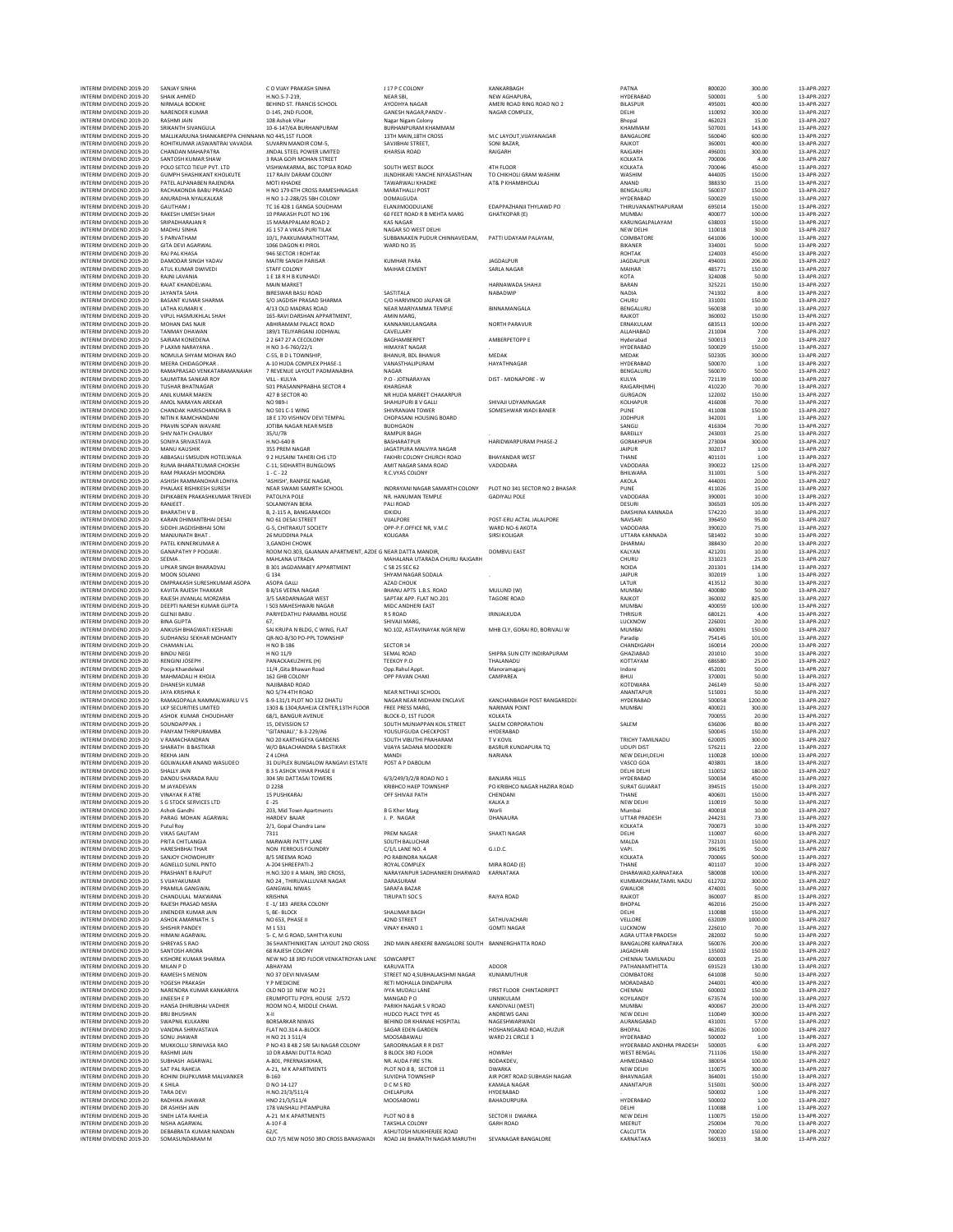|            | NEW AGHAPURA<br>AMERI ROAD RING ROAD NO 2<br>NAGAR COMPLEX,                                                                                          |
|------------|------------------------------------------------------------------------------------------------------------------------------------------------------|
|            | M.C LAYOUT, VIJAYANAGAR<br>SONI BAZAR,<br>RAIGARH                                                                                                    |
|            | 4TH FLOOR<br>TO CHIKHOLI GRAM WASHIM<br>AT& P KHAMBHOLAJ                                                                                             |
|            | EDAPPAZHANJI THYLAWD PO<br><b>GHATKOPAR (E)</b>                                                                                                      |
| v.         | PATTI UDAYAM PALAYAM,                                                                                                                                |
|            | <b>JAGDALPUR</b><br>SARLA NAGAR                                                                                                                      |
|            | HARNAWADA SHAHJI<br>NABADWIP                                                                                                                         |
|            | BINNAMANGALA                                                                                                                                         |
|            | <b>NORTH PARAVUR</b>                                                                                                                                 |
|            | AMBERPETOPP E                                                                                                                                        |
|            | MEDAK<br>HAYATHNAGAR                                                                                                                                 |
|            | DIST - MIDNAPORE - W                                                                                                                                 |
|            | SHIVAJI UDYAMNAGAR<br>SOMESHWAR WADI BANER                                                                                                           |
|            | HARIDWARPURAM PHASE-2                                                                                                                                |
|            | <b>BHAYANDAR WEST</b><br>VADODARA                                                                                                                    |
| ۷Y         | PLOT NO 341 SECTOR NO 2 BHASA<br><b>GADIYALI POLE</b>                                                                                                |
|            | POST-ERU ACTAL JALALPORE<br>WARD NO-6 AKOTA<br><b>SIRSI KOLIGAR</b>                                                                                  |
| <b>\RH</b> | <b>DOMBVLI EAST</b>                                                                                                                                  |
|            | MULUND (W)<br>TAGORE ROAD                                                                                                                            |
|            | IRINJALKUDA                                                                                                                                          |
|            | MHB CLY, GORAI RD, BORIVALI W                                                                                                                        |
|            | SHIPRA SUN CITY INDIRAPURAM<br>THALANADU<br>Manoramaganj<br>CAMPAREA                                                                                 |
|            | KANCHANBAGH POST RANGAREDI<br>NARIMAN POINT<br>KOLKATA<br>SALEM CORPORATION<br>HYDERABAD<br><b>TV KOVIL</b><br><b>BASRUR KUNDAPURA TQ</b><br>NARIANA |
|            | <b>BANJARA HILLS</b><br>PO KRIBHCO NAGAR HAZIRA ROAD<br>CHENDANI                                                                                     |
|            | KALKA JI<br>Worli<br>DHANAURA                                                                                                                        |
|            | <b>SHAKTI NAGAR</b>                                                                                                                                  |
|            | G.I.D.C.                                                                                                                                             |
| AD         | MIRA ROAD (E)<br>KARNATAKA                                                                                                                           |
|            | RAIYA ROAD                                                                                                                                           |
|            | SATHUVACHARI<br><b>GOMTI NAGAR</b>                                                                                                                   |
| UTH        | <b>BANNERGHATTA ROAD</b>                                                                                                                             |
| ł          | ADOOR<br>KUNIAMUTHUR                                                                                                                                 |
|            | FIRST FLOOR CHINTADRIPET<br>UNNIKULAM<br>KANDIVALI (WEST)<br>ANDREWS GANJ<br>NAGESHWARWADI<br>HOSHANGABAD ROAD, HUZUR<br>WARD 21 CIRCLE 3            |
|            | <b>HOWRAH</b><br>BODAKDEV,<br><b>DWARKA</b><br>AIR PORT ROAD SUBHASH NAGAR<br>KAMALA NAGAR<br>HYDERABAD<br>BAHADURPURA                               |
|            | SECTOR II DWARKA<br><b>GARH ROAD</b>                                                                                                                 |
|            |                                                                                                                                                      |

| IN I EKIM DIVIDEND ZU19-ZU<br>INTERIM DIVIDEND 2019-20 | <b>SANJAY SINHA</b><br><b>SHAIK AHMED</b>          | <b>LU VUAY PRAKASH SINHA</b><br>H.NO.5-7-219.                               | <b>JI/PL COLONY</b><br><b>NEAR SBI</b>                      | <b>KANKARRAGE</b><br>NEW AGHAPURA,                   | PAINA<br>HYDERABAD                             | <b>SUUUZU</b><br>500001 | 300.00<br>5.00    | 13-APR-202<br>13-APR-2027  |
|--------------------------------------------------------|----------------------------------------------------|-----------------------------------------------------------------------------|-------------------------------------------------------------|------------------------------------------------------|------------------------------------------------|-------------------------|-------------------|----------------------------|
| INTERIM DIVIDEND 2019-20                               | NIRMALA BODKHE                                     | BEHIND ST. FRANCIS SCHOOL                                                   | AYODHYA NAGAR                                               | AMERI ROAD RING ROAD NO 2                            | <b>BILASPUR</b>                                | 495001                  | 400.00            | 13-APR-2027                |
| INTERIM DIVIDEND 2019-20                               | NARENDER KUMAR                                     | D-145, 2ND FLOOR,                                                           | GANESH NAGAR PANDV -                                        | NAGAR COMPLEX,                                       | DELHI                                          | 110092                  | 300.00            | 13-APR-2027                |
| INTERIM DIVIDEND 2019-20<br>INTERIM DIVIDEND 2019-20   | RASHMI JAIN<br>SRIKANTH SIVANGULA                  | 108 Ashok Vihar<br>10-6-147/6A BURHANPURAM                                  | Nagar Nigam Colony<br>BURHANPURAM KHAMMAM                   |                                                      | Bhopal<br>KHAMMAM                              | 462023<br>507001        | 15.00<br>143.00   | 13-APR-2027<br>13-APR-2027 |
| INTERIM DIVIDEND 2019-20                               | MALLIKARJUNA SHANKAREPPA CHINNANN NO 445.1ST FLOOR |                                                                             | 13TH MAIN, 18TH CROSS                                       | M.C LAYOUT, VIJAYANAGAR                              | BANGALORE                                      | 560040                  | 600.00            | 13-APR-2027                |
| INTERIM DIVIDEND 2019-20                               | ROHITKUMAR JASWANTRAI VAVADIA                      | SUVARN MANDIR COM-5                                                         | SAVJIBHAI STREET.                                           | SONI BAZAR,                                          | RAJKOT                                         | 360001                  | 400.00            | 13-APR-2027                |
| INTERIM DIVIDEND 2019-20<br>INTERIM DIVIDEND 2019-20   | <b>CHANDAN MAHAPATRA</b><br>SANTOSH KUMAR SHAW     | JINDAL STEEL POWER LIMITED<br>3 RAJA GOPI MOHAN STREET                      | <b>KHARSIA ROAD</b>                                         | RAIGARH                                              | RAIGARH<br>KOLKATA                             | 496001<br>700006        | 300.00<br>4.00    | 13-APR-2027<br>13-APR-2027 |
| INTERIM DIVIDEND 2019-20                               | POLO SETCO TIEUP PVT. LTD                          | VISHWAKARMA, 86C TOPSIA ROAD                                                | SOUTH WEST BLOCK                                            | 4TH FLOOR                                            | KOLKATA                                        | 700046                  | 450.00            | 13-APR-2027                |
| INTERIM DIVIDEND 2019-20                               | <b>GUMPH SHASHIKANT KHOLKUTE</b>                   | 117 RAJIV DARAM COLONY                                                      | JILNDHIKARI YANCHE NIYASASTHAN                              | TO CHIKHOLI GRAM WASHIM                              | WASHIM                                         | 444005                  | 150.00            | 13-APR-2027                |
| INTERIM DIVIDEND 2019-20<br>INTERIM DIVIDEND 2019-20   | PATEL ALPANABEN RAJENDRA<br>RACHAKONDA BABU PRASAD | MOTI KHADKE<br>H NO 179 6TH CROSS RAMESHNAGAR                               | <b>TAWARWALI KHADKE</b><br><b>MARATHALLI POST</b>           | AT& P KHAMBHOLAJ                                     | ANAND<br>BENGALURU                             | 388330<br>560037        | 15.00<br>150.00   | 13-APR-2027<br>13-APR-2027 |
| INTERIM DIVIDEND 2019-20                               | ANURADHA NYAI KAI KAR                              | H NO 1-2-288/25 SBH COLONY                                                  | <b>DOMALGUDA</b>                                            |                                                      | HYDERABAD                                      | 500029                  | 150.00            | 13-APR-2027                |
| INTERIM DIVIDEND 2019-20                               | <b>GAUTHAM J</b>                                   | TC 16 428 1 GANGA SOUDHAM                                                   | ELANJIMOODULANE                                             | EDAPPAZHANJI THYLAWD PO                              | THIRUVANANTHAPURAM                             | 695014                  | 150.00            | 13-APR-2027                |
| INTERIM DIVIDEND 2019-20                               | RAKESH UMESH SHAH                                  | 10 PRAKASH PLOT NO 196                                                      | 60 FEET ROAD R B MEHTA MARG                                 | <b>GHATKOPAR (E)</b>                                 | MUMBAI                                         | 400077                  | 100.00            | 13-APR-2027                |
| INTERIM DIVIDEND 2019-20<br>INTERIM DIVIDEND 2019-20   | SRIPADHARAJAN R<br>MADHU SINHA                     | 15 MARAPPALAM ROAD 2<br>JG 1 57 A VIKAS PURI TILAK                          | <b>KAS NAGAR</b><br>NAGAR SO WEST DELHI                     |                                                      | KARUNGALPALAYAM<br>NEW DELHI                   | 638003<br>110018        | 150.00<br>30.00   | 13-APR-2027<br>13-APR-2027 |
| INTERIM DIVIDEND 2019-20                               | <b>S PARVATHAM</b>                                 | 10/1. PAKKUMARATHOTTAM.                                                     | SUBBANAKEN PUDUR CHINNAVEDAM,                               | PATTI UDAYAM PALAYAM.                                | COIMBATORE                                     | 641006                  | 100.00            | 13-APR-2027                |
| INTERIM DIVIDEND 2019-20<br>INTERIM DIVIDEND 2019-20   | <b>GITA DEVI AGARWAL</b><br>RAJ PAL KHASA          | 1066 DAGON KI PIROL<br>946 SECTOR I ROHTAK                                  | WARD NO 35                                                  |                                                      | BIKANER<br>ROHTAK                              | 334001<br>124003        | 50.00<br>450.00   | 13-APR-2027<br>13-APR-2027 |
| INTERIM DIVIDEND 2019-20                               | DAMODAR SINGH YADAV                                | <b>MAITRI SANGH PARISAR</b>                                                 | <b>KUMHAR PARA</b>                                          | <b>JAGDALPUR</b>                                     | <b>JAGDALPUR</b>                               | 494001                  | 206.00            | 13-APR-2027                |
| INTERIM DIVIDEND 2019-20                               | ATUL KUMAR DWIVEDI                                 | STAFF COLONY                                                                | MAIHAR CEMENT                                               | SARLA NAGAR                                          | MAIHAR                                         | 485771                  | 150.00            | 13-APR-2027                |
| INTERIM DIVIDEND 2019-20<br>INTERIM DIVIDEND 2019-20   | RAJNI LAVANIA<br>RAJAT KHANDELWAL                  | 1 E 18 R H B KUNHADI                                                        |                                                             |                                                      | KOTA                                           | 324008                  | 50.00             | 13-APR-2027                |
| INTERIM DIVIDEND 2019-20                               | <b>JAYANTA SAHA</b>                                | <b>MAIN MARKET</b><br><b>BIRESWAR BASU ROAD</b>                             | SASTITALA                                                   | HARNAWADA SHAHJI<br>NABADWIP                         | BARAN<br><b>NADIA</b>                          | 325221<br>741302        | 150.00<br>8.00    | 13-APR-2027<br>13-APR-2027 |
| INTERIM DIVIDEND 2019-20                               | BASANT KUMAR SHARMA                                | S/O JAGDISH PRASAD SHARMA                                                   | C/O HARIVINOD JALPAN GR                                     |                                                      | CHURU                                          | 331001                  | 150.00            | 13-APR-2027                |
| INTERIM DIVIDEND 2019-20                               | LATHA KUMARI K.                                    | 4/13 OLD MADRAS ROAD                                                        | NEAR MARIYAMMA TEMPLE                                       | BINNAMANGALA                                         | BENGALURU                                      | 560038                  | 10.00             | 13-APR-2027                |
| INTERIM DIVIDEND 2019-20<br>INTERIM DIVIDEND 2019-20   | VIPUL HASMUKHLAL SHAH<br>MOHAN DAS NAIR            | 165-RAVI DARSHAN APPARTMENT,<br>ABHIRAMAM PALACE ROAD                       | AMIN MARG<br>KANNANKULANGARA                                | <b>NORTH PARAVUR</b>                                 | RAJKOT<br>ERNAKULAM                            | 360002<br>683513        | 150.00<br>100.00  | 13-APR-2027<br>13-APR-2027 |
| INTERIM DIVIDEND 2019-20                               | <b>TANMAY DHAWAN</b>                               | 189/1 TELIYARGANJ JODHWAL                                                   | CAVELLARY                                                   |                                                      | ALLAHABAD                                      | 211004                  | 7.00              | 13-APR-2027                |
| INTERIM DIVIDEND 2019-20                               | SAIRAM KONEDENA                                    | 2 2 647 27 A CECOLONY                                                       | BAGHAMBERPET                                                | AMBERPETOPP E                                        | Hyderabad                                      | 500013                  | 2.00              | 13-APR-2027                |
| INTERIM DIVIDEND 2019-20<br>INTERIM DIVIDEND 2019-20   | P LAXMI NARAYANA.<br>NOMULA SHYAM MOHAN RAO        | H NO 3-6-760/22/1<br>C-55, B D L TOWNSHIP,                                  | <b>HIMAYAT NAGAR</b><br>BHANUR, BDL BHANUR                  | MEDAK                                                | HYDERABAD<br>MEDAK                             | 500029<br>502305        | 150.00<br>300.00  | 13-APR-2027<br>13-APR-2027 |
| INTERIM DIVIDEND 2019-20                               | MEERA CHIDAGOPKAR                                  | A-10 HUDA COMPLEX PHASE-1                                                   | VANASTHALIPURAM                                             | HAYATHNAGAR                                          | HYDERABAD                                      | 500070                  | 1.00              | 13-APR-2027                |
| INTERIM DIVIDEND 2019-20                               | RAMAPRASAD VENKATARAMANAIAH                        | 7 REVENUE LAYOUT PADMANABHA                                                 | NAGAR                                                       |                                                      | BENGALURU                                      | 560070                  | 50.00             | 13-APR-2027                |
| INTERIM DIVIDEND 2019-20<br>INTERIM DIVIDEND 2019-20   | SAUMITRA SANKAR ROY<br><b>TUSHAR BHATNAGAR</b>     | VILL - KULYA<br>501 PRASANNPRABHA SECTOR 4                                  | P.O - JOTNARAYAN<br>KHARGHAR                                | DIST - MIDNAPORE - W                                 | KULYA<br>RAIGARH(MH)                           | 721139<br>410220        | 100.00<br>70.00   | 13-APR-2027<br>13-APR-2027 |
| INTERIM DIVIDEND 2019-20                               | ANIL KUMAR MAKEN                                   | 427 B SECTOR 40                                                             | NR HUDA MARKET CHAKARPUR                                    |                                                      | <b>GURGAON</b>                                 | 122002                  | 150.00            | 13-APR-2027                |
| INTERIM DIVIDEND 2019-20                               | AMOL NARAYAN AREKAR                                | NO 989-                                                                     | SHAHUPURI 8 V GALLI                                         | SHIVAJI UDYAMNAGAR                                   | <b>KOLHAPUR</b>                                | 416008                  | 70.00             | 13-APR-2027                |
| INTERIM DIVIDEND 2019-20                               | CHANDAK HARISCHANDRA B                             | NO 501 C-1 WING                                                             | SHIVRANJAN TOWER<br>CHOPASANI HOUSING BOARD                 | SOMESHWAR WADI BANER                                 | PUNE                                           | 411008                  | 150.00            | 13-APR-2027                |
| INTERIM DIVIDEND 2019-20<br>INTERIM DIVIDEND 2019-20   | NITIN K RAMCHANDANI<br>PRAVIN SOPAN WAVARE         | 18 E 170 VISHNOV DEVI TEMPAL<br>JOTIBA NAGAR NEAR MSEB                      | <b>BUDHGAON</b>                                             |                                                      | <b>JODHPUR</b><br>SANGLI                       | 342001<br>416304        | 1.00<br>70.00     | 13-APR-2027<br>13-APR-2027 |
| INTERIM DIVIDEND 2019-20                               | SHIV NATH CHAUBAY                                  | 35/U/7B                                                                     | <b>RAMPUR BAGH</b>                                          |                                                      | BAREILLY                                       | 243003                  | 25.00             | 13-APR-2027                |
| INTERIM DIVIDEND 2019-20<br>INTERIM DIVIDEND 2019-20   | SONIYA SRIVASTAVA                                  | H.NO-640 B                                                                  | BASHARATPUR                                                 | HARIDWARPURAM PHASE-2                                | GORAKHPUR                                      | 273004                  | 300.00            | 13-APR-2027                |
| INTERIM DIVIDEND 2019-20                               | MANU KAUSHIK<br>ABBASALI SMSUDIN HOTELWALA         | 355 PREM NAGAR<br>9.2 HUSAINI TAHERI CHS ITD                                | JAGATPURA MALVIYA NAGAR<br><b>FAKHRI COLONY CHURCH ROAD</b> | <b>BHAYANDAR WEST</b>                                | <b>JAIPUR</b><br>THANE                         | 302017<br>401101        | 1.00<br>1.00      | 13-APR-2027<br>13-APR-2027 |
| INTERIM DIVIDEND 2019-20                               | RUMA BHARATKUMAR CHOKSHI                           | C-11, SIDHARTH BUNGLOWS                                                     | AMIT NAGAR SAMA ROAD                                        | VADODARA                                             | VADODARA                                       | 390022                  | 125.00            | 13-APR-2027                |
| INTERIM DIVIDEND 2019-20                               | RAM PRAKASH MOONDRA<br>ASHISH RAMMANOHAR LOHIYA    | $1 - C - 22$                                                                | R.C.VYAS COLONY                                             |                                                      | BHILWARA                                       | 311001                  | 5.00              | 13-APR-2027<br>13-APR-2027 |
| INTERIM DIVIDEND 2019-20<br>INTERIM DIVIDEND 2019-20   | PHALAKE RISHIKESH SURESH                           | 'ASHISH', RANPISE NAGAR,<br>NEAR SWAMI SAMRTH SCHOOL                        | INDRAYANI NAGAR SAMARTH COLONY                              | PLOT NO 341 SECTOR NO 2 BHASAR                       | AKOLA<br>PUNE                                  | 444001<br>411026        | 20.00<br>15.00    | 13-APR-2027                |
| INTERIM DIVIDEND 2019-20                               | DIPIKABEN PRAKASHKUMAR TRIVEDI                     | PATOLIYA POLE                                                               | NR. HANUMAN TEMPLE                                          | <b>GADIYALI POLE</b>                                 | VADODARA                                       | 390001                  | 10.00             | 13-APR-2027                |
| INTERIM DIVIDEND 2019-20                               | RANJEET                                            | SOLANKIYAN BERA                                                             | PALI ROAD                                                   |                                                      | DESURI                                         | 306503                  | 105.00            | 13-APR-2027                |
| INTERIM DIVIDEND 2019-20<br>INTERIM DIVIDEND 2019-20   | <b>BHARATHIVB</b><br>KARAN DHIMANTBHAI DESAI       | B, 2-115 A, BANGARAKODI<br>NO 61 DESAI STREET                               | <b>IDKIDU</b><br>VIJALPORE                                  | POST-ERU ACTAL JALALPORE                             | DAKSHINA KANNADA<br>NAVSARI                    | 574220<br>396450        | 10.00<br>95.00    | 13-APR-2027<br>13-APR-2027 |
| INTERIM DIVIDEND 2019-20                               | SIDDHI JAGDISHBHAI SONI                            | G-5, CHITRAKUT SOCIETY                                                      | OPP-P.F.OFFICE NR, V.M.C                                    | WARD NO-6 AKOTA                                      | VADODARA                                       | 390020                  | 75.00             | 13-APR-2027                |
| INTERIM DIVIDEND 2019-20                               | MANJUNATH BHAT                                     | 26 MUDDINA PALA                                                             | KOLIGARA                                                    | <b>SIRSI KOLIGAR</b>                                 | UTTARA KANNADA                                 | 581402                  | 10.00             | 13-APR-2027                |
| INTERIM DIVIDEND 2019-20<br>INTERIM DIVIDEND 2019-20   | PATEL KINNERKUMAR A<br><b>GANAPATHY P POOJARI</b>  | 3.GANDHI CHOWK<br>ROOM NO.303, GAJANAN APARTMENT, AZDE G NEAR DATTA MANDIR, |                                                             | <b>DOMBVLI EAST</b>                                  | DHARMAJ<br>KALYAN                              | 388430<br>421201        | 20.00<br>10.00    | 13-APR-2027<br>13-APR-2027 |
| INTERIM DIVIDEND 2019-20                               | SEEMA.                                             | MAHLANA UTRADA                                                              | MAHALANA UTARADA CHURU RAJGARH                              |                                                      | CHURU                                          | 331023                  | 25.00             | 13-APR-2027                |
| INTERIM DIVIDEND 2019-20                               | UPKAR SINGH BHARADVAJ                              | <b>B 301 JAGDAMABEY APPARTMENT</b>                                          | C 58 25 SEC 62                                              |                                                      | <b>NOIDA</b>                                   | 201301                  | 134.00            | 13-APR-2027                |
| INTERIM DIVIDEND 2019-20<br>INTERIM DIVIDEND 2019-20   | MOON SOLANKI<br>OMPRAKASH SURESHKUMAR ASOPA        | G 134<br>ASOPA GALLI                                                        | SHYAM NAGAR SODALA<br>AZAD CHOUK                            |                                                      | <b>JAIPUR</b><br>LATUR                         | 302019<br>413512        | 1.00<br>30.00     | 13-APR-2027<br>13-APR-2027 |
| INTERIM DIVIDEND 2019-20                               | KAVITA RAJESH THAKKAR                              | <b>B 8/16 VEENA NAGAR</b>                                                   | BHANU APTS L.B.S. ROAD                                      | MULUND (W)                                           | <b>MUMBAI</b>                                  | 400080                  | 50.00             | 13-APR-2027                |
| INTERIM DIVIDEND 2019-20                               | RAJESH JIVANLAL MORZARIA                           | 3/5 SARDARNAGAR WEST                                                        | SAPTAK APP. FLAT NO.201                                     | <b>TAGORE ROAD</b>                                   | RAJKOT                                         | 360002                  | 825.00            | 13-APR-2027                |
| INTERIM DIVIDEND 2019-20                               | DEEPTI NARESH KUMAR GUPTA<br><b>GLENJI BABU</b>    | I 503 MAHESHWARI NAGAR<br>PARIYEDATHU PARAMBIL HOUSE                        | MIDC ANDHERI EAST<br>R S ROAD                               | IRINJALKUDA                                          | MUMBAI                                         | 400059<br>680121        | 100.00            | 13-APR-2027<br>13-APR-2027 |
| INTERIM DIVIDEND 2019-20<br>INTERIM DIVIDEND 2019-20   | <b>BINA GUPTA</b>                                  | 67,                                                                         | SHIVAJI MARG,                                               |                                                      | THRISUR<br>LUCKNOW                             | 226001                  | 4.00<br>20.00     | 13-APR-2027                |
| INTERIM DIVIDEND 2019-20                               | ANKUSH BHAGWATI KESHARI                            | SAI KRUPA N BLDG, C WING, FLAT                                              | NO.102, ASTAVINAYAK NGR NEW                                 | MHB CLY, GORAI RD, BORIVALI W                        | <b>MUMBAI</b>                                  | 400091                  | 150.00            | 13-APR-2027                |
| INTERIM DIVIDEND 2019-20                               | SUDHANSU SEKHAR MOHANTY                            | QR-NO-B/30 PO-PPL TOWNSHIP                                                  |                                                             |                                                      | Paradip                                        | 754145                  | 101.00            | 13-APR-2027                |
| INTERIM DIVIDEND 2019-20<br>INTERIM DIVIDEND 2019-20   | CHAMAN LAL<br><b>BINDU NEGI</b>                    | H NO B-186<br>H NO 11/9                                                     | SECTOR 14<br><b>SEMAL ROAD</b>                              | SHIPRA SUN CITY INDIRAPURAM                          | CHANDIGARH<br>GHAZIABAD                        | 160014<br>201010        | 200.00<br>10.00   | 13-APR-2027<br>13-APR-2027 |
| INTERIM DIVIDEND 2019-20                               | RENGINI JOSEPH                                     | PANACKAKUZHIYIL (H)                                                         | TEEKOY P.O                                                  | THALANADU                                            | KOTTAYAM                                       | 686580                  | 25.00             | 13-APR-2027                |
| INTERIM DIVIDEND 2019-20                               | Pooja Khandelwal                                   | 11/4 , Gita Bhawan Road                                                     | Opp.Rahul Appt                                              | Manoramaganj                                         | Indore                                         | 452001                  | 50.00             | 13-APR-2027                |
| INTERIM DIVIDEND 2019-20<br>INTERIM DIVIDEND 2019-20   | MAHMADALI H KHOJA<br><b>DHANESH KUMAR</b>          | 162 GHB COLONY<br>NAJIBABAD ROAD                                            | OPP PAVAN CHAKI                                             | CAMPAREA                                             | BHUJ<br>KOTDWARA                               | 370001<br>246149        | 50.00<br>50.00    | 13-APR-2027<br>13-APR-2027 |
| INTERIM DIVIDEND 2019-20                               | <b>JAYA KRISHNA K</b>                              | NO 5/74 4TH ROAD                                                            | NEAR NETHAJI SCHOOL                                         |                                                      | ANANTAPUR                                      | 515001                  | 50.00             | 13-APR-2027                |
| INTERIM DIVIDEND 2019-20                               | RAMAGOPALA NAMMALWARLU V S                         | 8-9-131/1 PLOT NO 132 DHATU                                                 | NAGAR NEAR MIDHANI ENCLAVE                                  | KANCHANBAGH POST RANGAREDDI                          | HYDERABAD                                      | 500058                  | 1200.00           | 13-APR-2027                |
| INTERIM DIVIDEND 2019-20<br>INTERIM DIVIDEND 2019-20   | LKP SECURITIES LIMITED<br>ASHOK KUMAR CHOUDHARY    | 1303 & 1304, RAHEJA CENTER, 13TH FLOOR<br>68/1, BANGUR AVENUE               | <b>FREE PRESS MARG</b><br>BLOCK-D, 1ST FLOOR                | <b>NARIMAN POINT</b><br>KOLKATA                      | MUMBAI                                         | 400021<br>700055        | 300.00<br>20.00   | 13-APR-2027<br>13-APR-2027 |
| INTERIM DIVIDEND 2019-20                               | SOUNDAPPAN. J                                      | 15. DEVISSION 57                                                            | SOUTH MUNIAPPAN KOIL STREET                                 | SALEM CORPORATION                                    | SALEM                                          | 636006                  | 80.00             | 13-APR-2027                |
| INTERIM DIVIDEND 2019-20                               | PANYAM THRIPURAMBA                                 | "GITANJALI',' 8-3-229/A6                                                    | YOUSUFGUDA CHECKPOST                                        | HYDERABAD                                            |                                                | 500045                  | 150.00            | 13-APR-2027                |
| INTERIM DIVIDEND 2019-20                               | V RAMACHANDRAN                                     | NO 20 KARTHIGEYA GARDENS                                                    | SOUTH VIBUTHI PRAHARAM                                      | <b>TV KOVIL</b>                                      | <b>TRICHY TAMILNADU</b>                        | 620005                  | 300.00            | 13-APR-2027                |
| INTERIM DIVIDEND 2019-20<br>INTERIM DIVIDEND 2019-20   | SHARATH B BASTIKAR<br><b>REKHA JAIN</b>            | W/O BALACHANDRA S BASTIKAR<br>Z 4 LOHA                                      | VIJAYA SADANA MOODKERI<br><b>MANDI</b>                      | <b>BASRUR KUNDAPURA TQ</b><br>NARIANA                | <b>UDUPI DIST</b><br>NEW DELHI, DELHI          | 576211<br>110028        | 22.00<br>100.00   | 13-APR-2027<br>13-APR-2027 |
| INTERIM DIVIDEND 2019-20                               | GOLWALKAR ANAND WASUDEO                            | 31 DUPLEX BUNGALOW RANGAVI ESTATE                                           | POST A P DABOLIM                                            |                                                      | VASCO GOA                                      | 403801                  | 18.00             | 13-APR-2027                |
| INTERIM DIVIDEND 2019-20                               | SHALLY JAIN                                        | <b>B 3 5 ASHOK VIHAR PHASE II</b>                                           |                                                             |                                                      | DELHI DELHI                                    | 110052                  | 180.00            | 13-APR-2027                |
| INTERIM DIVIDEND 2019-20<br>INTERIM DIVIDEND 2019-20   | DANDU SHARADA RAJU<br>M IAVADEVAN                  | 304 SRI DATTASAI TOWERS<br>D 223                                            | 6/3/249/3/2/B ROAD NO 1                                     | <b>BANJARA HILLS</b><br>PO KRIBHCO NAGAR HAZIRA ROAD | HYDERABAD<br>SURAT GUIARAT                     | 500034<br>394515        | 450.00<br>150.00  | 13-APR-2027<br>13.408.2023 |
| INTERIM DIVIDEND 2019-20                               | <b>VINAYAK R ATRE</b>                              | 15 PUSHKARAJ                                                                | OFF SHIVAJI PATH                                            | CHENDANI                                             | THANE                                          | 400601                  | 150.00            | 13-APR-2027                |
| INTERIM DIVIDEND 2019-20                               | S G STOCK SERVICES LTD                             | $E - 25$                                                                    |                                                             | KALKA JI                                             | NEW DELHI                                      | 110019                  | 50.00             | 13-APR-2027                |
| INTERIM DIVIDEND 2019-20<br>INTERIM DIVIDEND 2019-20   | Ashok Gandhi<br>PARAG MOHAN AGARWAL                | 203, Mid Town Apartments<br><b>HARDEV BAJAR</b>                             | <b>B G Kher Marg</b><br>J. P. NAGAR                         | Worli<br>DHANAURA                                    | Mumbai<br>UTTAR PRADESH                        | 400018<br>244231        | 10.00<br>73.00    | 13-APR-2027<br>13-APR-2027 |
| INTERIM DIVIDEND 2019-20                               | Putul Roy                                          | 2/1, Gopal Chandra Lane                                                     |                                                             |                                                      | KOLKATA                                        | 700073                  | 10.00             | 13-APR-2027                |
| INTERIM DIVIDEND 2019-20                               | <b>VIKAS GAUTAM</b>                                | 7311                                                                        | PREM NAGAR                                                  | <b>SHAKTI NAGAR</b>                                  | DELHI                                          | 110007                  | 60.00             | 13-APR-2027                |
| INTERIM DIVIDEND 2019-20<br>INTERIM DIVIDEND 2019-20   | PRITA CHITLANGIA<br><b>HARESHBHAI THAR</b>         | MARWARI PATTY LANE<br>NON FERROUS FOUNDRY                                   | <b>SOUTH BALUCHAR</b><br>C/1/L LANE NO. 4                   | G.I.D.C.                                             | MALDA<br>VAPI.                                 | 732101<br>396195        | 150.00<br>50.00   | 13-APR-2027<br>13-APR-2027 |
| INTERIM DIVIDEND 2019-20                               | SANIOY CHOWDHURY                                   | 8/5 SREEMA ROAD                                                             | PO RABINDRA NAGAR                                           |                                                      | KOLKATA                                        | 700065                  | 500.00            | 13-APR-2027                |
| INTERIM DIVIDEND 2019-20                               | AGNELLO SUNIL PINTO                                | A-204 SHREEPATI-2                                                           | ROYAL COMPLEX                                               | MIRA ROAD (E)                                        | THANE                                          | 401107                  | 10.00             | 13-APR-2027                |
| INTERIM DIVIDEND 2019-20<br>INTERIM DIVIDEND 2019-20   | PRASHANT B RAJPUT                                  | H.NO.320 II A MAIN. 3RD CROSS.                                              | NARAYANPUR SADHANKERI DHARWAD                               | KARNATAKA                                            | DHARAWAD KARNATAKA                             | 580008                  | 100.00            | 13-APR-2027                |
| INTERIM DIVIDEND 2019-20                               | S VIJAYAKUMAR<br>PRAMILA GANGWAL                   | NO 24, THIRUVALLUVAR NAGAR<br><b>GANGWAL NIWAS</b>                          | DARASURAM<br>SARAFA BAZAR                                   |                                                      | KUMBAKONAM,TAMIL NADU<br>GWALIOR               | 612702<br>474001        | 300.00<br>50.00   | 13-APR-2027<br>13-APR-2027 |
| INTERIM DIVIDEND 2019-20                               | CHANDULAL MAKWANA                                  | KRISHNA                                                                     | <b>TIRUPATI SOC 5</b>                                       | RAIYA ROAD                                           | <b>RAJKOT</b>                                  | 360007                  | 85.00             | 13-APR-2027                |
| INTERIM DIVIDEND 2019-20                               | RAJESH PRASAD MISRA                                | E -1/183 ARERA COLONY                                                       |                                                             |                                                      | <b>BHOPAL</b>                                  | 462016                  | 250.00            | 13-APR-2027                |
| INTERIM DIVIDEND 2019-20<br>INTERIM DIVIDEND 2019-20   | JINENDER KUMAR JAIN<br>ASHOK AMARNATH. S           | 5, BE- BLOCK<br>NO 653, PHASE II                                            | SHALIMAR BAGH<br>42ND STREET                                | SATHUVACHARI                                         | DELHI<br>VELLORE                               | 110088<br>632009        | 150.00<br>1000.00 | 13-APR-2027<br>13-APR-2027 |
| INTERIM DIVIDEND 2019-20                               | SHISHIR PANDEY                                     | M 1531                                                                      | <b>VINAY KHAND 1</b>                                        | <b>GOMTI NAGAR</b>                                   | LUCKNOW                                        | 226010                  | 70.00             | 13-APR-2027                |
| INTERIM DIVIDEND 2019-20                               | <b>HIMANI AGARWAL</b>                              | 5- C. M G ROAD, SAHITYA KUNJ                                                |                                                             |                                                      | AGRA UTTAR PRADESH                             | 282002                  | 50.00             | 13-APR-2027                |
| INTERIM DIVIDEND 2019-20<br>INTERIM DIVIDEND 2019-20   | SHREYAS S RAO<br>SANTOSH ARORA                     | 36 SHANTHINIKETAN LAYOUT 2ND CROSS<br>68 RAIFSH COLONY                      | 2ND MAIN AREKERE BANGALORE SOUTH BANNERGHATTA ROAD          |                                                      | <b>BANGALORE KARNATAKA</b><br><b>JAGADHARI</b> | 560076<br>135002        | 200.00<br>150.00  | 13-APR-2027<br>13-APR-2027 |
| INTERIM DIVIDEND 2019-20                               | KISHORE KUMAR SHARMA                               | NEW NO 18 3RD FLOOR VENKATROYAN LANE SOWCARPET                              |                                                             |                                                      | CHENNAI TAMILNADU                              | 600003                  | 25.00             | 13-APR-2027                |
| INTERIM DIVIDEND 2019-20                               | MILAN P D                                          | ABHAYAM                                                                     | KARUVATTA                                                   | <b>ADOOR</b>                                         | PATHANAMTHITTA                                 | 691523                  | 130.00            | 13-APR-2027                |
| INTERIM DIVIDEND 2019-20<br>INTERIM DIVIDEND 2019-20   | RAMESH S MENON<br>YOGESH PRAKASH                   | NO 37 DEVI NIVASAM<br>Y P MEDICINE                                          | STREET NO 4, SUBHALAKSHMI NAGAR<br>RETI MOHALLA DINDAPURA   | KUNIAMUTHUR                                          | CIOMBATORE<br>MORADABAD                        | 641008<br>244001        | 50.00<br>400.00   | 13-APR-2027<br>13-APR-2027 |
| INTERIM DIVIDEND 2019-20                               | NARENDRA KUMAR KANKARIYA                           | OLD NO 10 NEW NO 21                                                         | IYYA MUDALI LANE                                            | FIRST FLOOR CHINTADRIPET                             | CHENNAI                                        | 600002                  | 150.00            | 13-APR-2027                |
| INTERIM DIVIDEND 2019-20                               | JINEESH E P                                        | ERUMPOTTU POYIL HOUSE 2/572                                                 | MANGAD PO                                                   | UNNIKULAM                                            | KOYILANDY                                      | 673574                  | 100.00            | 13-APR-2027                |
| INTERIM DIVIDEND 2019-20<br>INTERIM DIVIDEND 2019-20   | HANSA DHIRUBHAI VADHER<br><b>BRIJ BHUSHAN</b>      | ROOM NO.4, MIDDLE CHAWL                                                     | PARIKH NAGAR S V ROAD<br>HUDCO PLACE TYPE 4S                | KANDIVALI (WEST)<br>ANDREWS GANJ                     | <b>MUMBAI</b><br>NEW DELHI                     | 400067<br>110049        | 200.00<br>300.00  | 13-APR-2027<br>13-APR-2027 |
| INTERIM DIVIDEND 2019-20                               | SWAPNIL KULKARNI                                   | <b>BORSARKAR NIWAS</b>                                                      | BEHIND DR KHANAIE HOSPITAL                                  | NAGESHWARWADI                                        | AURANGABAD                                     | 431001                  | 57.00             | 13-APR-2027                |
| INTERIM DIVIDEND 2019-20                               | VANDNA SHRIVASTAVA                                 | FLAT NO.314 A-BLOCK                                                         | SAGAR EDEN GARDEN                                           | HOSHANGABAD ROAD, HUZUR                              | <b>BHOPAL</b>                                  | 462026                  | 100.00            | 13-APR-2027                |
| INTERIM DIVIDEND 2019-20<br>INTERIM DIVIDEND 2019-20   | SONU JHAWAR<br>MUKKOLLU SRINIVASA RAO              | H NO 21 3 511/4<br>P NO 43 8 48 2 SRI SAI NAGAR COLONY                      | MOOSABAWALI<br>SAROORNAGAR R R DIST                         | WARD 21 CIRCLE 3                                     | HYDERABAD<br>HYDERABAD ANDHRA PRADESH          | 500002<br>500005        | 1.00<br>6.00      | 13-APR-2027<br>13-APR-2027 |
| INTERIM DIVIDEND 2019-20                               | RASHMI JAIN                                        | 10 DR ABANI DUTTA ROAD                                                      | <b>B BLOCK 3RD FLOOR</b>                                    | <b>HOWRAH</b>                                        | <b>WEST BENGAL</b>                             | 711106                  | 150.00            | 13-APR-2027                |
| INTERIM DIVIDEND 2019-20                               | SUBHASH AGARWAL                                    | A-801, PRERNASIKHAR,                                                        | NR. AUDA FIRE STN.                                          | BODAKDEV,                                            | AHMEDABAD                                      | 380054                  | 100.00            | 13-APR-2027                |
| INTERIM DIVIDEND 2019-20                               | SAT PAL RAHEJA                                     | A-21. M K APARTMENTS                                                        | PLOT NO 8 B, SECTOR 11                                      | <b>DWARKA</b>                                        | NEW DELHI                                      | 110075                  | 300.00            | 13-APR-2027                |
| INTERIM DIVIDEND 2019-20<br>INTERIM DIVIDEND 2019-20   | ROHINI DILIPKUMAR MALVANKER<br>K SHILA             | $B-160$<br>D NO 14-127                                                      | SUVIDHA TOWNSHIP<br><b>DCMSRD</b>                           | AIR PORT ROAD SUBHASH NAGAR<br>KAMALA NAGAR          | BHAVNAGAR<br>ANANTAPUR                         | 364001<br>515001        | 150.00<br>500.00  | 13-APR-2027<br>13-APR-2027 |
| INTERIM DIVIDEND 2019-20                               | <b>TARA DEVI</b>                                   | H.NO.23/3/511/4                                                             | CHELAPURA                                                   | <b>HYDERABAD</b>                                     |                                                | 500002                  | 1.00              | 13-APR-2027                |
| INTERIM DIVIDEND 2019-20<br>INTERIM DIVIDEND 2019-20   | RADHIKA JHAWAR<br>DR ASHISH JAIN                   | HNO 21/3/511/4<br>178 VAISHALI PITAMPURA                                    | MOOSABOWLI                                                  | BAHADURPURA                                          | HYDERABAD<br>DELHI                             | 500002<br>110088        | 1.00<br>1.00      | 13-APR-2027<br>13-APR-2027 |
| INTERIM DIVIDEND 2019-20                               | SNEH LATA RAHEJA                                   | A-21 M K APARTMENTS                                                         | PLOT NO 8 B                                                 | SECTOR II DWARKA                                     | NEW DELHI                                      | 110075                  | 150.00            | 13-APR-2027                |
| INTERIM DIVIDEND 2019-20                               | NISHA AGARWAL                                      | A-10 F-8                                                                    | <b>TAKSHLA COLONY</b>                                       | <b>GARH ROAD</b>                                     | MEERUT                                         | 250004                  | 70.00             | 13-APR-2027                |
| INTERIM DIVIDEND 2019-20                               | DEBABRATA KUMAR NANDAN<br>SOMASUNDARAM M           | 62/C<br>OLD 7/5 NEW NO50 3RD CROSS BANASWADI ROAD JAI BHARATH NAGAR MARUTHI | ASHUTOSH MUKHERJEE ROAD                                     | SEVANAGAR BANGALORE                                  | CALCUTTA<br>KARNATAKA                          | 700020<br>560033        | 150.00<br>38.00   | 13-APR-2027                |
| INTERIM DIVIDEND 2019-20                               |                                                    |                                                                             |                                                             |                                                      |                                                |                         |                   | 13-APR-2027                |

| INTERIM DIVIDEND 2019-20                             | <b>SANJAY SINHA</b>                                   | C O VUAY PRAKASH SINHA                                                      | J 17 P C COLONY                                    | KANKARBAGH                               | PATNA                                                   | 800020           | 300.00           | 13-APR-2027                |
|------------------------------------------------------|-------------------------------------------------------|-----------------------------------------------------------------------------|----------------------------------------------------|------------------------------------------|---------------------------------------------------------|------------------|------------------|----------------------------|
| INTERIM DIVIDEND 2019-20                             | SHAIK AHMED                                           | H.NO.5-7-219,                                                               | <b>NEAR SBI</b>                                    | NEW AGHAPURA,                            | HYDERABAD                                               | 500001           | 5.00             | 13-APR-2027                |
| INTERIM DIVIDEND 2019-20                             | NIRMALA BODKHE                                        | BEHIND ST. FRANCIS SCHOOL                                                   | AYODHYA NAGAR                                      | AMERI ROAD RING ROAD NO 2                | <b>BILASPUR</b>                                         | 495001           | 400.00           | 13-APR-2027                |
| INTERIM DIVIDEND 2019-20<br>INTERIM DIVIDEND 2019-20 | NARENDER KUMAR<br><b>RASHMI JAIN</b>                  | D-145, 2ND FLOOR,<br>108 Ashok Vihar                                        | GANESH NAGAR, PANDV -<br>Nagar Nigam Colony        | NAGAR COMPLEX,                           | DELHI<br>Bhopal                                         | 110092<br>462023 | 300.00<br>15.00  | 13-APR-2027<br>13-APR-2027 |
| INTERIM DIVIDEND 2019-20                             | SRIKANTH SIVANGULA                                    | 10-6-147/6A BURHANPURAM                                                     | BURHANPURAM KHAMMAM                                |                                          | KHAMMAM                                                 | 507001           | 143.00           | 13-APR-2027                |
| INTERIM DIVIDEND 2019-20                             | MALLIKARJUNA SHANKAREPPA CHINNANN NO 445,1ST FLOOR    |                                                                             | 13TH MAIN, 18TH CROSS                              | M.C LAYOUT, VIJAYANAGAR                  | BANGALORE                                               | 560040           | 600.00           | 13-APR-2027                |
| INTERIM DIVIDEND 2019-20                             | ROHITKUMAR JASWANTRAI VAVADIA                         | SUVARN MANDIR COM-5,                                                        | SAVJIBHAI STREET,                                  | SONI BAZAR,                              | RAJKOT                                                  | 360001           | 400.00           | 13-APR-2027                |
| INTERIM DIVIDEND 2019-20<br>INTERIM DIVIDEND 2019-20 | <b>CHANDAN MAHAPATRA</b><br>SANTOSH KUMAR SHAW        | JINDAL STEEL POWER LIMITED<br>3 RAJA GOPI MOHAN STREET                      | <b>KHARSIA ROAD</b>                                | RAIGARH                                  | RAIGARH<br>KOLKATA                                      | 496001<br>700006 | 300.00<br>4.00   | 13-APR-2027<br>13-APR-2027 |
| INTERIM DIVIDEND 2019-20                             | POLO SETCO TIEUP PVT. LTD                             | VISHWAKARMA, 86C TOPSIA ROAD                                                | SOUTH WEST BLOCK                                   | 4TH FLOOR                                | KOLKATA                                                 | 700046           | 450.00           | 13-APR-2027                |
| INTERIM DIVIDEND 2019-20                             | GUMPH SHASHIKANT KHOLKUTE                             | 117 RAJIV DARAM COLONY                                                      | JILNDHIKARI YANCHE NIYASASTHAN                     | TO CHIKHOLI GRAM WASHIM                  | WASHIM                                                  | 444005           | 150.00           | 13-APR-2027                |
| INTERIM DIVIDEND 2019-20                             | PATEL ALPANABEN RAJENDRA                              | MOTI KHADKE                                                                 | <b>TAWARWALI KHADKE</b>                            | AT& P KHAMBHOLAJ                         | ANAND                                                   | 388330           | 15.00            | 13-APR-2027                |
| INTERIM DIVIDEND 2019-20<br>INTERIM DIVIDEND 2019-20 | RACHAKONDA BABU PRASAD<br>ANURADHA NYALKALKAR         | H NO 179 6TH CROSS RAMESHNAGAR                                              | <b>MARATHALLI POST</b>                             |                                          | BENGALURU<br>HYDERABAD                                  | 560037<br>500029 | 150.00<br>150.00 | 13-APR-2027<br>13-APR-2027 |
| INTERIM DIVIDEND 2019-20                             | <b>GAUTHAM J</b>                                      | H NO 1-2-288/25 SBH COLONY<br>TC 16 428 1 GANGA SOUDHAM                     | DOMALGUDA<br>ELANJIMOODULANE                       | EDAPPAZHANJI THYLAWD PO                  | THIRUVANANTHAPURAM                                      | 695014           | 150.00           | 13-APR-2027                |
| INTERIM DIVIDEND 2019-20                             | <b>RAKESH UMESH SHAH</b>                              | 10 PRAKASH PLOT NO 196                                                      | 60 FEET ROAD R B MEHTA MARG                        | <b>GHATKOPAR (E)</b>                     | <b>MUMBAI</b>                                           | 400077           | 100.00           | 13-APR-2027                |
| INTERIM DIVIDEND 2019-20                             | SRIPADHARAJAN R                                       | 15 MARAPPALAM ROAD 2                                                        | <b>KAS NAGAR</b>                                   |                                          | KARUNGALPALAYAM                                         | 638003           | 150.00           | 13-APR-2027                |
| INTERIM DIVIDEND 2019-20                             | MADHU SINHA                                           | JG 1 57 A VIKAS PURI TILAK                                                  | NAGAR SO WEST DELHI                                |                                          | NEW DELHI                                               | 110018           | 30.00            | 13-APR-2027                |
| INTERIM DIVIDEND 2019-20<br>INTERIM DIVIDEND 2019-20 | S PARVATHAM<br><b>GITA DEVI AGARWAL</b>               | 10/1. PAKKUMARATHOTTAM.<br>1066 DAGON KI PIROL                              | SUBBANAKEN PUDUR CHINNAVEDAM,<br>WARD NO 35        | PATTI UDAYAM PALAYAM,                    | COIMBATORE<br>BIKANER                                   | 641006<br>334001 | 100.00<br>50.00  | 13-APR-2027<br>13-APR-2027 |
| INTERIM DIVIDEND 2019-20                             | RAJ PAL KHASA                                         | 946 SECTOR LROHTAK                                                          |                                                    |                                          | ROHTAK                                                  | 124003           | 450.00           | 13-APR-2027                |
| INTERIM DIVIDEND 2019-20                             | DAMODAR SINGH YADAV                                   | <b>MAITRI SANGH PARISAR</b>                                                 | <b>KUMHAR PARA</b>                                 | <b>IAGDAIPUR</b>                         | <b>JAGDALPUR</b>                                        | 494001           | 206.00           | 13-APR-2027                |
| INTERIM DIVIDEND 2019-20                             | ATUL KUMAR DWIVEDI                                    | STAFF COLONY                                                                | MAIHAR CEMENT                                      | SARLA NAGAR                              | MAIHAR                                                  | 485771           | 150.00           | 13-APR-2027                |
| INTERIM DIVIDEND 2019-20<br>INTERIM DIVIDEND 2019-20 | RAJNI LAVANIA<br>RAJAT KHANDELWAL                     | 1 E 18 R H B KUNHADI<br><b>MAIN MARKET</b>                                  |                                                    | HARNAWADA SHAHJI                         | KOTA<br>BARAN                                           | 324008<br>325221 | 50.00<br>150.00  | 13-APR-2027<br>13-APR-2027 |
| INTERIM DIVIDEND 2019-20                             | JAYANTA SAHA                                          | <b>BIRESWAR BASU ROAD</b>                                                   | SASTITALA                                          | NABADWIP                                 | NADIA                                                   | 741302           | 8.00             | 13-APR-2027                |
| INTERIM DIVIDEND 2019-20                             | <b>BASANT KUMAR SHARMA</b>                            | S/O JAGDISH PRASAD SHARMA                                                   | C/O HARIVINOD JALPAN GR                            |                                          | CHURU                                                   | 331001           | 150.00           | 13-APR-2027                |
| INTERIM DIVIDEND 2019-20                             | LATHA KUMARI K                                        | 4/13 OLD MADRAS ROAD                                                        | NEAR MARIYAMMA TEMPLE                              | BINNAMANGALA                             | BENGALURU                                               | 560038           | 10.00            | 13-APR-2027                |
| INTERIM DIVIDEND 2019-20<br>INTERIM DIVIDEND 2019-20 | VIPUL HASMUKHLAL SHAH<br><b>MOHAN DAS NAIR</b>        | 165-RAVI DARSHAN APPARTMENT,<br>ABHIRAMAM PALACE ROAD                       | AMIN MARG,<br>KANNANKULANGARA                      | NORTH PARAVUR                            | RAJKOT<br>ERNAKULAM                                     | 360002<br>683513 | 150.00<br>100.00 | 13-APR-2027<br>13-APR-2027 |
| INTERIM DIVIDEND 2019-20                             | <b>TANMAY DHAWAN</b>                                  | 189/1 TELIYARGANJ JODHWAL                                                   | CAVELLARY                                          |                                          | ALLAHABAD                                               | 211004           | 7.00             | 13-APR-2027                |
| INTERIM DIVIDEND 2019-20                             | SAIRAM KONEDENA                                       | 2 2 647 27 A CECOLONY                                                       | BAGHAMBERPET                                       | AMBERPETOPP E                            | Hyderabad                                               | 500013           | 2.00             | 13-APR-2027                |
| INTERIM DIVIDEND 2019-20<br>INTERIM DIVIDEND 2019-20 | P LAXMI NARAYANA<br>NOMULA SHYAM MOHAN RAO            | H NO 3-6-760/22/1<br>C-55, B D L TOWNSHIP                                   | <b>HIMAYAT NAGAR</b><br><b>BHANUR, BDL BHANUR</b>  | MEDAK                                    | HYDERABAD<br>MEDAK                                      | 500029<br>502305 | 150.00<br>300.00 | 13-APR-2027<br>13-APR-2027 |
| INTERIM DIVIDEND 2019-20                             | MEERA CHIDAGOPKAR.                                    | A-10 HUDA COMPLEX PHASE-1                                                   | VANASTHALIPURAM                                    | <b>HAYATHNAGAR</b>                       | HYDERABAD                                               | 500070           | 1.00             | 13-APR-2027                |
| INTERIM DIVIDEND 2019-20                             | RAMAPRASAD VENKATARAMANAIAH                           | 7 REVENUE LAYOUT PADMANABHA                                                 | NAGAR                                              |                                          | BENGALURU                                               | 560070           | 50.00            | 13-APR-2027                |
| INTERIM DIVIDEND 2019-20                             | SAUMITRA SANKAR ROY                                   | VILL - KULYA                                                                | P.O - JOTNARAYAN                                   | DIST - MIDNAPORE - W                     | KULYA                                                   | 721139           | 100.00           | 13-APR-2027                |
| INTERIM DIVIDEND 2019-20<br>INTERIM DIVIDEND 2019-20 | <b>TUSHAR BHATNAGAR</b><br>ANIL KUMAR MAKEN           | 501 PRASANNPRABHA SECTOR 4<br>427 B SECTOR 40                               | KHARGHAR                                           |                                          | RAIGARH(MH)                                             | 410220           | 70.00<br>150.00  | 13-APR-2027<br>13-APR-2027 |
| INTERIM DIVIDEND 2019-20                             | AMOL NARAYAN AREKAF                                   | NO 989-                                                                     | NR HUDA MARKET CHAKARPUR<br>SHAHUPURI 8 V GALLI    | SHIVAJI UDYAMNAGAR                       | GURGAON<br>KOLHAPUR                                     | 122002<br>416008 | 70.00            | 13-APR-2027                |
| INTERIM DIVIDEND 2019-20                             | CHANDAK HARISCHANDRA B                                | NO 501 C-1 WING                                                             | SHIVRANJAN TOWER                                   | SOMESHWAR WADI BANER                     | PUNE                                                    | 411008           | 150.00           | 13-APR-2027                |
| INTERIM DIVIDEND 2019-20                             | NITIN K RAMCHANDANI                                   | 18 E 170 VISHNOV DEVI TEMPAL                                                | CHOPASANI HOUSING BOARD                            |                                          | <b>JODHPUR</b>                                          | 342001           | 1.00             | 13-APR-2027                |
| INTERIM DIVIDEND 2019-20                             | PRAVIN SOPAN WAVARE                                   | JOTIBA NAGAR NEAR MSEB                                                      | <b>BUDHGAON</b>                                    |                                          | SANGLI                                                  | 416304           | 70.00            | 13-APR-2027                |
| INTERIM DIVIDEND 2019-20<br>INTERIM DIVIDEND 2019-20 | SHIV NATH CHAUBAY<br>SONIYA SRIVASTAVA                | 35/U/7B<br>H.NO-640 B                                                       | <b>RAMPUR BAGH</b><br>BASHARATPUR                  | HARIDWARPURAM PHASE-2                    | BAREILLY<br><b>GORAKHPUR</b>                            | 243003<br>273004 | 25.00<br>300.00  | 13-APR-2027<br>13-APR-2027 |
| INTERIM DIVIDEND 2019-20                             | <b>MANU KAUSHIK</b>                                   | 355 PREM NAGAR                                                              | JAGATPURA MALVIYA NAGAR                            |                                          | <b>JAIPUR</b>                                           | 302017           | 1.00             | 13-APR-2027                |
| INTERIM DIVIDEND 2019-20                             | ABBASALI SMSUDIN HOTELWALA                            | 92 HUSAINI TAHERI CHS ITD                                                   | FAKHRI COLONY CHURCH ROAD                          | <b>BHAYANDAR WEST</b>                    | THANE                                                   | 401101           | 1.00             | 13-APR-2027                |
| INTERIM DIVIDEND 2019-20                             | RUMA BHARATKUMAR CHOKSHI                              | C-11, SIDHARTH BUNGLOWS                                                     | AMIT NAGAR SAMA ROAD                               | VADODARA                                 | VADODARA                                                | 390022           | 125.00           | 13-APR-2027                |
| INTERIM DIVIDEND 2019-20<br>INTERIM DIVIDEND 2019-20 | RAM PRAKASH MOONDRA<br>ASHISH RAMMANOHAR LOHIYA       | $1 - C - 22$<br>'ASHISH', RANPISE NAGAR.                                    | R.C.VYAS COLONY                                    |                                          | BHILWARA<br>AKOLA                                       | 311001<br>444001 | 5.00<br>20.00    | 13-APR-2027<br>13-APR-2027 |
| INTERIM DIVIDEND 2019-20                             | PHALAKE RISHIKESH SURESH                              | NEAR SWAMI SAMRTH SCHOOL                                                    | INDRAYANI NAGAR SAMARTH COLONY                     | PLOT NO 341 SECTOR NO 2 BHASAR           | PUNE                                                    | 411026           | 15.00            | 13-APR-2027                |
| INTERIM DIVIDEND 2019-20                             | DIPIKABEN PRAKASHKUMAR TRIVEDI                        | PATOLIYA POLE                                                               | NR. HANUMAN TEMPLE                                 | <b>GADIYALI POLE</b>                     | VADODARA                                                | 390001           | 10.00            | 13-APR-2027                |
| INTERIM DIVIDEND 2019-20                             | RANJEET                                               | SOLANKIYAN BERA                                                             | PALI ROAD                                          |                                          | DESURI                                                  | 306503           | 105.00           | 13-APR-2027                |
| INTERIM DIVIDEND 2019-20<br>INTERIM DIVIDEND 2019-20 | <b>BHARATHIVB</b><br>KARAN DHIMANTBHAI DESAI          | B, 2-115 A, BANGARAKODI<br>NO 61 DESAI STREET                               | <b>IDKIDU</b><br>VIJALPORE                         | POST-ERU ACTAL JALALPORE                 | DAKSHINA KANNADA<br>NAVSARI                             | 574220<br>396450 | 10.00<br>95.00   | 13-APR-2027<br>13-APR-2027 |
| INTERIM DIVIDEND 2019-20                             | SIDDHI JAGDISHBHAI SONI                               | G-5, CHITRAKUT SOCIETY                                                      | OPP-P.F.OFFICE NR, V.M.C                           | WARD NO-6 AKOTA                          | VADODARA                                                | 390020           | 75.00            | 13-APR-2027                |
| INTERIM DIVIDEND 2019-20                             | MANJUNATH BHAT.                                       | 26 MUDDINA PALA                                                             | KOLIGARA                                           | <b>SIRSI KOLIGAR</b>                     | UTTARA KANNADA                                          | 581402           | 10.00            | 13-APR-2027                |
| INTERIM DIVIDEND 2019-20                             | PATEL KINNERKUMAR A                                   | 3, GANDHI CHOWK                                                             |                                                    |                                          | DHARMAJ                                                 | 388430           | 20.00            | 13-APR-2027                |
| INTERIM DIVIDEND 2019-20<br>INTERIM DIVIDEND 2019-20 | <b>GANAPATHY P POOJARI</b><br>SEEMA.                  | ROOM NO.303, GAJANAN APARTMENT, AZDE G NEAR DATTA MANDIR,<br>MAHLANA UTRADA | MAHALANA UTARADA CHURU RAJGARH                     | <b>DOMBVLI EAST</b>                      | KALYAN<br>CHURU                                         | 421201<br>331023 | 10.00<br>25.00   | 13-APR-2027<br>13-APR-2027 |
| INTERIM DIVIDEND 2019-20                             | UPKAR SINGH BHARADVAJ                                 | B 301 JAGDAMABEY APPARTMENT                                                 | C 58 25 SEC 62                                     |                                          | NOIDA                                                   | 201301           | 134.00           | 13-APR-2027                |
| INTERIM DIVIDEND 2019-20                             | MOON SOLANK                                           | G 134                                                                       | SHYAM NAGAR SODALA                                 |                                          | <b>JAIPUR</b>                                           | 302019           | 1.00             | 13-APR-2027                |
| INTERIM DIVIDEND 2019-20                             | OMPRAKASH SURESHKUMAR ASOPA                           | ASOPA GALLI                                                                 | AZAD CHOUK                                         |                                          | LATUR                                                   | 413512           | 30.00            | 13-APR-2027                |
| INTERIM DIVIDEND 2019-20<br>INTERIM DIVIDEND 2019-20 | KAVITA RAJESH THAKKAR                                 | <b>B 8/16 VEENA NAGAR</b>                                                   | BHANU APTS L.B.S. ROAD                             | MULUND (W)                               | MUMBAI                                                  | 400080<br>360002 | 50.00<br>825.00  | 13-APR-2027<br>13-APR-2027 |
| INTERIM DIVIDEND 2019-20                             | RAJESH JIVANLAL MORZARIA<br>DEEPTI NARESH KUMAR GUPTA | 3/5 SARDARNAGAR WEST<br>I 503 MAHESHWARI NAGAR                              | SAPTAK APP. FLAT NO.201<br>MIDC ANDHERI EAST       | <b>TAGORE ROAD</b>                       | RAJKOT<br><b>MUMBAI</b>                                 | 400059           | 100.00           | 13-APR-2027                |
| INTERIM DIVIDEND 2019-20                             | <b>GLENJI BABU</b>                                    | PARIYEDATHU PARAMBIL HOUSE                                                  | R S ROAD                                           | IRINJALKUDA                              | THRISUR                                                 | 680121           | 4.00             | 13-APR-2027                |
| INTERIM DIVIDEND 2019-20                             | <b>BINA GUPTA</b>                                     | 67.                                                                         | SHIVAJI MARG,                                      |                                          | LUCKNOW                                                 | 226001           | 20.00            | 13-APR-2027                |
| INTERIM DIVIDEND 2019-20                             | ANKUSH BHAGWATI KESHARI                               | SAI KRUPA N BLDG, C WING, FLAT                                              | NO.102, ASTAVINAYAK NGR NEW                        | MHB CLY, GORAI RD, BORIVALI W            | MUMBAI                                                  | 400091           | 150.00           | 13-APR-2027                |
| INTERIM DIVIDEND 2019-20<br>INTERIM DIVIDEND 2019-20 | SUDHANSU SEKHAR MOHANTY<br>CHAMAN LAL                 | QR-NO-B/30 PO-PPL TOWNSHIP<br>H NO B-186                                    | SECTOR 14                                          |                                          | Paradip<br>CHANDIGARH                                   | 754145<br>160014 | 101.00<br>200.00 | 13-APR-2027<br>13-APR-2027 |
| INTERIM DIVIDEND 2019-20                             | <b>BINDU NEGI</b>                                     | H NO 11/9                                                                   | SEMAL ROAD                                         | SHIPRA SUN CITY INDIRAPURAM              | GHAZIABAD                                               | 201010           | 10.00            | 13-APR-2027                |
| INTERIM DIVIDEND 2019-20                             | RENGINI JOSEPH                                        | PANACKAKUZHIYIL (H)                                                         | TEEKOY P.O                                         | THALANADU                                | KOTTAYAM                                                | 686580           | 25.00            | 13-APR-2027                |
| INTERIM DIVIDEND 2019-20                             | Pooia Khandelwal                                      | 11/4 .Gita Bhawan Road                                                      | Opp.Rahul Appt.                                    | Manoramagan                              | Indore                                                  | 452001           | 50.00            | 13-APR-2027                |
| INTERIM DIVIDEND 2019-20<br>INTERIM DIVIDEND 2019-20 | MAHMADALI H KHOJA<br>DHANESH KUMAR                    | 162 GHB COLONY<br>NAJIBABAD ROAD                                            | OPP PAVAN CHAKI                                    | CAMPAREA                                 | <b>BHUJ</b><br>KOTDWARA                                 | 370001<br>246149 | 50.00<br>50.00   | 13-APR-2027<br>13-APR-2027 |
| INTERIM DIVIDEND 2019-20                             | <b>JAYA KRISHNA K</b>                                 | NO 5/74 4TH ROAD                                                            | NEAR NETHAJI SCHOOL                                |                                          | <b>ANANTAPUR</b>                                        | 515001           | 50.00            | 13-APR-2027                |
| INTERIM DIVIDEND 2019-20                             | RAMAGOPALA NAMMALWARLU V S                            | 8-9-131/1 PLOT NO 132 DHATU                                                 | NAGAR NEAR MIDHANI ENCLAVE                         | KANCHANBAGH POST RANGAREDDI              | <b>HYDERABAD</b>                                        | 500058           | 1200.00          | 13-APR-2027                |
| INTERIM DIVIDEND 2019-20<br>INTERIM DIVIDEND 2019-20 | LKP SECURITIES LIMITED                                | 1303 & 1304, RAHEJA CENTER, 13TH FLOOR                                      | FREE PRESS MARG,                                   | <b>NARIMAN POINT</b>                     | MUMBAI                                                  | 400021           | 300.00<br>20.00  | 13-APR-2027<br>13-APR-2027 |
| INTERIM DIVIDEND 2019-20                             | ASHOK KUMAR CHOUDHARY<br>SOUNDAPPAN. J                | 68/1, BANGUR AVENUE<br>15, DEVISSION 57                                     | BLOCK-D, 1ST FLOOR<br>SOUTH MUNIAPPAN KOIL STREET  | KOLKATA<br>SALEM CORPORATION             | SALEM                                                   | 700055<br>636006 | 80.00            | 13-APR-2027                |
| INTERIM DIVIDEND 2019-20                             | PANYAM THRIPURAMBA                                    | "GITANJALI',' 8-3-229/A6                                                    | YOUSUFGUDA CHECKPOST                               | HYDERABAD                                |                                                         | 500045           | 150.00           | 13-APR-2027                |
| INTERIM DIVIDEND 2019-20                             | V RAMACHANDRAN                                        | NO 20 KARTHIGEYA GARDENS                                                    | SOUTH VIBUTHI PRAHARAM                             | <b>TV KOVIL</b>                          | TRICHY TAMILNADU                                        | 620005           | 300.00           | 13-APR-2027                |
| INTERIM DIVIDEND 2019-20<br>INTERIM DIVIDEND 2019-20 | SHARATH B BASTIKAR<br><b>REKHA JAIN</b>               | W/O BALACHANDRA S BASTIKAR<br>Z 4 LOHA                                      | VIJAYA SADANA MOODKERI<br>MANDI                    | <b>BASRUR KUNDAPURA TQ</b><br>NARIANA    | <b>UDUPI DIST</b><br>NEW DELHI, DELHI                   | 576211<br>110028 | 22.00<br>100.00  | 13-APR-2027<br>13-APR-2027 |
| INTERIM DIVIDEND 2019-20                             | GOLWALKAR ANAND WASUDEO                               | 31 DUPLEX BUNGALOW RANGAVI ESTATE                                           | POST A P DABOLIM                                   |                                          | VASCO GOA                                               | 403801           | 18.00            | 13-APR-2027                |
| INTERIM DIVIDEND 2019-20                             | SHALLY JAIN                                           | <b>B 3 5 ASHOK VIHAR PHASE II</b>                                           |                                                    |                                          | DELHI DELHI                                             | 110052           | 180.00           | 13-APR-2027                |
| INTERIM DIVIDEND 2019-20                             | DANDU SHARADA RAILL                                   | <b>304 SRI DATTASAI TOWERS</b>                                              | 6/3/249/3/2/8 ROAD NO.1                            | <b>BANJARA HILLS</b>                     | HYDERARAD                                               | 500034           | 450.00           | 13-APR-2027                |
| INTERIM DIVIDEND 2019-20<br>INTERIM DIVIDEND 2019-20 | <b>MJAYADEVAN</b><br><b>VINAYAK RATRE</b>             | D 2238<br>15 PUSHKARAJ                                                      | <b>KRIBHCO HAEP TOWNSHIP</b><br>OFF SHIVAJI PATH   | PO KRIBHCO NAGAR HAZIRA ROAD<br>CHENDANI | <b>SURAT GUJARAT</b><br>THANE                           | 394515<br>400601 | 150.00<br>150.00 | 13-APR-2027<br>13-APR-2027 |
| INTERIM DIVIDEND 2019-20                             | S G STOCK SERVICES LTD                                | $E - 25$                                                                    |                                                    | KALKA JI                                 | NFW DFI HI                                              | 110019           | 50.00            | 13-APR-2027                |
| INTERIM DIVIDEND 2019-20                             | Ashok Gandhi                                          | 203, Mid Town Apartments                                                    | <b>B G Kher Marg</b>                               | Worli                                    | Mumbai                                                  | 400018           | 10.00            | 13-APR-2027                |
| INTERIM DIVIDEND 2019-20<br>INTERIM DIVIDEND 2019-20 | PARAG MOHAN AGARWAL<br>Putul Roy                      | <b>HARDEV BAJAR</b><br>2/1, Gopal Chandra Lane                              | J. P. NAGAR                                        | DHANAURA                                 | <b>UTTAR PRADESH</b><br><b>KOLKATA</b>                  | 244231<br>700073 | 73.00<br>10.00   | 13-APR-2027<br>13-APR-2027 |
| INTERIM DIVIDEND 2019-20                             | <b>VIKAS GAUTAM</b>                                   | 7311                                                                        | PREM NAGAR                                         | <b>SHAKTI NAGAR</b>                      | DELHI                                                   | 110007           | 60.00            | 13-APR-2027                |
| INTERIM DIVIDEND 2019-20                             | PRITA CHITLANGIA                                      | MARWARI PATTY LANE                                                          | SOUTH BALUCHAR                                     |                                          | MALDA                                                   | 732101           | 150.00           | 13-APR-2027                |
| INTERIM DIVIDEND 2019-20                             | <b>HARESHBHAI THAR</b>                                | NON FERROUS FOUNDRY                                                         | C/1/L LANE NO. 4                                   | G.I.D.C.                                 | VAPI.                                                   | 396195           | 50.00            | 13-APR-2027                |
| INTERIM DIVIDEND 2019-20<br>INTERIM DIVIDEND 2019-20 | SANJOY CHOWDHURY<br>AGNELLO SUNIL PINTO               | 8/5 SREEMA ROAD<br>A-204 SHREEPATI-2                                        | PO RABINDRA NAGAR<br>ROYAL COMPLEX                 | MIRA ROAD (F)                            | KOLKATA<br>THANE                                        | 700065<br>401107 | 500.00<br>10.00  | 13-APR-2027<br>13-APR-2027 |
| INTERIM DIVIDEND 2019-20                             | PRASHANT B RAJPUT                                     | H.NO.320 II A MAIN, 3RD CROSS,                                              | NARAYANPUR SADHANKERI DHARWAD                      | KARNATAKA                                | DHARAWAD, KARNATAKA                                     | 580008           | 100.00           | 13-APR-2027                |
| INTERIM DIVIDEND 2019-20                             | S VIJAYAKUMAR                                         | NO 24, THIRUVALLUVAR NAGAR                                                  | DARASURAM                                          |                                          | KUMBAKONAM,TAMIL NADU                                   | 612702           | 300.00           | 13-APR-2027                |
| INTERIM DIVIDEND 2019-20                             | PRAMILA GANGWAL                                       | <b>GANGWAL NIWAS</b>                                                        | <b>SARAFA RAZAR</b>                                |                                          | <b>GWALIOR</b>                                          | 474001           | 50.00            | 13-APR-2027                |
| INTERIM DIVIDEND 2019-20<br>INTERIM DIVIDEND 2019-20 | CHANDULAL MAKWANA<br>RAJESH PRASAD MISRA              | KRISHNA<br>E -1/183 ARERA COLONY                                            | <b>TIRUPATI SOC 5</b>                              | RAIYA ROAD                               | RAJKOT<br>BHOPAL                                        | 360007<br>462016 | 85.00<br>250.00  | 13-APR-2027<br>13-APR-2027 |
| INTERIM DIVIDEND 2019-20                             | JINENDER KUMAR JAIN                                   | 5. BE-BLOCK                                                                 | SHALIMAR BAGH                                      |                                          | DELHI                                                   | 110088           | 150.00           | 13-APR-2027                |
| INTERIM DIVIDEND 2019-20                             | ASHOK AMARNATH. S                                     | NO 653, PHASE II                                                            | 42ND STREET                                        | SATHUVACHARI                             | VELLORE                                                 | 632009           | 1000.00          | 13-APR-2027                |
| INTERIM DIVIDEND 2019-20                             | SHISHIR PANDEY                                        | M 1 5 3 1                                                                   | VINAY KHAND 1                                      | <b>GOMTI NAGAR</b>                       | LUCKNOW                                                 | 226010           | 70.00            | 13-APR-2027                |
| INTERIM DIVIDEND 2019-20<br>INTERIM DIVIDEND 2019-20 | <b>HIMANI AGARWAL</b><br>SHREYAS S RAO                | 5- C, M G ROAD, SAHITYA KUNJ<br>36 SHANTHINIKETAN LAYOUT 2ND CROSS          | 2ND MAIN AREKERE BANGALORE SOUTH BANNERGHATTA ROAD |                                          | <b>AGRA UTTAR PRADESH</b><br><b>BANGALORE KARNATAKA</b> | 282002<br>560076 | 50.00<br>200.00  | 13-APR-2027<br>13-APR-2027 |
| INTERIM DIVIDEND 2019-20                             | SANTOSH ARORA                                         | 68 RAIFSH COLONY                                                            |                                                    |                                          | <b>JAGADHARI</b>                                        | 135002           | 150.00           | 13-APR-2027                |
| INTERIM DIVIDEND 2019-20                             | KISHORE KUMAR SHARMA                                  | NEW NO 18 3RD FLOOR VENKATROYAN LANE SOWCARPET                              |                                                    |                                          | CHENNAI TAMILNADU                                       | 600003           | 25.00            | 13-APR-2027                |
| INTERIM DIVIDEND 2019-20<br>INTERIM DIVIDEND 2019-20 | MILAN PD<br><b>RAMESH S MENON</b>                     | ABHAYAM<br>NO 37 DEVI NIVASAM                                               | KARUVATTA<br>STREET NO 4, SUBHALAKSHMI NAGAR       | <b>ADOOR</b>                             | PATHANAMTHITTA                                          | 691523           | 130.00           | 13-APR-2027<br>13-APR-2027 |
| INTERIM DIVIDEND 2019-20                             | YOGESH PRAKASH                                        | Y P MEDICINE                                                                | RETI MOHALLA DINDAPURA                             | KUNIAMUTHUR                              | CIOMBATORE<br>MORADABAD                                 | 641008<br>244001 | 50.00<br>400.00  | 13-APR-2027                |
| INTERIM DIVIDEND 2019-20                             | NARENDRA KUMAR KANKARIYA                              | OLD NO 10 NEW NO 21                                                         | <b>IYYA MUDALI LANE</b>                            | FIRST FLOOR CHINTADRIPET                 | CHENNAI                                                 | 600002           | 150.00           | 13-APR-2027                |
| INTERIM DIVIDEND 2019-20                             | JINEESH E P                                           | ERUMPOTTU POYIL HOUSE 2/572                                                 | MANGAD PO                                          | <b>UNNIKULAM</b>                         | KOYILANDY                                               | 673574           | 100.00           | 13-APR-2027                |
| INTERIM DIVIDEND 2019-20<br>INTERIM DIVIDEND 2019-20 | HANSA DHIRUBHAI VADHER<br><b>BRIJ BHUSHAN</b>         | ROOM NO.4, MIDDLE CHAWL                                                     | PARIKH NAGAR S V ROAD                              | KANDIVALI (WEST)                         | MUMBAI                                                  | 400067<br>110049 | 200.00<br>300.00 | 13-APR-2027<br>13-APR-2027 |
| INTERIM DIVIDEND 2019-20                             | SWAPNIL KULKARNI                                      | $X-H$<br><b>BORSARKAR NIWAS</b>                                             | HUDCO PLACE TYPE 4S<br>BEHIND DR KHANAIE HOSPITAL  | ANDREWS GANJ<br>NAGESHWARWADI            | NEW DELHI<br>AURANGABAD                                 | 431001           | 57.00            | 13-APR-2027                |
| INTERIM DIVIDEND 2019-20                             | VANDNA SHRIVASTAVA                                    | FLAT NO.314 A-BLOCK                                                         | SAGAR EDEN GARDEN                                  | HOSHANGABAD ROAD, HUZUR                  | <b>BHOPAL</b>                                           | 462026           | 100.00           | 13-APR-2027                |
| INTERIM DIVIDEND 2019-20                             | SONU JHAWAF                                           | H NO 21 3 511/4                                                             | MOOSABAWALI                                        | WARD 21 CIRCLE 3                         | HYDERABAD                                               | 500002           | 1.00             | 13-APR-2027                |
| INTERIM DIVIDEND 2019-20                             | MUKKOLLU SRINIVASA RAO                                | P NO 43 8 48 2 SRI SAI NAGAR COLONY                                         | SAROORNAGAR R R DIST                               |                                          | HYDERABAD ANDHRA PRADESH                                | 500005           | 6.00             | 13-APR-2027                |
| INTERIM DIVIDEND 2019-20<br>INTERIM DIVIDEND 2019-20 | RASHMI JAIN<br>SUBHASH AGARWAL                        | 10 DR ABANI DUTTA ROAD<br>A-801, PRERNASIKHAR,                              | <b>B BLOCK 3RD FLOOR</b><br>NR, AUDA FIRE STN.     | <b>HOWRAH</b><br>BODAKDEV.               | <b>WEST BENGAL</b><br>AHMEDABAD                         | 711106<br>380054 | 150.00<br>100.00 | 13-APR-2027<br>13-APR-2027 |
| INTERIM DIVIDEND 2019-20                             | SAT PAL RAHEJA                                        | A-21, M K APARTMENTS                                                        | PLOT NO 8 B, SECTOR 11                             | <b>DWARKA</b>                            | NEW DELHI                                               | 110075           | 300.00           | 13-APR-2027                |
| INTERIM DIVIDEND 2019-20                             | ROHINI DILIPKUMAR MALVANKER                           | B-160                                                                       | SUVIDHA TOWNSHIP                                   | AIR PORT ROAD SUBHASH NAGAR              | BHAVNAGAR                                               | 364001           | 150.00           | 13-APR-2027                |
| INTERIM DIVIDEND 2019-20<br>INTERIM DIVIDEND 2019-20 | K SHILA                                               | D NO 14-127                                                                 | DCMSRD                                             | <b>KAMALA NAGAR</b><br><b>HYDERABAD</b>  | ANANTAPUR                                               | 515001           | 500.00           | 13-APR-2027                |
| INTERIM DIVIDEND 2019-20                             | <b>TARA DEVI</b><br>RADHIKA JHAWAR                    | H.NO.23/3/511/4<br>HNO 21/3/511/4                                           | CHELAPURA<br>MOOSABOWLI                            | BAHADURPURA                              | HYDERABAD                                               | 500002<br>500002 | 1.00<br>1.00     | 13-APR-2027<br>13-APR-2027 |
| INTERIM DIVIDEND 2019-20                             | DR ASHISH JAIN                                        | 178 VAISHALI PITAMPURA                                                      |                                                    |                                          | DELHI                                                   | 110088           | 1.00             | 13-APR-2027                |
| INTERIM DIVIDEND 2019-20                             | SNEH LATA RAHEJA                                      | A-21 M K APARTMENTS                                                         | PLOT NO 8 B                                        | SECTOR II DWARKA                         | NEW DELHI                                               | 110075           | 150.00           | 13-APR-2027                |
| INTERIM DIVIDEND 2019-20                             | NISHA AGARWAL                                         | A-10 F-8                                                                    | TAKSHLA COLONY                                     | <b>GARH ROAD</b>                         | MEERUT                                                  | 250004           | 70.00            | 13-APR-2027                |